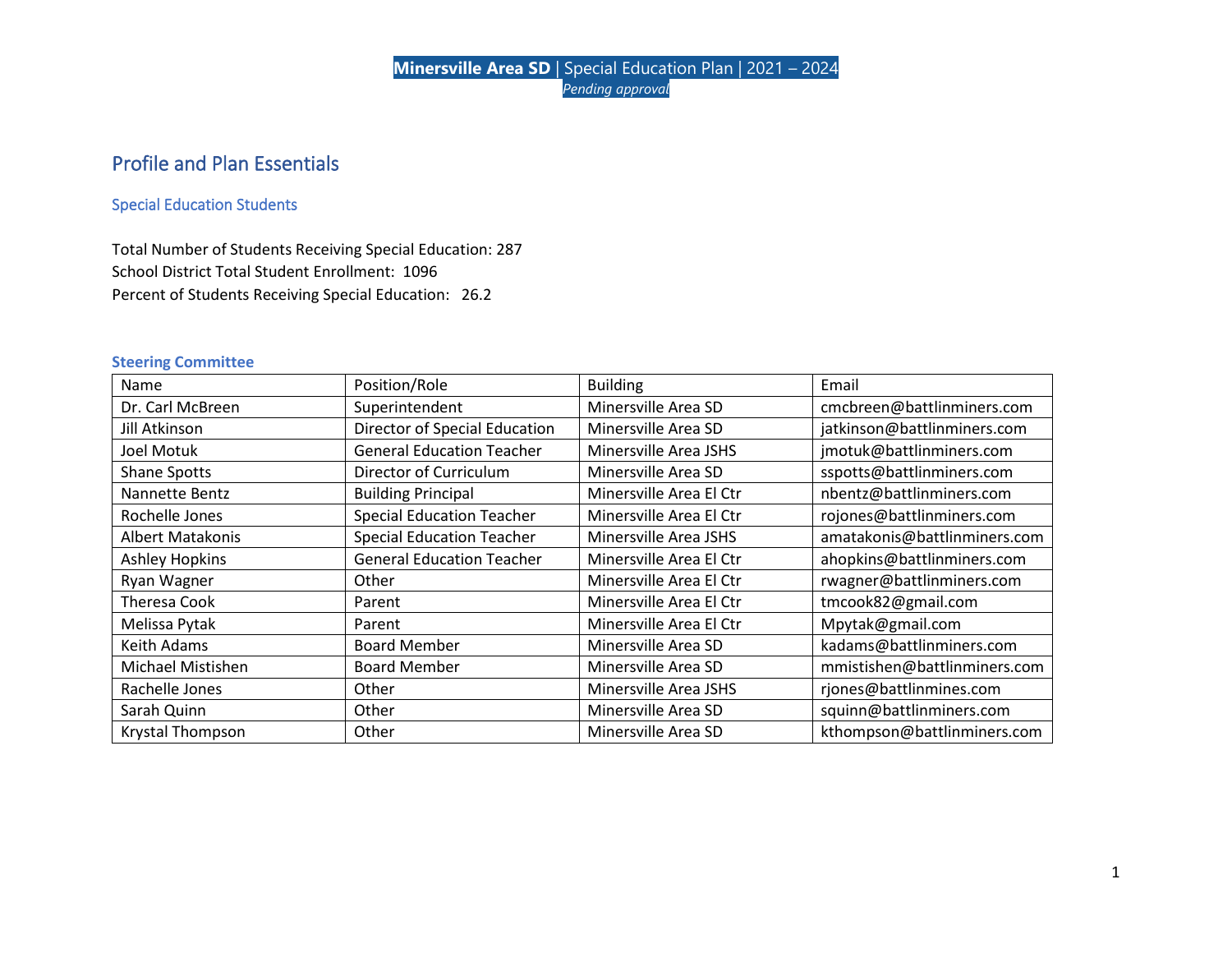# Profile and Plan Essentials

## Special Education Students

Total Number of Students Receiving Special Education: 287 School District Total Student Enrollment: 1096 Percent of Students Receiving Special Education: 26.2

#### **Steering Committee**

| Name                    | Position/Role                    | <b>Building</b>         | Email                        |
|-------------------------|----------------------------------|-------------------------|------------------------------|
| Dr. Carl McBreen        | Superintendent                   | Minersville Area SD     | cmcbreen@battlinminers.com   |
| Jill Atkinson           | Director of Special Education    | Minersville Area SD     | jatkinson@battlinminers.com  |
| Joel Motuk              | <b>General Education Teacher</b> | Minersville Area JSHS   | jmotuk@battlinminers.com     |
| Shane Spotts            | Director of Curriculum           | Minersville Area SD     | sspotts@battlinminers.com    |
| Nannette Bentz          | <b>Building Principal</b>        | Minersville Area El Ctr | nbentz@battlinminers.com     |
| Rochelle Jones          | <b>Special Education Teacher</b> | Minersville Area El Ctr | rojones@battlinminers.com    |
| <b>Albert Matakonis</b> | <b>Special Education Teacher</b> | Minersville Area JSHS   | amatakonis@battlinminers.com |
| <b>Ashley Hopkins</b>   | <b>General Education Teacher</b> | Minersville Area El Ctr | ahopkins@battlinminers.com   |
| Ryan Wagner             | Other                            | Minersville Area El Ctr | rwagner@battlinminers.com    |
| Theresa Cook            | Parent                           | Minersville Area El Ctr | tmcook82@gmail.com           |
| Melissa Pytak           | Parent                           | Minersville Area El Ctr | Mpytak@gmail.com             |
| Keith Adams             | <b>Board Member</b>              | Minersville Area SD     | kadams@battlinminers.com     |
| Michael Mistishen       | <b>Board Member</b>              | Minersville Area SD     | mmistishen@battlinminers.com |
| Rachelle Jones          | Other                            | Minersville Area JSHS   | rjones@battlinmines.com      |
| Sarah Quinn             | Other                            | Minersville Area SD     | squinn@battlinminers.com     |
| <b>Krystal Thompson</b> | Other                            | Minersville Area SD     | kthompson@battlinminers.com  |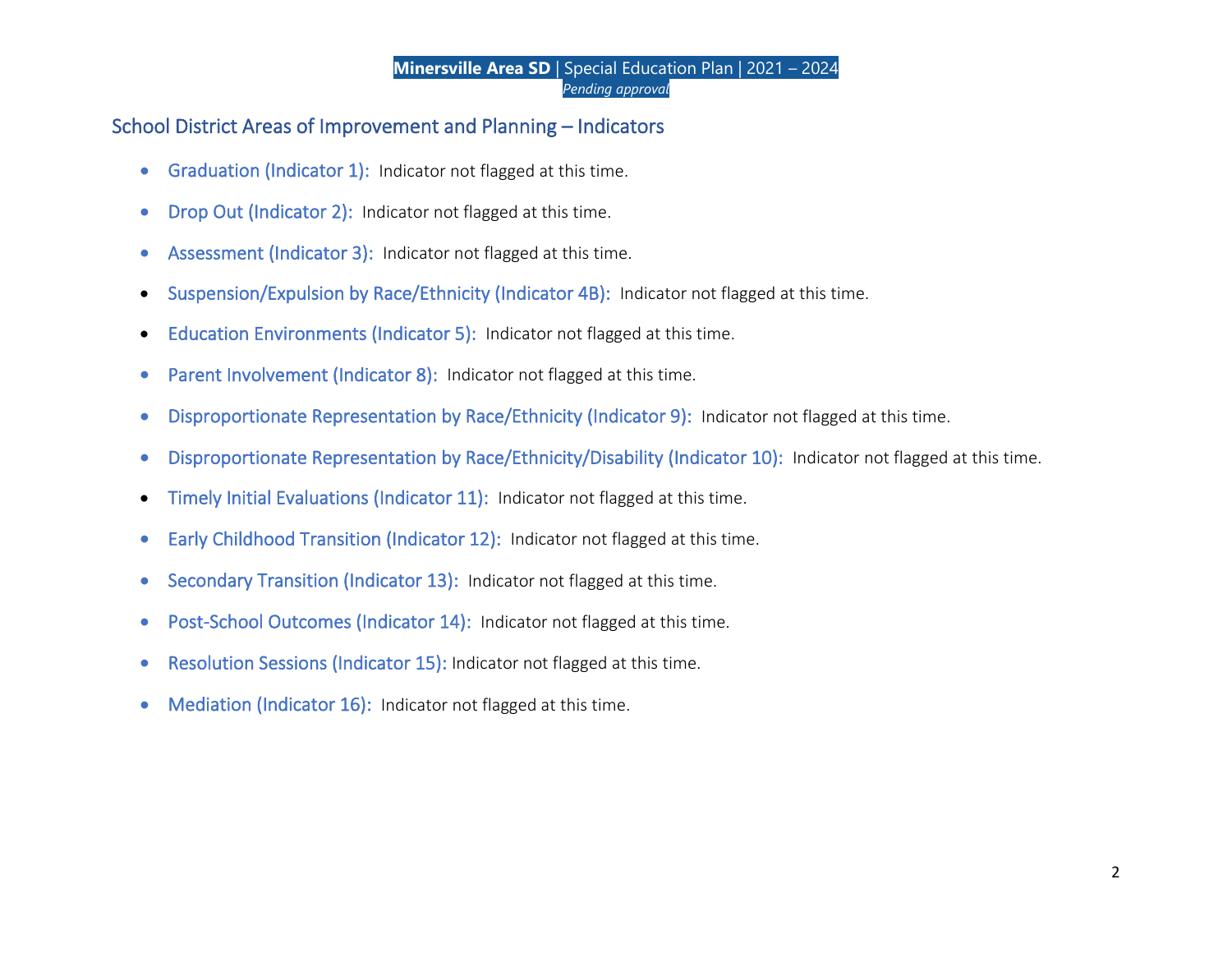# School District Areas of Improvement and Planning – Indicators

- Graduation (Indicator 1): Indicator not flagged at this time.
- Drop Out (Indicator 2): Indicator not flagged at this time.
- Assessment (Indicator 3): Indicator not flagged at this time.
- Suspension/Expulsion by Race/Ethnicity (Indicator 4B): Indicator not flagged at this time.
- Education Environments (Indicator 5): Indicator not flagged at this time.
- Parent Involvement (Indicator 8): Indicator not flagged at this time.
- Disproportionate Representation by Race/Ethnicity (Indicator 9): Indicator not flagged at this time.
- Disproportionate Representation by Race/Ethnicity/Disability (Indicator 10): Indicator not flagged at this time.
- Timely Initial Evaluations (Indicator 11): Indicator not flagged at this time.
- Early Childhood Transition (Indicator 12): Indicator not flagged at this time.
- Secondary Transition (Indicator 13): Indicator not flagged at this time.
- Post-School Outcomes (Indicator 14): Indicator not flagged at this time.
- Resolution Sessions (Indicator 15): Indicator not flagged at this time.
- Mediation (Indicator 16): Indicator not flagged at this time.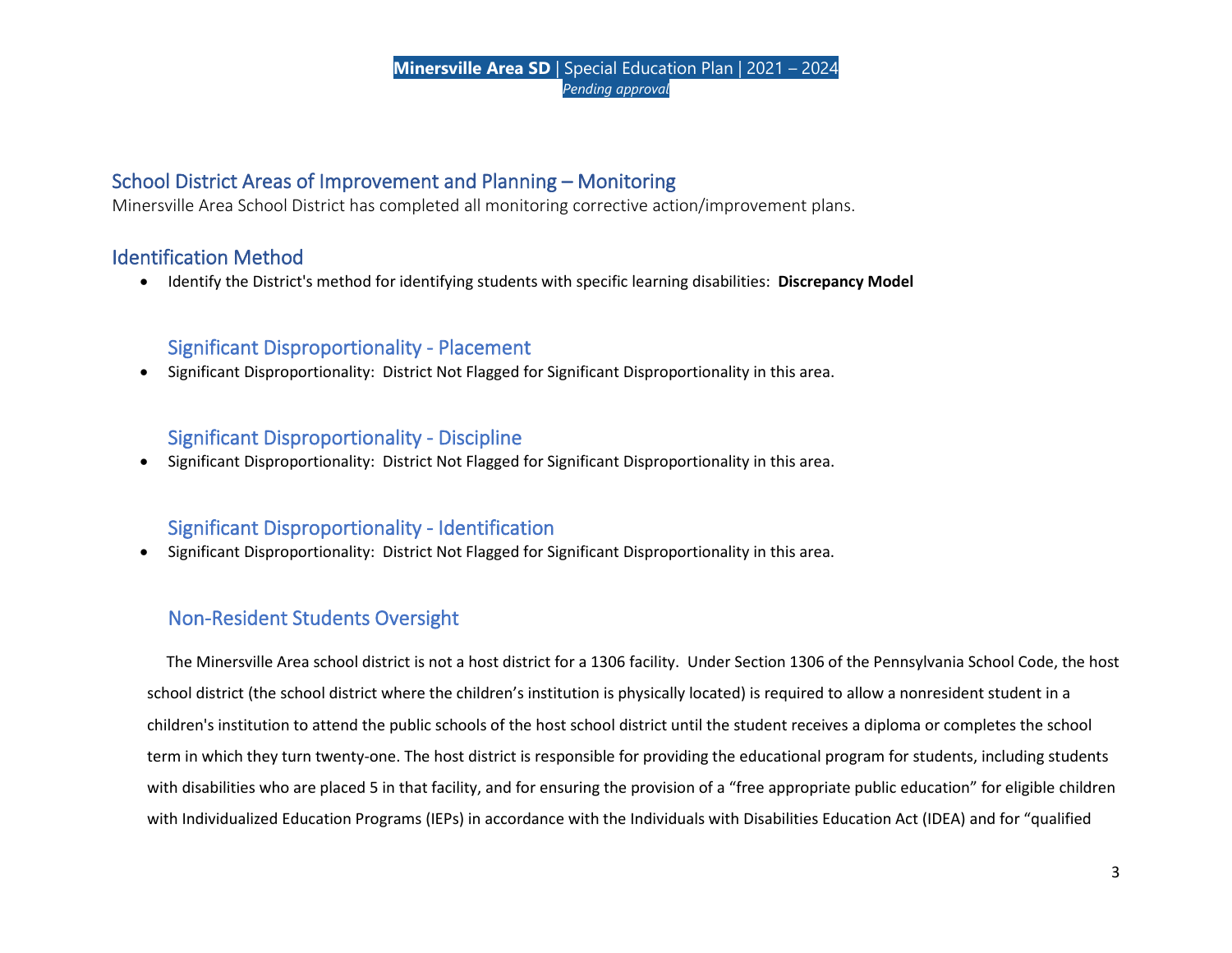# School District Areas of Improvement and Planning – Monitoring

Minersville Area School District has completed all monitoring corrective action/improvement plans.

# Identification Method

• Identify the District's method for identifying students with specific learning disabilities: **Discrepancy Model**

## Significant Disproportionality - Placement

• Significant Disproportionality: District Not Flagged for Significant Disproportionality in this area.

## Significant Disproportionality - Discipline

• Significant Disproportionality: District Not Flagged for Significant Disproportionality in this area.

# Significant Disproportionality - Identification

• Significant Disproportionality: District Not Flagged for Significant Disproportionality in this area.

# Non-Resident Students Oversight

 The Minersville Area school district is not a host district for a 1306 facility. Under Section 1306 of the Pennsylvania School Code, the host school district (the school district where the children's institution is physically located) is required to allow a nonresident student in a children's institution to attend the public schools of the host school district until the student receives a diploma or completes the school term in which they turn twenty-one. The host district is responsible for providing the educational program for students, including students with disabilities who are placed 5 in that facility, and for ensuring the provision of a "free appropriate public education" for eligible children with Individualized Education Programs (IEPs) in accordance with the Individuals with Disabilities Education Act (IDEA) and for "qualified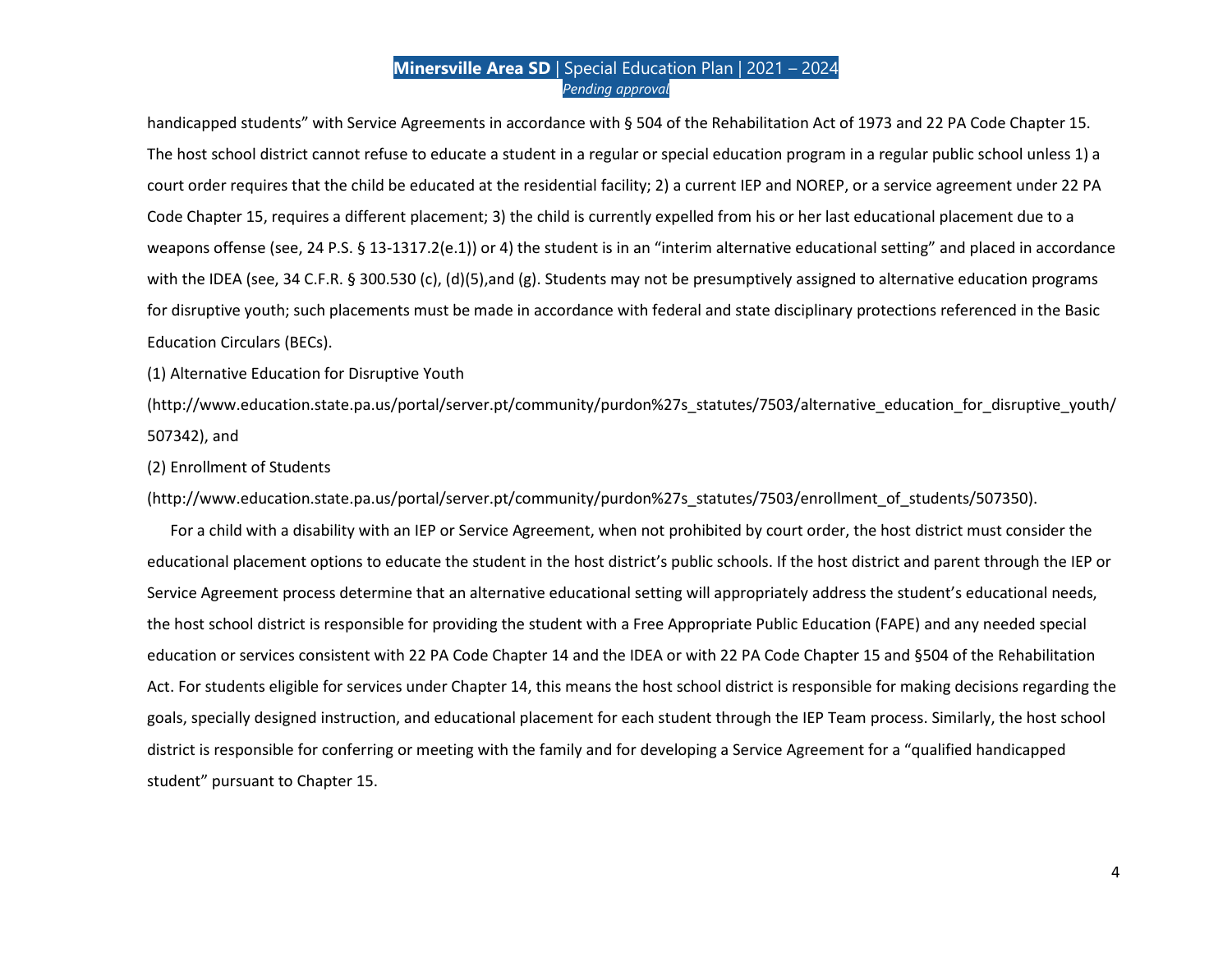handicapped students" with Service Agreements in accordance with § 504 of the Rehabilitation Act of 1973 and 22 PA Code Chapter 15. The host school district cannot refuse to educate a student in a regular or special education program in a regular public school unless 1) a court order requires that the child be educated at the residential facility; 2) a current IEP and NOREP, or a service agreement under 22 PA Code Chapter 15, requires a different placement; 3) the child is currently expelled from his or her last educational placement due to a weapons offense (see, 24 P.S. § 13-1317.2(e.1)) or 4) the student is in an "interim alternative educational setting" and placed in accordance with the IDEA (see, 34 C.F.R. § 300.530 (c), (d)(5),and (g). Students may not be presumptively assigned to alternative education programs for disruptive youth; such placements must be made in accordance with federal and state disciplinary protections referenced in the Basic Education Circulars (BECs).

(1) Alternative Education for Disruptive Youth

(http://www.education.state.pa.us/portal/server.pt/community/purdon%27s\_statutes/7503/alternative\_education\_for\_disruptive\_youth/ 507342), and

(2) Enrollment of Students

(http://www.education.state.pa.us/portal/server.pt/community/purdon%27s\_statutes/7503/enrollment\_of\_students/507350).

 For a child with a disability with an IEP or Service Agreement, when not prohibited by court order, the host district must consider the educational placement options to educate the student in the host district's public schools. If the host district and parent through the IEP or Service Agreement process determine that an alternative educational setting will appropriately address the student's educational needs, the host school district is responsible for providing the student with a Free Appropriate Public Education (FAPE) and any needed special education or services consistent with 22 PA Code Chapter 14 and the IDEA or with 22 PA Code Chapter 15 and §504 of the Rehabilitation Act. For students eligible for services under Chapter 14, this means the host school district is responsible for making decisions regarding the goals, specially designed instruction, and educational placement for each student through the IEP Team process. Similarly, the host school district is responsible for conferring or meeting with the family and for developing a Service Agreement for a "qualified handicapped student" pursuant to Chapter 15.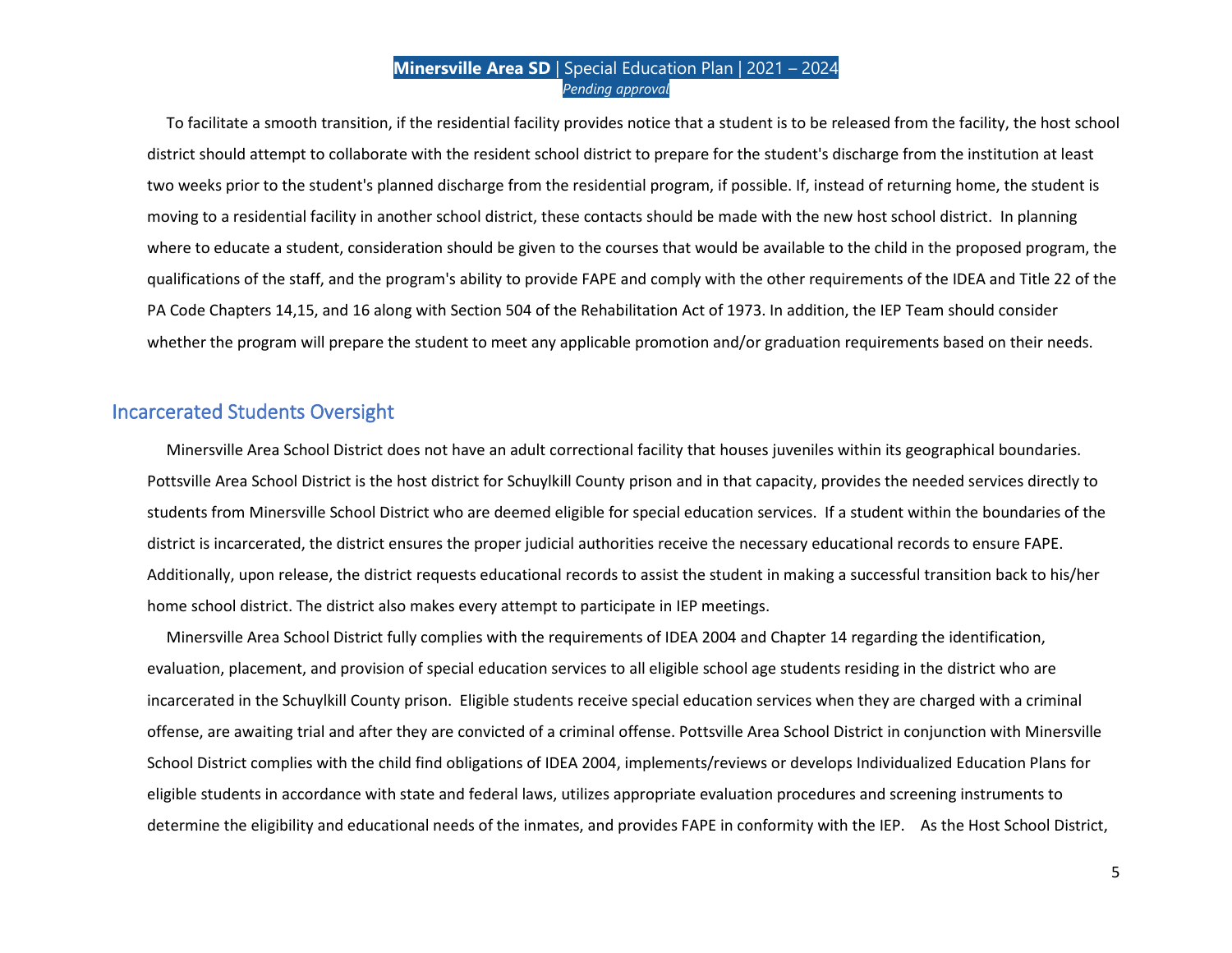To facilitate a smooth transition, if the residential facility provides notice that a student is to be released from the facility, the host school district should attempt to collaborate with the resident school district to prepare for the student's discharge from the institution at least two weeks prior to the student's planned discharge from the residential program, if possible. If, instead of returning home, the student is moving to a residential facility in another school district, these contacts should be made with the new host school district. In planning where to educate a student, consideration should be given to the courses that would be available to the child in the proposed program, the qualifications of the staff, and the program's ability to provide FAPE and comply with the other requirements of the IDEA and Title 22 of the PA Code Chapters 14,15, and 16 along with Section 504 of the Rehabilitation Act of 1973. In addition, the IEP Team should consider whether the program will prepare the student to meet any applicable promotion and/or graduation requirements based on their needs.

## Incarcerated Students Oversight

 Minersville Area School District does not have an adult correctional facility that houses juveniles within its geographical boundaries. Pottsville Area School District is the host district for Schuylkill County prison and in that capacity, provides the needed services directly to students from Minersville School District who are deemed eligible for special education services. If a student within the boundaries of the district is incarcerated, the district ensures the proper judicial authorities receive the necessary educational records to ensure FAPE. Additionally, upon release, the district requests educational records to assist the student in making a successful transition back to his/her home school district. The district also makes every attempt to participate in IEP meetings.

 Minersville Area School District fully complies with the requirements of IDEA 2004 and Chapter 14 regarding the identification, evaluation, placement, and provision of special education services to all eligible school age students residing in the district who are incarcerated in the Schuylkill County prison. Eligible students receive special education services when they are charged with a criminal offense, are awaiting trial and after they are convicted of a criminal offense. Pottsville Area School District in conjunction with Minersville School District complies with the child find obligations of IDEA 2004, implements/reviews or develops Individualized Education Plans for eligible students in accordance with state and federal laws, utilizes appropriate evaluation procedures and screening instruments to determine the eligibility and educational needs of the inmates, and provides FAPE in conformity with the IEP. As the Host School District,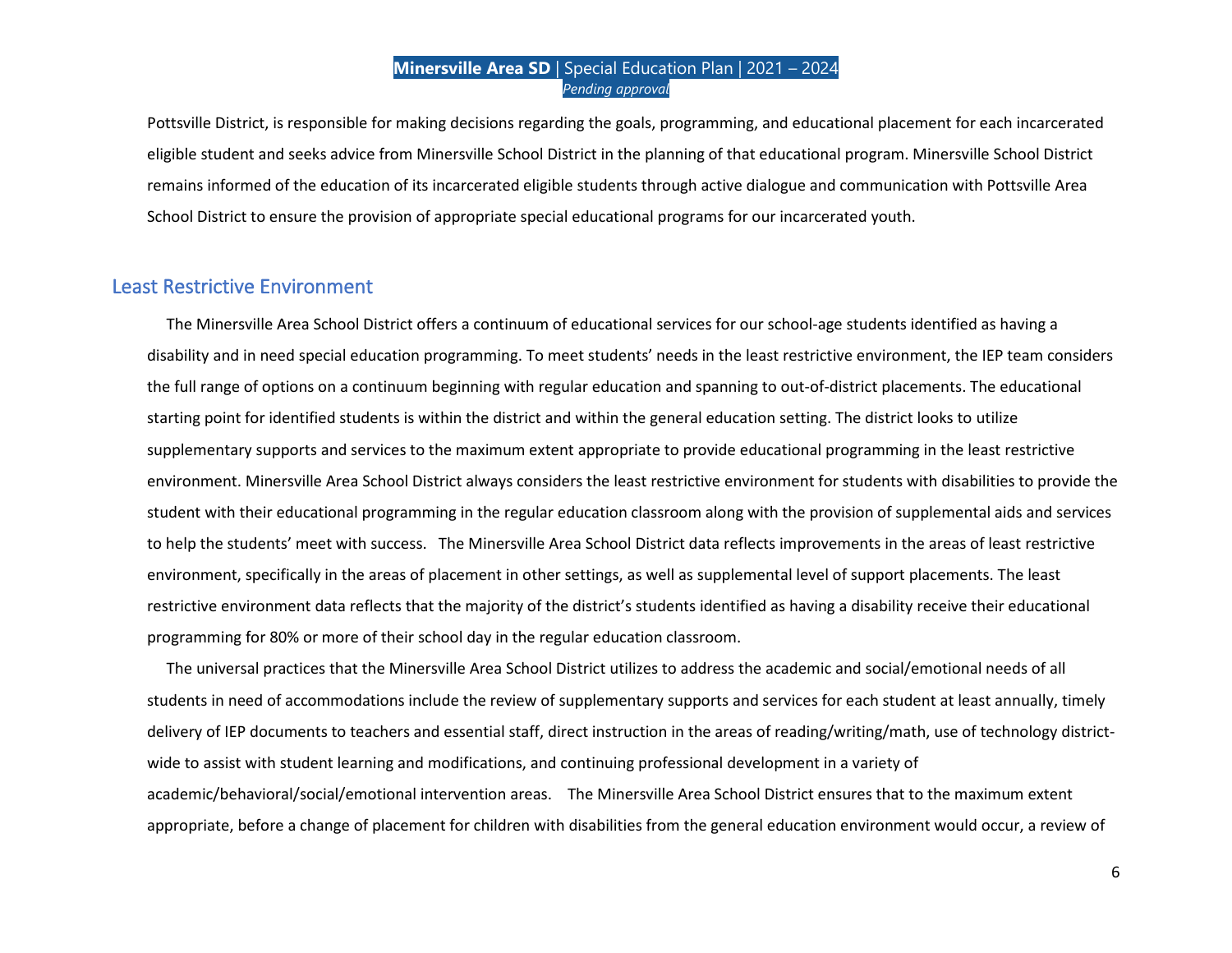Pottsville District, is responsible for making decisions regarding the goals, programming, and educational placement for each incarcerated eligible student and seeks advice from Minersville School District in the planning of that educational program. Minersville School District remains informed of the education of its incarcerated eligible students through active dialogue and communication with Pottsville Area School District to ensure the provision of appropriate special educational programs for our incarcerated youth.

## Least Restrictive Environment

The Minersville Area School District offers a continuum of educational services for our school-age students identified as having a disability and in need special education programming. To meet students' needs in the least restrictive environment, the IEP team considers the full range of options on a continuum beginning with regular education and spanning to out-of-district placements. The educational starting point for identified students is within the district and within the general education setting. The district looks to utilize supplementary supports and services to the maximum extent appropriate to provide educational programming in the least restrictive environment. Minersville Area School District always considers the least restrictive environment for students with disabilities to provide the student with their educational programming in the regular education classroom along with the provision of supplemental aids and services to help the students' meet with success. The Minersville Area School District data reflects improvements in the areas of least restrictive environment, specifically in the areas of placement in other settings, as well as supplemental level of support placements. The least restrictive environment data reflects that the majority of the district's students identified as having a disability receive their educational programming for 80% or more of their school day in the regular education classroom.

 The universal practices that the Minersville Area School District utilizes to address the academic and social/emotional needs of all students in need of accommodations include the review of supplementary supports and services for each student at least annually, timely delivery of IEP documents to teachers and essential staff, direct instruction in the areas of reading/writing/math, use of technology districtwide to assist with student learning and modifications, and continuing professional development in a variety of academic/behavioral/social/emotional intervention areas. The Minersville Area School District ensures that to the maximum extent appropriate, before a change of placement for children with disabilities from the general education environment would occur, a review of

6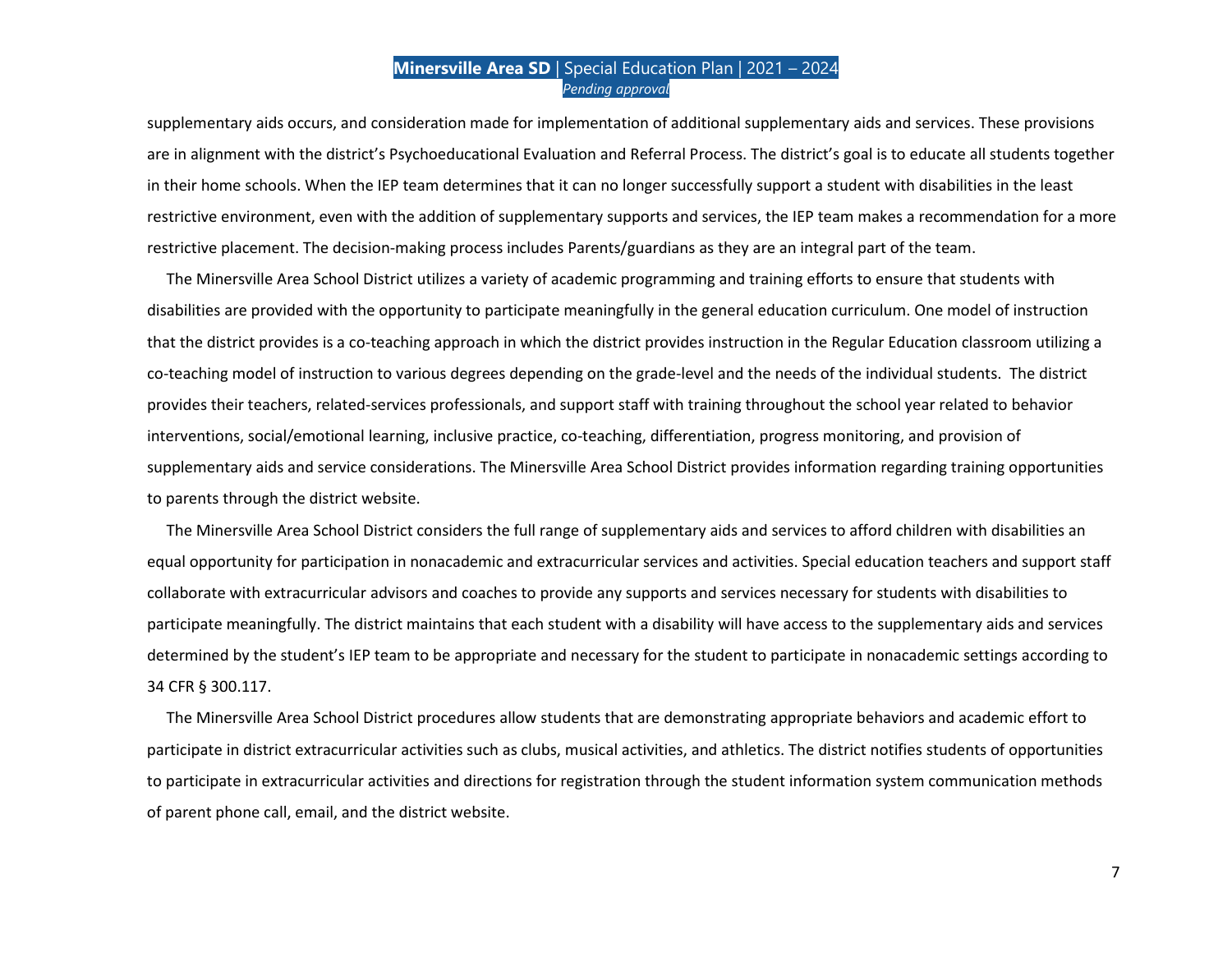supplementary aids occurs, and consideration made for implementation of additional supplementary aids and services. These provisions are in alignment with the district's Psychoeducational Evaluation and Referral Process. The district's goal is to educate all students together in their home schools. When the IEP team determines that it can no longer successfully support a student with disabilities in the least restrictive environment, even with the addition of supplementary supports and services, the IEP team makes a recommendation for a more restrictive placement. The decision-making process includes Parents/guardians as they are an integral part of the team.

 The Minersville Area School District utilizes a variety of academic programming and training efforts to ensure that students with disabilities are provided with the opportunity to participate meaningfully in the general education curriculum. One model of instruction that the district provides is a co-teaching approach in which the district provides instruction in the Regular Education classroom utilizing a co-teaching model of instruction to various degrees depending on the grade-level and the needs of the individual students. The district provides their teachers, related-services professionals, and support staff with training throughout the school year related to behavior interventions, social/emotional learning, inclusive practice, co-teaching, differentiation, progress monitoring, and provision of supplementary aids and service considerations. The Minersville Area School District provides information regarding training opportunities to parents through the district website.

 The Minersville Area School District considers the full range of supplementary aids and services to afford children with disabilities an equal opportunity for participation in nonacademic and extracurricular services and activities. Special education teachers and support staff collaborate with extracurricular advisors and coaches to provide any supports and services necessary for students with disabilities to participate meaningfully. The district maintains that each student with a disability will have access to the supplementary aids and services determined by the student's IEP team to be appropriate and necessary for the student to participate in nonacademic settings according to 34 CFR § 300.117.

 The Minersville Area School District procedures allow students that are demonstrating appropriate behaviors and academic effort to participate in district extracurricular activities such as clubs, musical activities, and athletics. The district notifies students of opportunities to participate in extracurricular activities and directions for registration through the student information system communication methods of parent phone call, email, and the district website.

7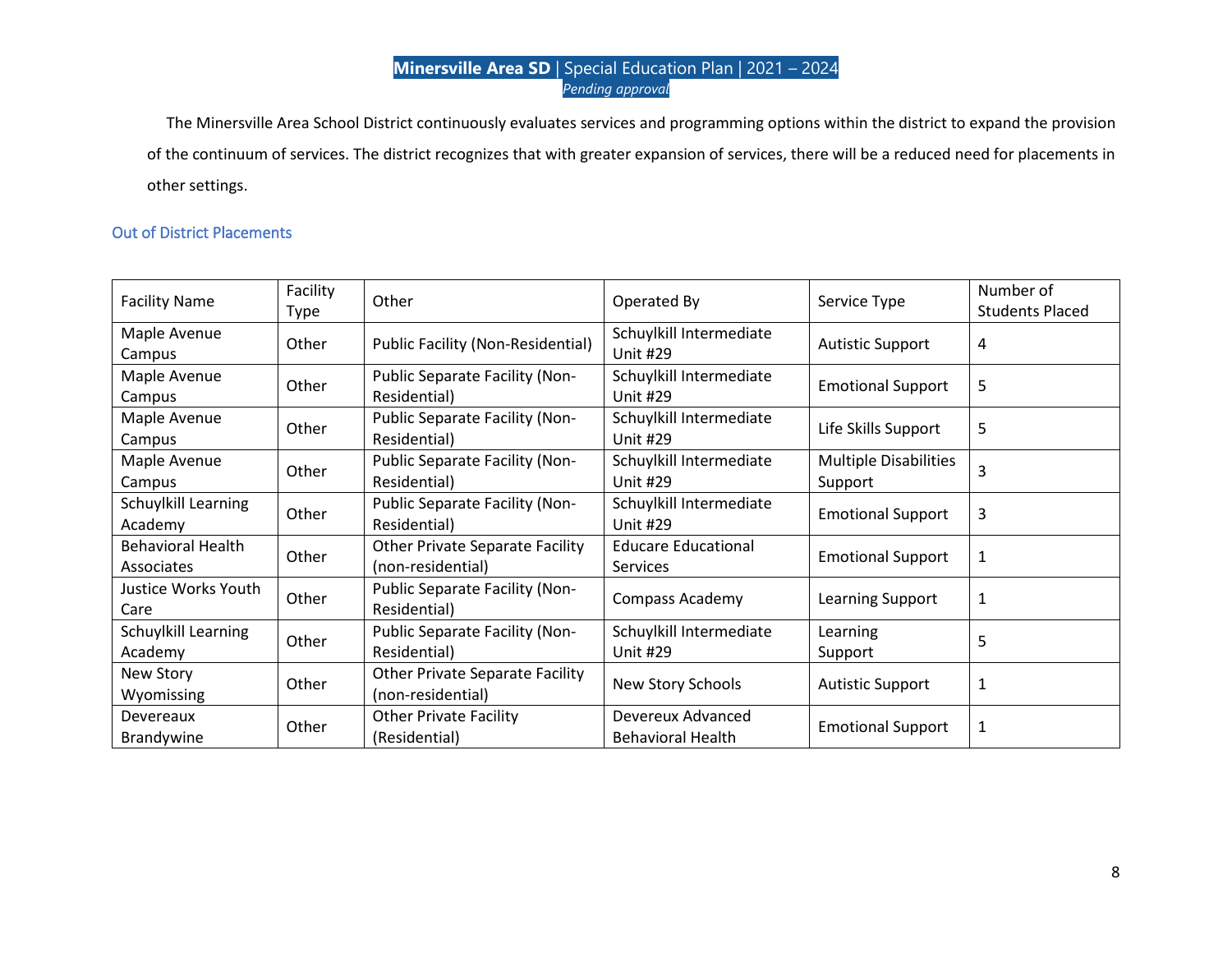The Minersville Area School District continuously evaluates services and programming options within the district to expand the provision of the continuum of services. The district recognizes that with greater expansion of services, there will be a reduced need for placements in other settings.

## Out of District Placements

| <b>Facility Name</b>                          | Facility<br>Type | Other                                                       | Operated By                                   | Service Type                            | Number of<br><b>Students Placed</b> |
|-----------------------------------------------|------------------|-------------------------------------------------------------|-----------------------------------------------|-----------------------------------------|-------------------------------------|
| Maple Avenue<br>Campus                        | Other            | <b>Public Facility (Non-Residential)</b>                    | Schuylkill Intermediate<br><b>Unit #29</b>    | <b>Autistic Support</b>                 | 4                                   |
| Maple Avenue<br>Campus                        | Other            | Public Separate Facility (Non-<br>Residential)              | Schuylkill Intermediate<br><b>Unit #29</b>    | <b>Emotional Support</b>                | 5                                   |
| Maple Avenue<br>Campus                        | Other            | Public Separate Facility (Non-<br>Residential)              | Schuylkill Intermediate<br><b>Unit #29</b>    | Life Skills Support                     | 5                                   |
| Maple Avenue<br>Campus                        | Other            | Public Separate Facility (Non-<br>Residential)              | Schuylkill Intermediate<br><b>Unit #29</b>    | <b>Multiple Disabilities</b><br>Support | 3                                   |
| Schuylkill Learning<br>Academy                | Other            | Public Separate Facility (Non-<br>Residential)              | Schuylkill Intermediate<br><b>Unit #29</b>    | <b>Emotional Support</b>                | 3                                   |
| <b>Behavioral Health</b><br><b>Associates</b> | Other            | <b>Other Private Separate Facility</b><br>(non-residential) | <b>Educare Educational</b><br><b>Services</b> | <b>Emotional Support</b>                | 1                                   |
| Justice Works Youth<br>Care                   | Other            | Public Separate Facility (Non-<br>Residential)              | <b>Compass Academy</b>                        | <b>Learning Support</b>                 | $\mathbf{1}$                        |
| Schuylkill Learning<br>Academy                | Other            | Public Separate Facility (Non-<br>Residential)              | Schuylkill Intermediate<br><b>Unit #29</b>    | Learning<br>Support                     | 5                                   |
| New Story<br>Wyomissing                       | Other            | <b>Other Private Separate Facility</b><br>(non-residential) | New Story Schools                             | <b>Autistic Support</b>                 | $\mathbf{1}$                        |
| Devereaux<br><b>Brandywine</b>                | Other            | <b>Other Private Facility</b><br>(Residential)              | Devereux Advanced<br><b>Behavioral Health</b> | <b>Emotional Support</b>                | $\mathbf 1$                         |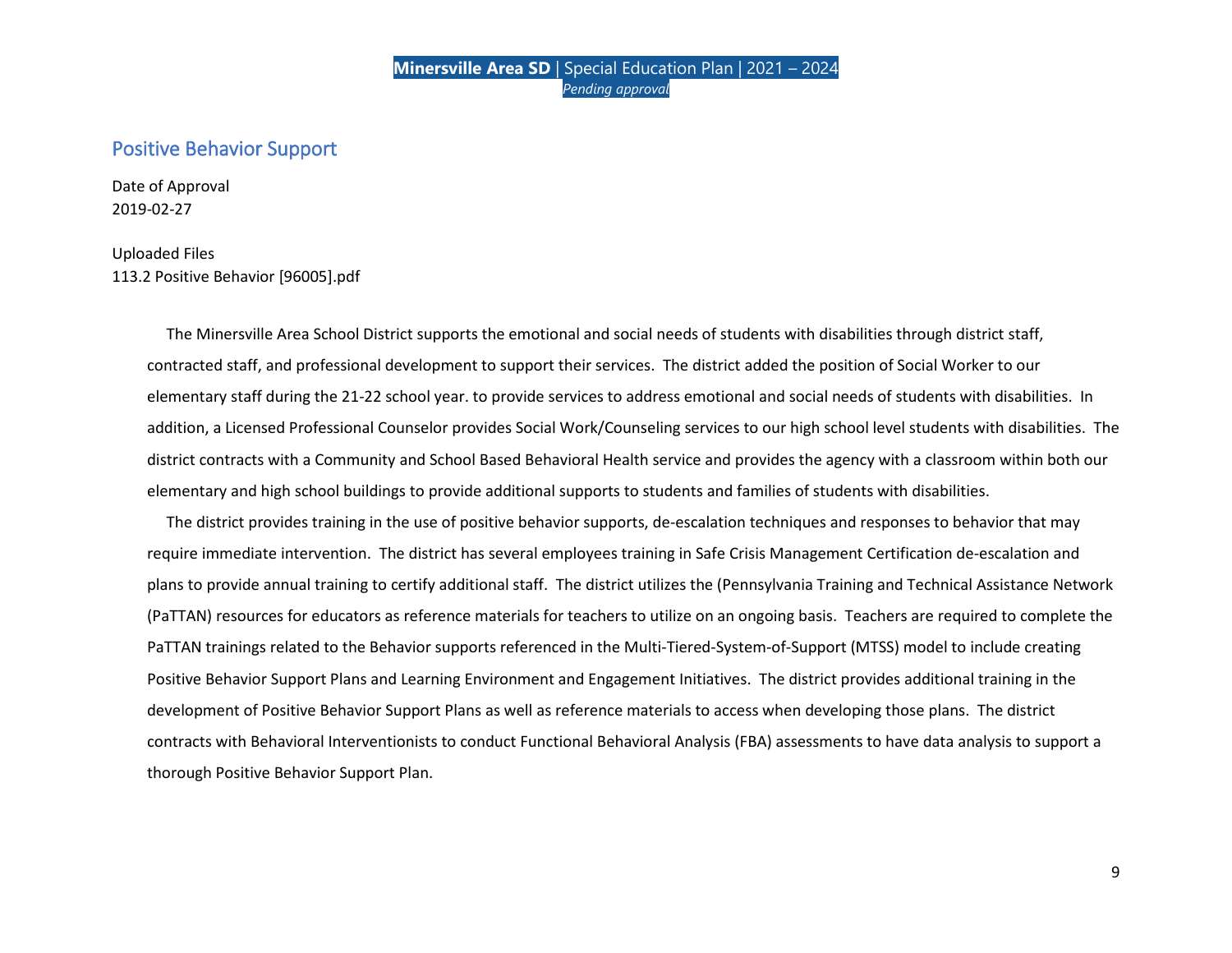## Positive Behavior Support

Date of Approval 2019-02-27

#### Uploaded Files 113.2 Positive Behavior [96005].pdf

 The Minersville Area School District supports the emotional and social needs of students with disabilities through district staff, contracted staff, and professional development to support their services. The district added the position of Social Worker to our elementary staff during the 21-22 school year. to provide services to address emotional and social needs of students with disabilities. In addition, a Licensed Professional Counselor provides Social Work/Counseling services to our high school level students with disabilities. The district contracts with a Community and School Based Behavioral Health service and provides the agency with a classroom within both our elementary and high school buildings to provide additional supports to students and families of students with disabilities.

 The district provides training in the use of positive behavior supports, de-escalation techniques and responses to behavior that may require immediate intervention. The district has several employees training in Safe Crisis Management Certification de-escalation and plans to provide annual training to certify additional staff. The district utilizes the (Pennsylvania Training and Technical Assistance Network (PaTTAN) resources for educators as reference materials for teachers to utilize on an ongoing basis. Teachers are required to complete the PaTTAN trainings related to the Behavior supports referenced in the Multi-Tiered-System-of-Support (MTSS) model to include creating Positive Behavior Support Plans and Learning Environment and Engagement Initiatives. The district provides additional training in the development of Positive Behavior Support Plans as well as reference materials to access when developing those plans. The district contracts with Behavioral Interventionists to conduct Functional Behavioral Analysis (FBA) assessments to have data analysis to support a thorough Positive Behavior Support Plan.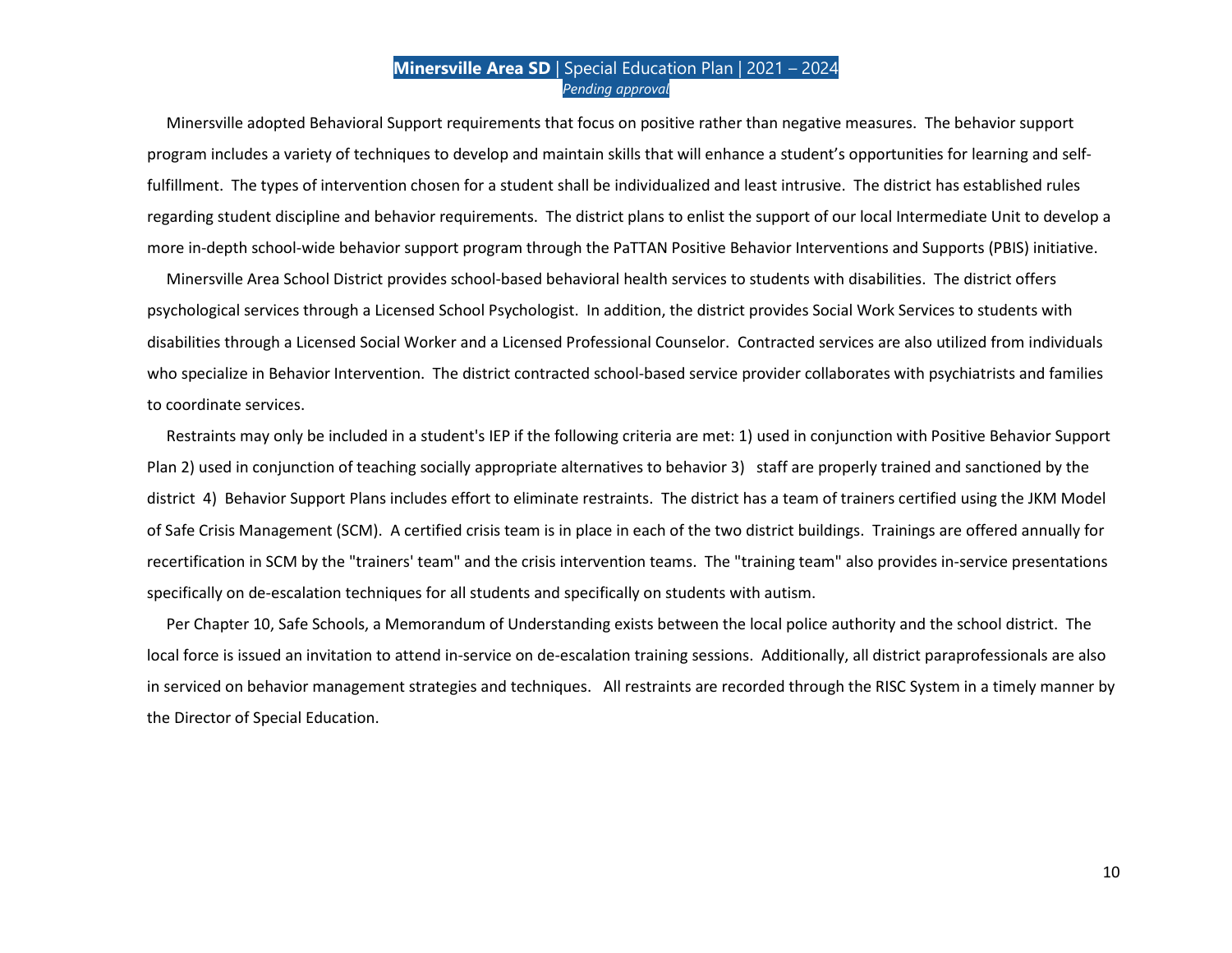Minersville adopted Behavioral Support requirements that focus on positive rather than negative measures. The behavior support program includes a variety of techniques to develop and maintain skills that will enhance a student's opportunities for learning and selffulfillment. The types of intervention chosen for a student shall be individualized and least intrusive. The district has established rules regarding student discipline and behavior requirements. The district plans to enlist the support of our local Intermediate Unit to develop a more in-depth school-wide behavior support program through the PaTTAN Positive Behavior Interventions and Supports (PBIS) initiative.

 Minersville Area School District provides school-based behavioral health services to students with disabilities. The district offers psychological services through a Licensed School Psychologist. In addition, the district provides Social Work Services to students with disabilities through a Licensed Social Worker and a Licensed Professional Counselor. Contracted services are also utilized from individuals who specialize in Behavior Intervention. The district contracted school-based service provider collaborates with psychiatrists and families to coordinate services.

 Restraints may only be included in a student's IEP if the following criteria are met: 1) used in conjunction with Positive Behavior Support Plan 2) used in conjunction of teaching socially appropriate alternatives to behavior 3) staff are properly trained and sanctioned by the district 4) Behavior Support Plans includes effort to eliminate restraints. The district has a team of trainers certified using the JKM Model of Safe Crisis Management (SCM). A certified crisis team is in place in each of the two district buildings. Trainings are offered annually for recertification in SCM by the "trainers' team" and the crisis intervention teams. The "training team" also provides in-service presentations specifically on de-escalation techniques for all students and specifically on students with autism.

 Per Chapter 10, Safe Schools, a Memorandum of Understanding exists between the local police authority and the school district. The local force is issued an invitation to attend in-service on de-escalation training sessions. Additionally, all district paraprofessionals are also in serviced on behavior management strategies and techniques. All restraints are recorded through the RISC System in a timely manner by the Director of Special Education.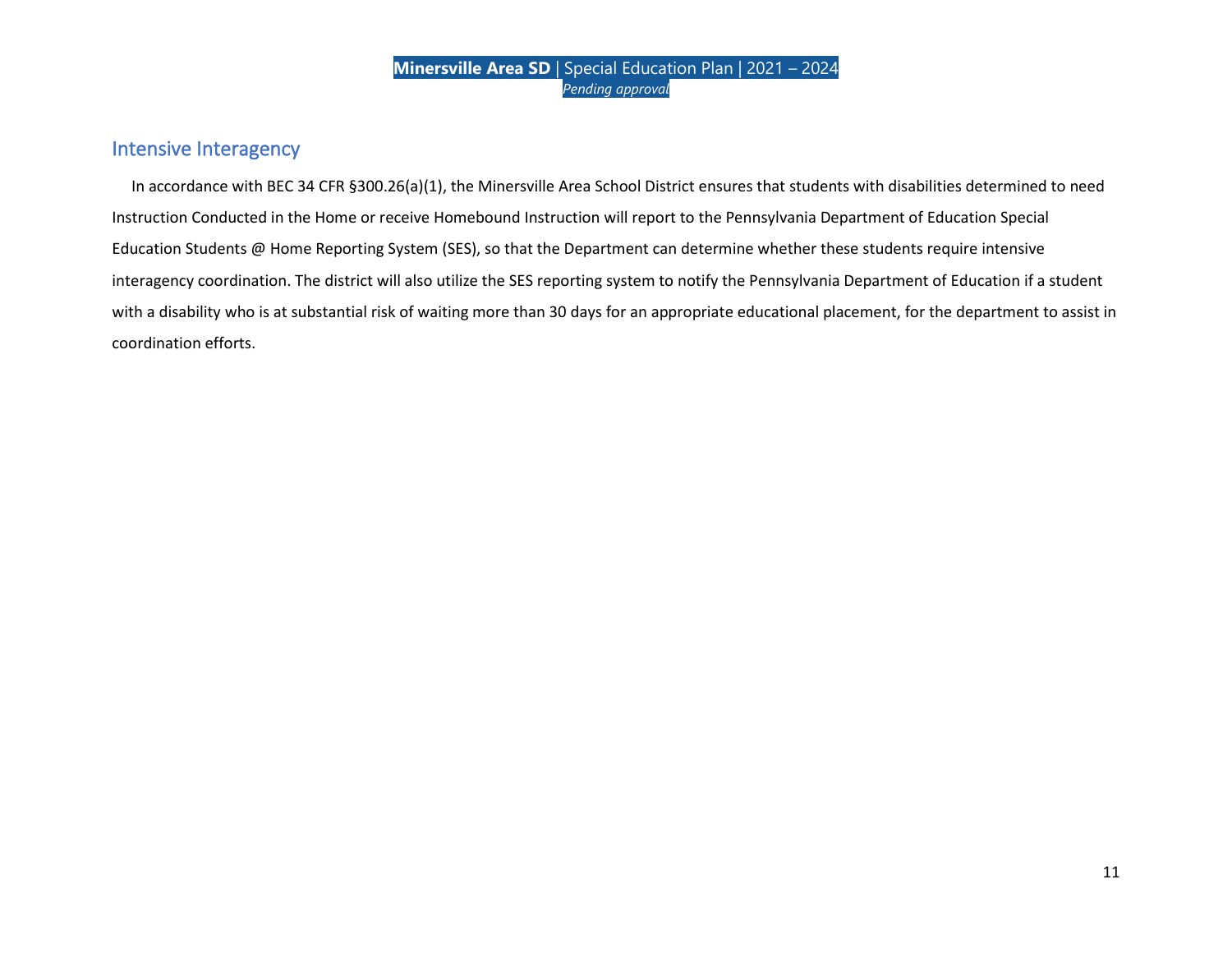## Intensive Interagency

 In accordance with BEC 34 CFR §300.26(a)(1), the Minersville Area School District ensures that students with disabilities determined to need Instruction Conducted in the Home or receive Homebound Instruction will report to the Pennsylvania Department of Education Special Education Students @ Home Reporting System (SES), so that the Department can determine whether these students require intensive interagency coordination. The district will also utilize the SES reporting system to notify the Pennsylvania Department of Education if a student with a disability who is at substantial risk of waiting more than 30 days for an appropriate educational placement, for the department to assist in coordination efforts.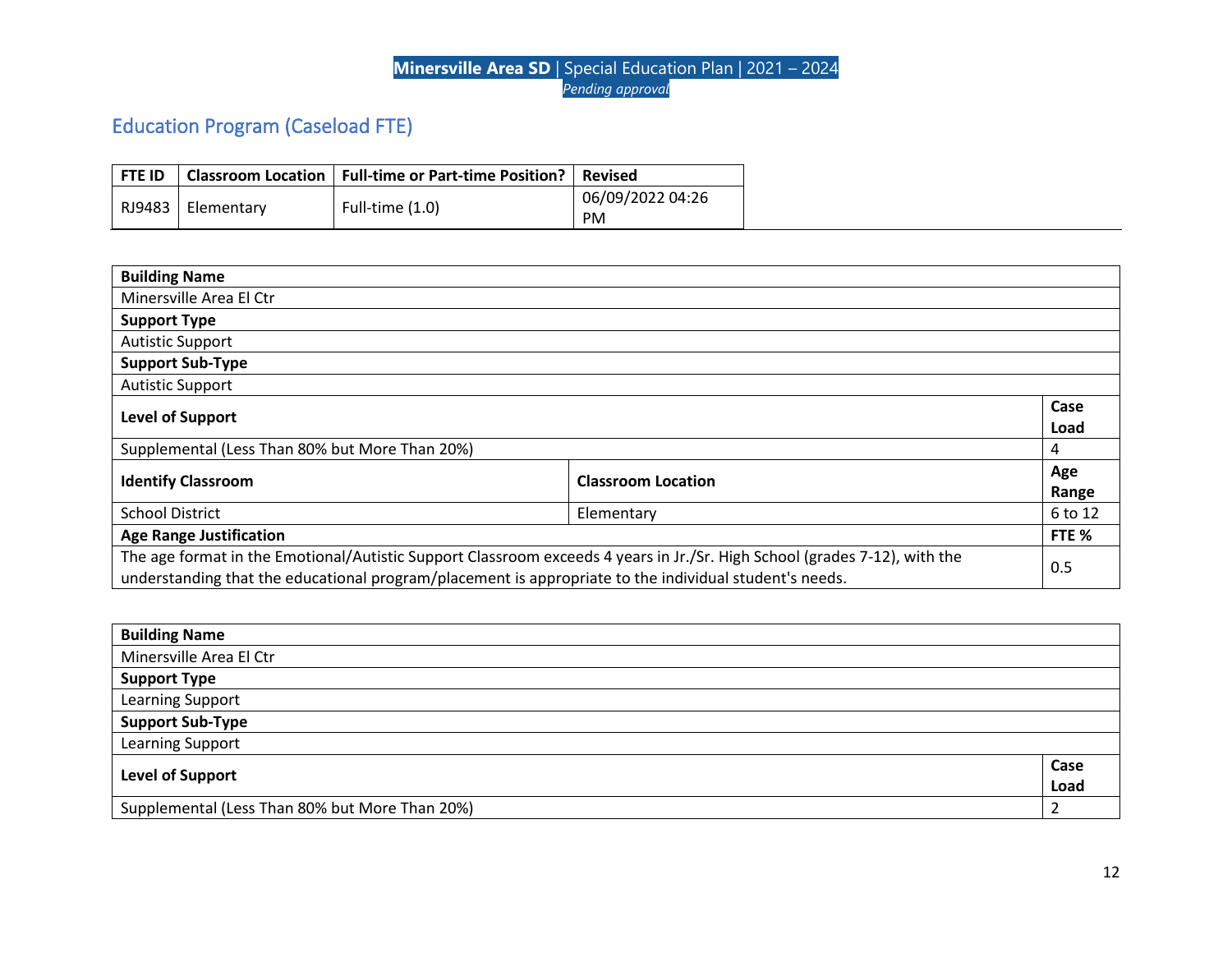# Education Program (Caseload FTE)

| <b>FTE ID</b> |            | Classroom Location   Full-time or Part-time Position? | l Revised        |
|---------------|------------|-------------------------------------------------------|------------------|
|               |            |                                                       | 06/09/2022 04:26 |
| RJ9483        | Elementary | Full-time $(1.0)$                                     | <b>PM</b>        |

| <b>Building Name</b>                                                                                                      |  |         |
|---------------------------------------------------------------------------------------------------------------------------|--|---------|
| Minersville Area El Ctr                                                                                                   |  |         |
| <b>Support Type</b>                                                                                                       |  |         |
| <b>Autistic Support</b>                                                                                                   |  |         |
| <b>Support Sub-Type</b>                                                                                                   |  |         |
| <b>Autistic Support</b>                                                                                                   |  |         |
| <b>Level of Support</b>                                                                                                   |  | Case    |
|                                                                                                                           |  | Load    |
| Supplemental (Less Than 80% but More Than 20%)                                                                            |  | 4       |
| <b>Identify Classroom</b><br><b>Classroom Location</b>                                                                    |  |         |
|                                                                                                                           |  | Range   |
| <b>School District</b><br>Elementary                                                                                      |  | 6 to 12 |
| <b>Age Range Justification</b>                                                                                            |  | FTE %   |
| The age format in the Emotional/Autistic Support Classroom exceeds 4 years in Jr./Sr. High School (grades 7-12), with the |  |         |
| understanding that the educational program/placement is appropriate to the individual student's needs.                    |  | 0.5     |

| <b>Building Name</b>                           |              |
|------------------------------------------------|--------------|
| Minersville Area El Ctr                        |              |
| <b>Support Type</b>                            |              |
| Learning Support                               |              |
| <b>Support Sub-Type</b>                        |              |
| Learning Support                               |              |
| Level of Support                               | Case<br>Load |
|                                                |              |
| Supplemental (Less Than 80% but More Than 20%) |              |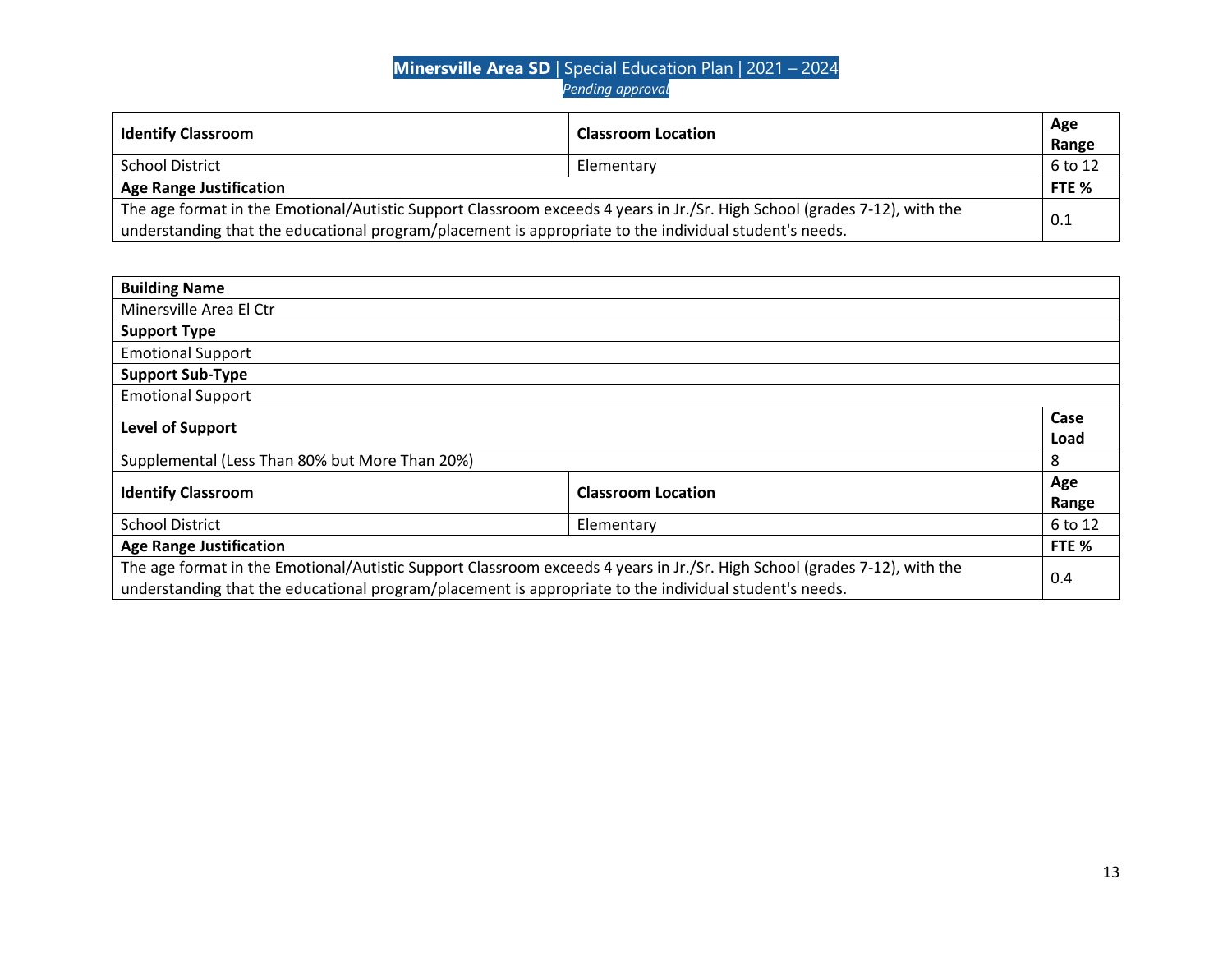| <b>Identify Classroom</b>                                                                                                 | <b>Classroom Location</b> | Age<br>Range |
|---------------------------------------------------------------------------------------------------------------------------|---------------------------|--------------|
| <b>School District</b>                                                                                                    | Elementary                | 6 to 12      |
| <b>Age Range Justification</b>                                                                                            |                           | FTE %        |
| The age format in the Emotional/Autistic Support Classroom exceeds 4 years in Jr./Sr. High School (grades 7-12), with the |                           |              |
| understanding that the educational program/placement is appropriate to the individual student's needs.                    |                           | 0.1          |

| <b>Building Name</b>                                                                                                                                                                                                                |                           |              |
|-------------------------------------------------------------------------------------------------------------------------------------------------------------------------------------------------------------------------------------|---------------------------|--------------|
| Minersville Area El Ctr                                                                                                                                                                                                             |                           |              |
| <b>Support Type</b>                                                                                                                                                                                                                 |                           |              |
| <b>Emotional Support</b>                                                                                                                                                                                                            |                           |              |
| <b>Support Sub-Type</b>                                                                                                                                                                                                             |                           |              |
| <b>Emotional Support</b>                                                                                                                                                                                                            |                           |              |
| Level of Support                                                                                                                                                                                                                    |                           | Case<br>Load |
| Supplemental (Less Than 80% but More Than 20%)                                                                                                                                                                                      |                           | 8            |
| <b>Identify Classroom</b>                                                                                                                                                                                                           | <b>Classroom Location</b> | Age<br>Range |
| <b>School District</b><br>Elementary                                                                                                                                                                                                |                           | 6 to 12      |
| <b>Age Range Justification</b>                                                                                                                                                                                                      |                           | FTE %        |
| The age format in the Emotional/Autistic Support Classroom exceeds 4 years in Jr./Sr. High School (grades 7-12), with the<br>understanding that the educational program/placement is appropriate to the individual student's needs. |                           | 0.4          |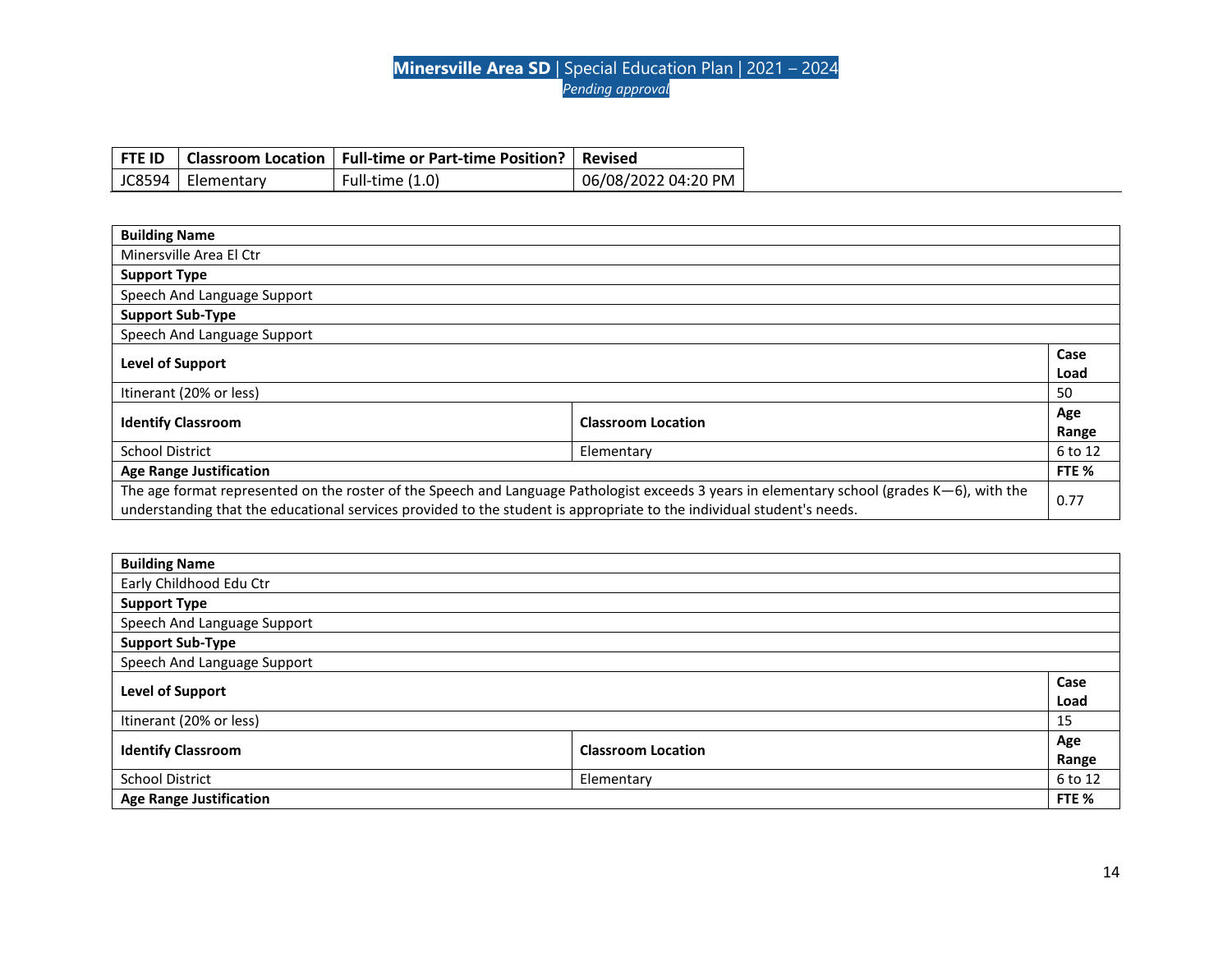|                     | FTE ID   Classroom Location   Full-time or Part-time Position?   Revised |                     |
|---------------------|--------------------------------------------------------------------------|---------------------|
| JC8594   Elementary | Full-time (1.0)                                                          | 06/08/2022 04:20 PM |

| <b>Building Name</b>                                                                                                                                                                                                                                                 |                           |              |
|----------------------------------------------------------------------------------------------------------------------------------------------------------------------------------------------------------------------------------------------------------------------|---------------------------|--------------|
| Minersville Area El Ctr                                                                                                                                                                                                                                              |                           |              |
| <b>Support Type</b>                                                                                                                                                                                                                                                  |                           |              |
| Speech And Language Support                                                                                                                                                                                                                                          |                           |              |
| <b>Support Sub-Type</b>                                                                                                                                                                                                                                              |                           |              |
| Speech And Language Support                                                                                                                                                                                                                                          |                           |              |
| Level of Support                                                                                                                                                                                                                                                     |                           | Case<br>Load |
| Itinerant (20% or less)                                                                                                                                                                                                                                              |                           | 50           |
| <b>Identify Classroom</b>                                                                                                                                                                                                                                            | <b>Classroom Location</b> | Age<br>Range |
| <b>School District</b><br>Elementary                                                                                                                                                                                                                                 |                           |              |
| <b>Age Range Justification</b>                                                                                                                                                                                                                                       |                           | FTE %        |
| The age format represented on the roster of the Speech and Language Pathologist exceeds 3 years in elementary school (grades K-6), with the<br>understanding that the educational services provided to the student is appropriate to the individual student's needs. |                           |              |

| <b>Building Name</b>                                   |  |              |
|--------------------------------------------------------|--|--------------|
| Early Childhood Edu Ctr                                |  |              |
| <b>Support Type</b>                                    |  |              |
| Speech And Language Support                            |  |              |
| <b>Support Sub-Type</b>                                |  |              |
| Speech And Language Support                            |  |              |
| <b>Level of Support</b>                                |  | Case<br>Load |
|                                                        |  |              |
| Itinerant (20% or less)                                |  | 15           |
| <b>Identify Classroom</b><br><b>Classroom Location</b> |  |              |
|                                                        |  | Range        |
| <b>School District</b><br>Elementary                   |  |              |
| <b>Age Range Justification</b>                         |  | FTE %        |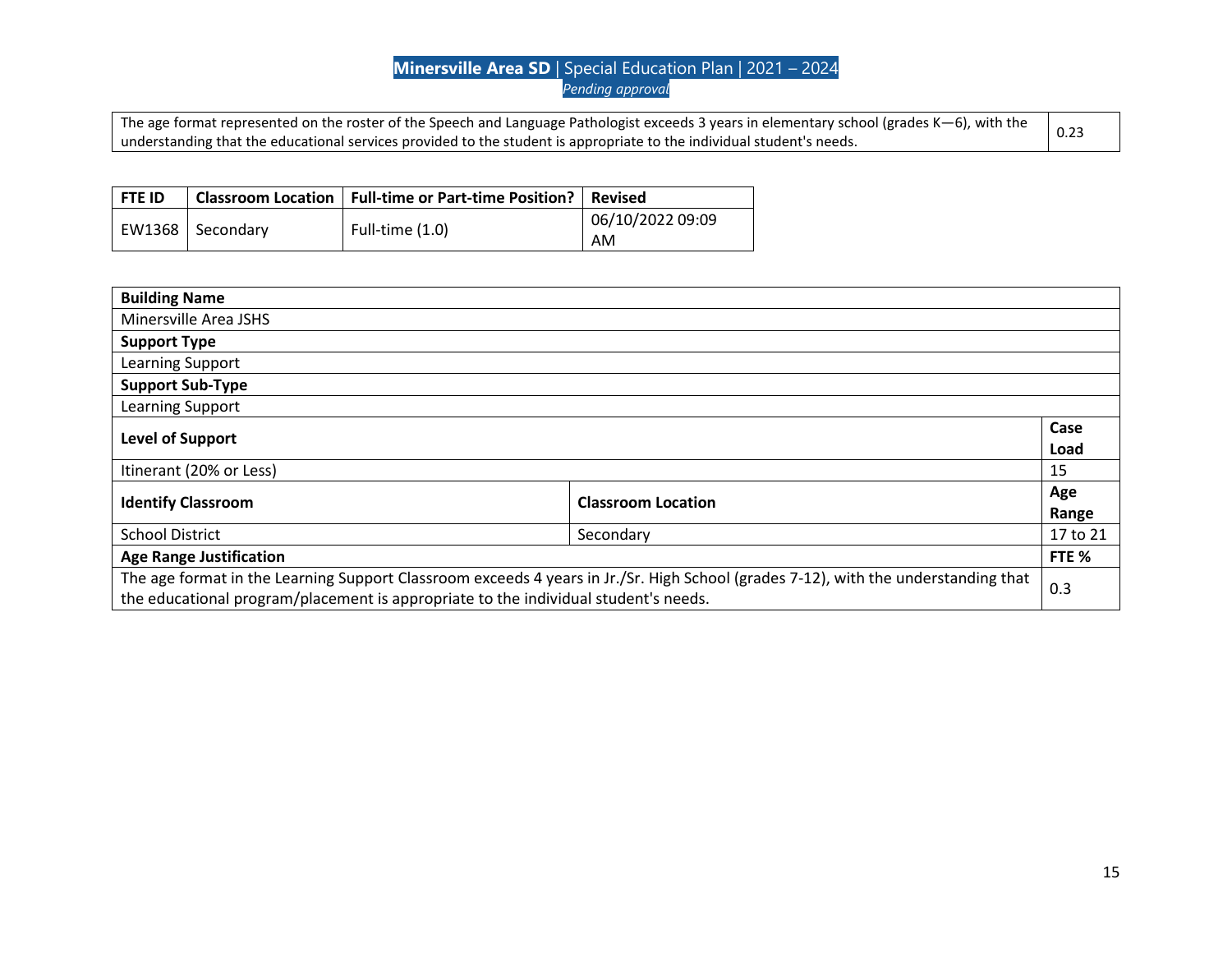| The age format represented on the roster of the Speech and Language Pathologist exceeds 3 years in elementary school (grades K-6), with the |  |
|---------------------------------------------------------------------------------------------------------------------------------------------|--|
| understanding that the educational services provided to the student is appropriate to the individual student's needs.                       |  |

| l FTE ID           | Classroom Location   Full-time or Part-time Position?   Revised |                  |
|--------------------|-----------------------------------------------------------------|------------------|
| EW1368   Secondary | Full-time $(1.0)$                                               | 06/10/2022 09:09 |
|                    |                                                                 | AM               |

| <b>Building Name</b>                                                                                                                                                                                                      |                           |              |
|---------------------------------------------------------------------------------------------------------------------------------------------------------------------------------------------------------------------------|---------------------------|--------------|
| Minersville Area JSHS                                                                                                                                                                                                     |                           |              |
| <b>Support Type</b>                                                                                                                                                                                                       |                           |              |
| Learning Support                                                                                                                                                                                                          |                           |              |
| <b>Support Sub-Type</b>                                                                                                                                                                                                   |                           |              |
| Learning Support                                                                                                                                                                                                          |                           |              |
| Level of Support                                                                                                                                                                                                          |                           | Case<br>Load |
| Itinerant (20% or Less)                                                                                                                                                                                                   |                           | 15           |
| <b>Identify Classroom</b>                                                                                                                                                                                                 | <b>Classroom Location</b> | Age<br>Range |
| <b>School District</b><br>Secondary                                                                                                                                                                                       |                           | 17 to 21     |
| <b>Age Range Justification</b>                                                                                                                                                                                            |                           | FTE %        |
| The age format in the Learning Support Classroom exceeds 4 years in Jr./Sr. High School (grades 7-12), with the understanding that<br>the educational program/placement is appropriate to the individual student's needs. |                           | 0.3          |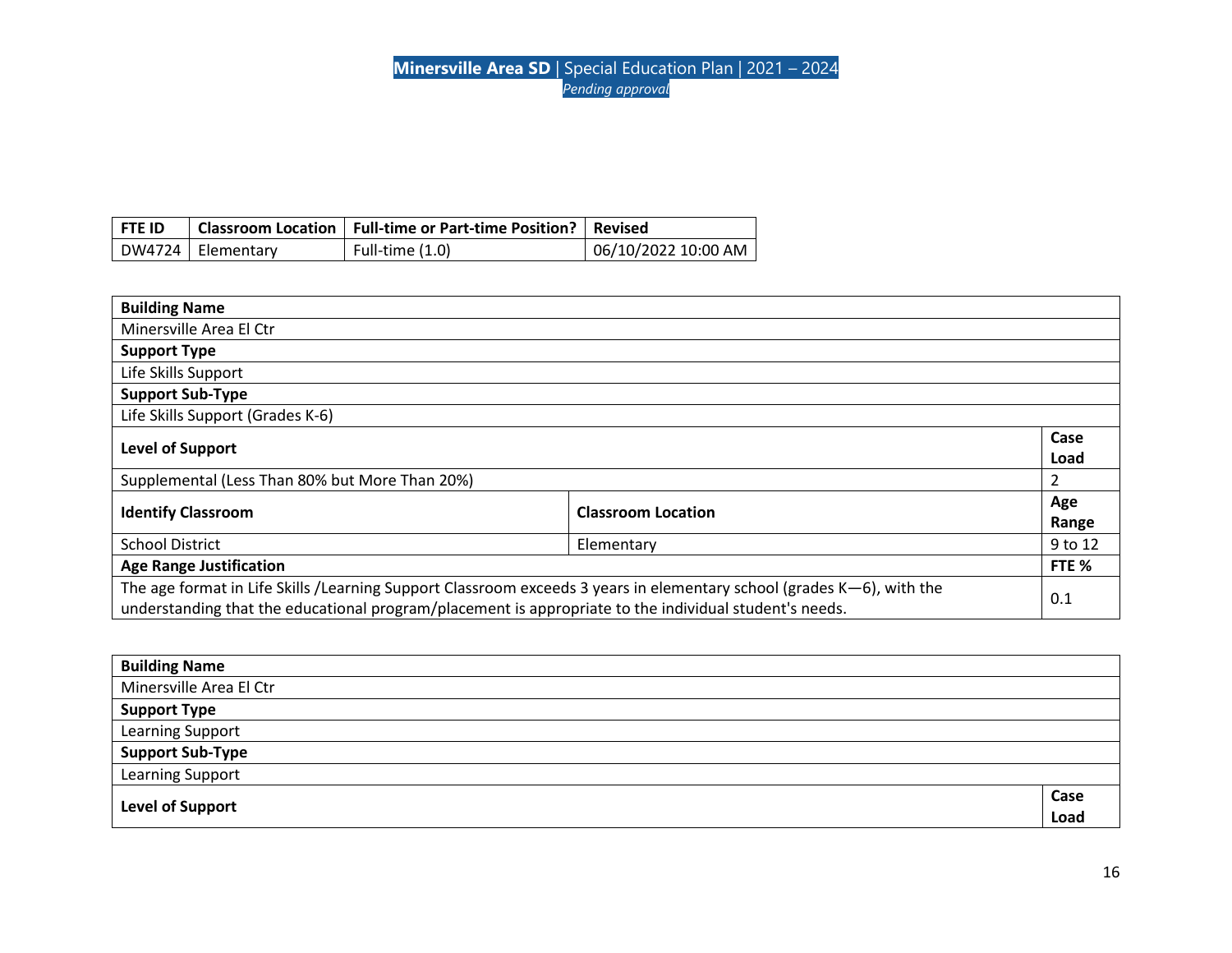| i fte id |                     | Classroom Location   Full-time or Part-time Position?   Revised |                     |
|----------|---------------------|-----------------------------------------------------------------|---------------------|
|          | DW4724   Elementary | Full-time (1.0)                                                 | 06/10/2022 10:00 AM |

| <b>Building Name</b>                                                                                                                                                                                                            |  |              |
|---------------------------------------------------------------------------------------------------------------------------------------------------------------------------------------------------------------------------------|--|--------------|
| Minersville Area El Ctr                                                                                                                                                                                                         |  |              |
| <b>Support Type</b>                                                                                                                                                                                                             |  |              |
| Life Skills Support                                                                                                                                                                                                             |  |              |
| <b>Support Sub-Type</b>                                                                                                                                                                                                         |  |              |
| Life Skills Support (Grades K-6)                                                                                                                                                                                                |  |              |
| <b>Level of Support</b>                                                                                                                                                                                                         |  | Case<br>Load |
| Supplemental (Less Than 80% but More Than 20%)                                                                                                                                                                                  |  | 2            |
| <b>Classroom Location</b><br><b>Identify Classroom</b>                                                                                                                                                                          |  | Age<br>Range |
| <b>School District</b><br>Elementary                                                                                                                                                                                            |  | 9 to 12      |
| <b>Age Range Justification</b>                                                                                                                                                                                                  |  | FTE %        |
| The age format in Life Skills /Learning Support Classroom exceeds 3 years in elementary school (grades K-6), with the<br>understanding that the educational program/placement is appropriate to the individual student's needs. |  | 0.1          |

| <b>Building Name</b>    |      |
|-------------------------|------|
| Minersville Area El Ctr |      |
| <b>Support Type</b>     |      |
| Learning Support        |      |
| <b>Support Sub-Type</b> |      |
| <b>Learning Support</b> |      |
|                         | Case |
| Level of Support        | Load |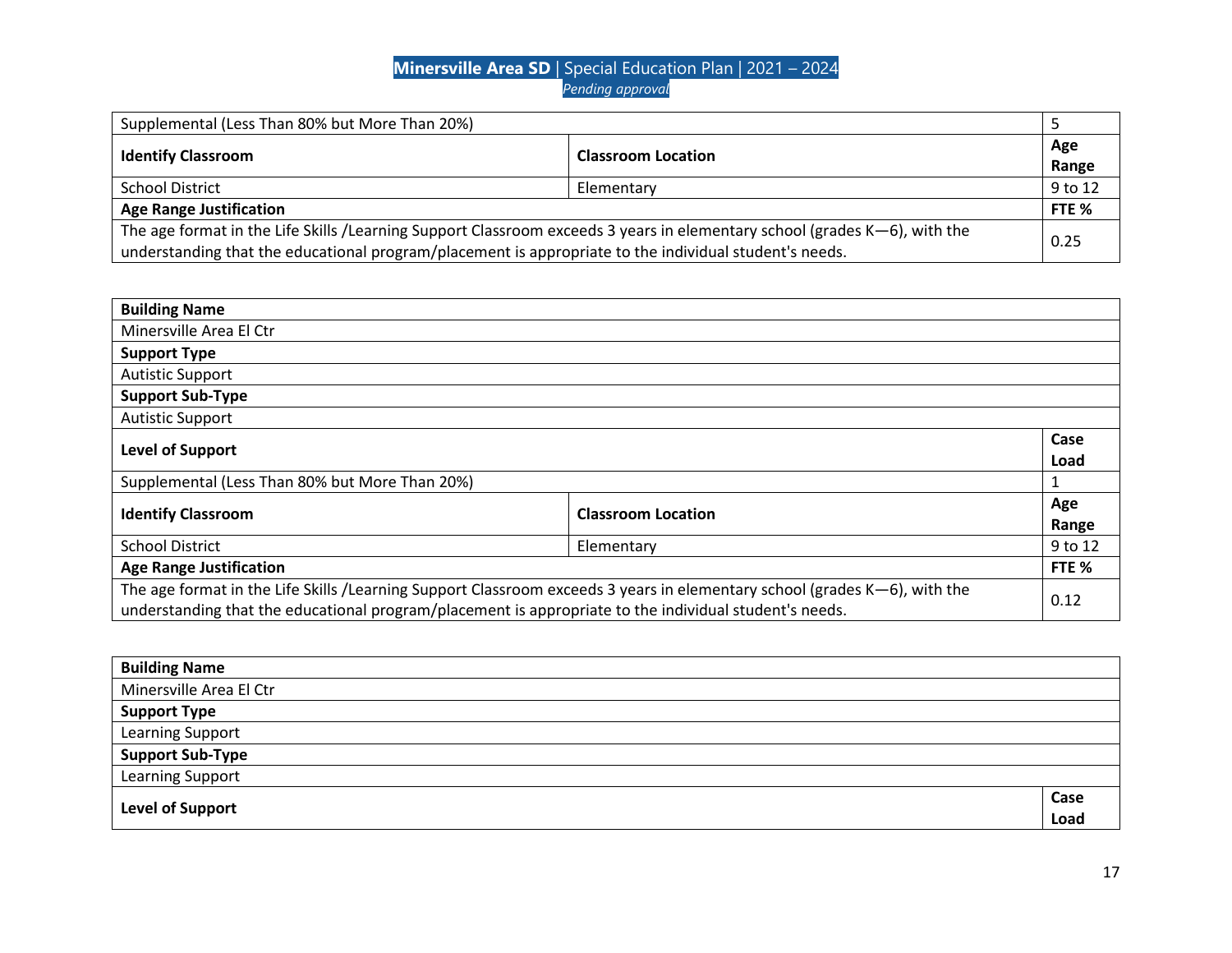| Supplemental (Less Than 80% but More Than 20%)                                                                                                                                                                                      |                           |         |
|-------------------------------------------------------------------------------------------------------------------------------------------------------------------------------------------------------------------------------------|---------------------------|---------|
| <b>Identify Classroom</b>                                                                                                                                                                                                           |                           | Age     |
|                                                                                                                                                                                                                                     | <b>Classroom Location</b> |         |
| <b>School District</b>                                                                                                                                                                                                              | Elementary                | 9 to 12 |
| <b>Age Range Justification</b>                                                                                                                                                                                                      |                           | FTE %   |
| The age format in the Life Skills /Learning Support Classroom exceeds 3 years in elementary school (grades K-6), with the<br>understanding that the educational program/placement is appropriate to the individual student's needs. |                           | 0.25    |

| <b>Building Name</b>                                                                                                                                                                                                                |  |              |
|-------------------------------------------------------------------------------------------------------------------------------------------------------------------------------------------------------------------------------------|--|--------------|
| Minersville Area El Ctr                                                                                                                                                                                                             |  |              |
| <b>Support Type</b>                                                                                                                                                                                                                 |  |              |
| <b>Autistic Support</b>                                                                                                                                                                                                             |  |              |
| <b>Support Sub-Type</b>                                                                                                                                                                                                             |  |              |
| <b>Autistic Support</b>                                                                                                                                                                                                             |  |              |
| <b>Level of Support</b>                                                                                                                                                                                                             |  | Case<br>Load |
| Supplemental (Less Than 80% but More Than 20%)                                                                                                                                                                                      |  |              |
| <b>Classroom Location</b><br><b>Identify Classroom</b>                                                                                                                                                                              |  | Age<br>Range |
| <b>School District</b><br>Elementary                                                                                                                                                                                                |  | 9 to 12      |
| <b>Age Range Justification</b>                                                                                                                                                                                                      |  | FTE %        |
| The age format in the Life Skills /Learning Support Classroom exceeds 3 years in elementary school (grades K-6), with the<br>understanding that the educational program/placement is appropriate to the individual student's needs. |  | 0.12         |

| <b>Building Name</b>    |      |
|-------------------------|------|
| Minersville Area El Ctr |      |
| <b>Support Type</b>     |      |
| Learning Support        |      |
| <b>Support Sub-Type</b> |      |
| Learning Support        |      |
|                         | Case |
| <b>Level of Support</b> | Load |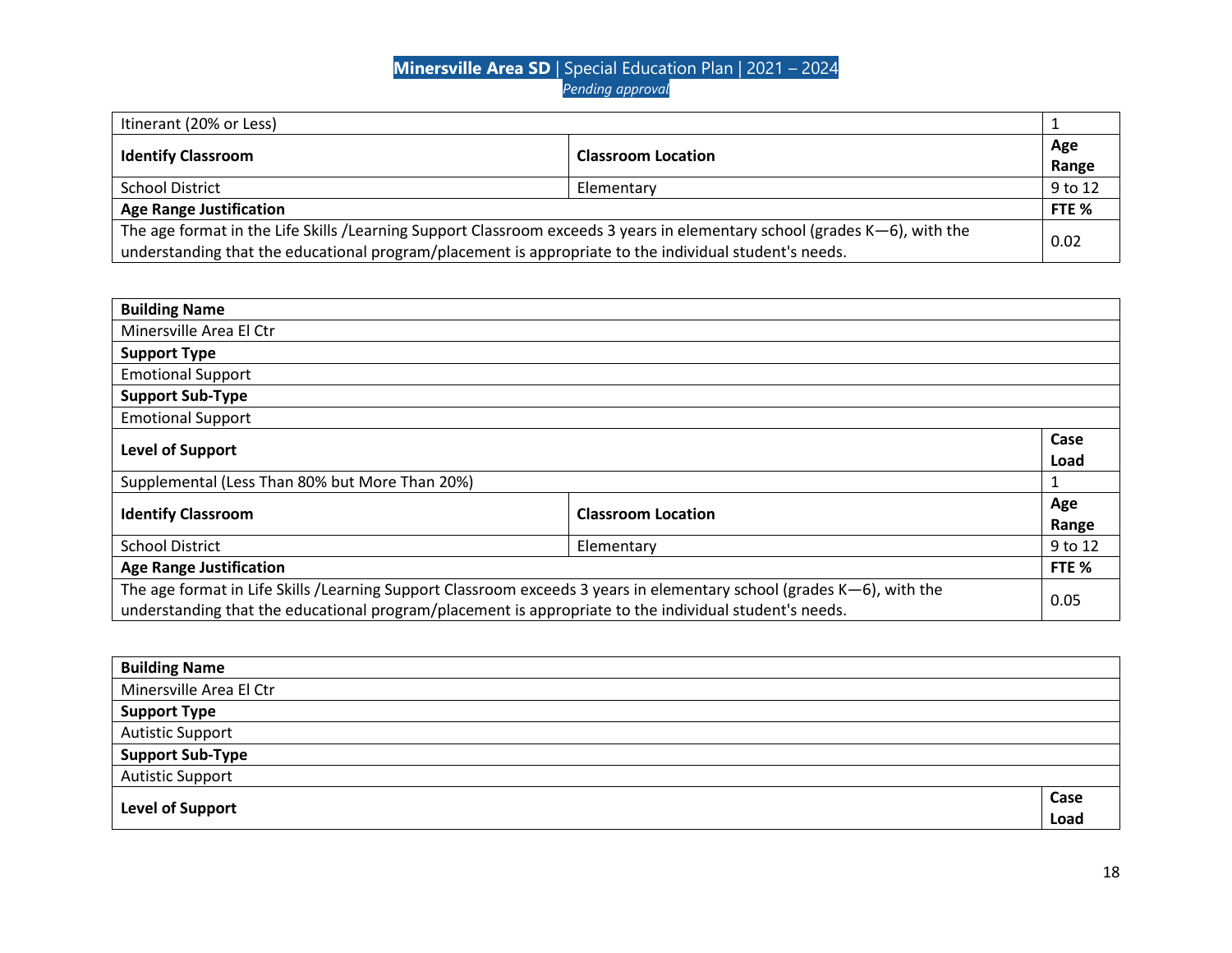| Itinerant (20% or Less)                                                                                                                                                                                                             |                                                        |         |
|-------------------------------------------------------------------------------------------------------------------------------------------------------------------------------------------------------------------------------------|--------------------------------------------------------|---------|
|                                                                                                                                                                                                                                     | <b>Identify Classroom</b><br><b>Classroom Location</b> | Age     |
|                                                                                                                                                                                                                                     |                                                        | Range   |
| <b>School District</b>                                                                                                                                                                                                              | Elementary                                             | 9 to 12 |
| <b>Age Range Justification</b>                                                                                                                                                                                                      |                                                        | FTE %   |
| The age format in the Life Skills /Learning Support Classroom exceeds 3 years in elementary school (grades K-6), with the<br>understanding that the educational program/placement is appropriate to the individual student's needs. |                                                        | 0.02    |

| <b>Building Name</b>                                                                                                   |                           |         |
|------------------------------------------------------------------------------------------------------------------------|---------------------------|---------|
| Minersville Area El Ctr                                                                                                |                           |         |
| <b>Support Type</b>                                                                                                    |                           |         |
| <b>Emotional Support</b>                                                                                               |                           |         |
| <b>Support Sub-Type</b>                                                                                                |                           |         |
| <b>Emotional Support</b>                                                                                               |                           |         |
| <b>Level of Support</b>                                                                                                |                           |         |
|                                                                                                                        |                           | Load    |
| Supplemental (Less Than 80% but More Than 20%)                                                                         |                           |         |
| <b>Identify Classroom</b>                                                                                              | <b>Classroom Location</b> | Age     |
|                                                                                                                        |                           | Range   |
| <b>School District</b><br>Elementary                                                                                   |                           | 9 to 12 |
| <b>Age Range Justification</b>                                                                                         |                           | FTE %   |
| The age format in Life Skills / Learning Support Classroom exceeds 3 years in elementary school (grades K-6), with the |                           | 0.05    |
| understanding that the educational program/placement is appropriate to the individual student's needs.                 |                           |         |

| <b>Building Name</b>    |      |
|-------------------------|------|
| Minersville Area El Ctr |      |
| <b>Support Type</b>     |      |
| <b>Autistic Support</b> |      |
| <b>Support Sub-Type</b> |      |
| <b>Autistic Support</b> |      |
| Level of Support        | Case |
|                         | Load |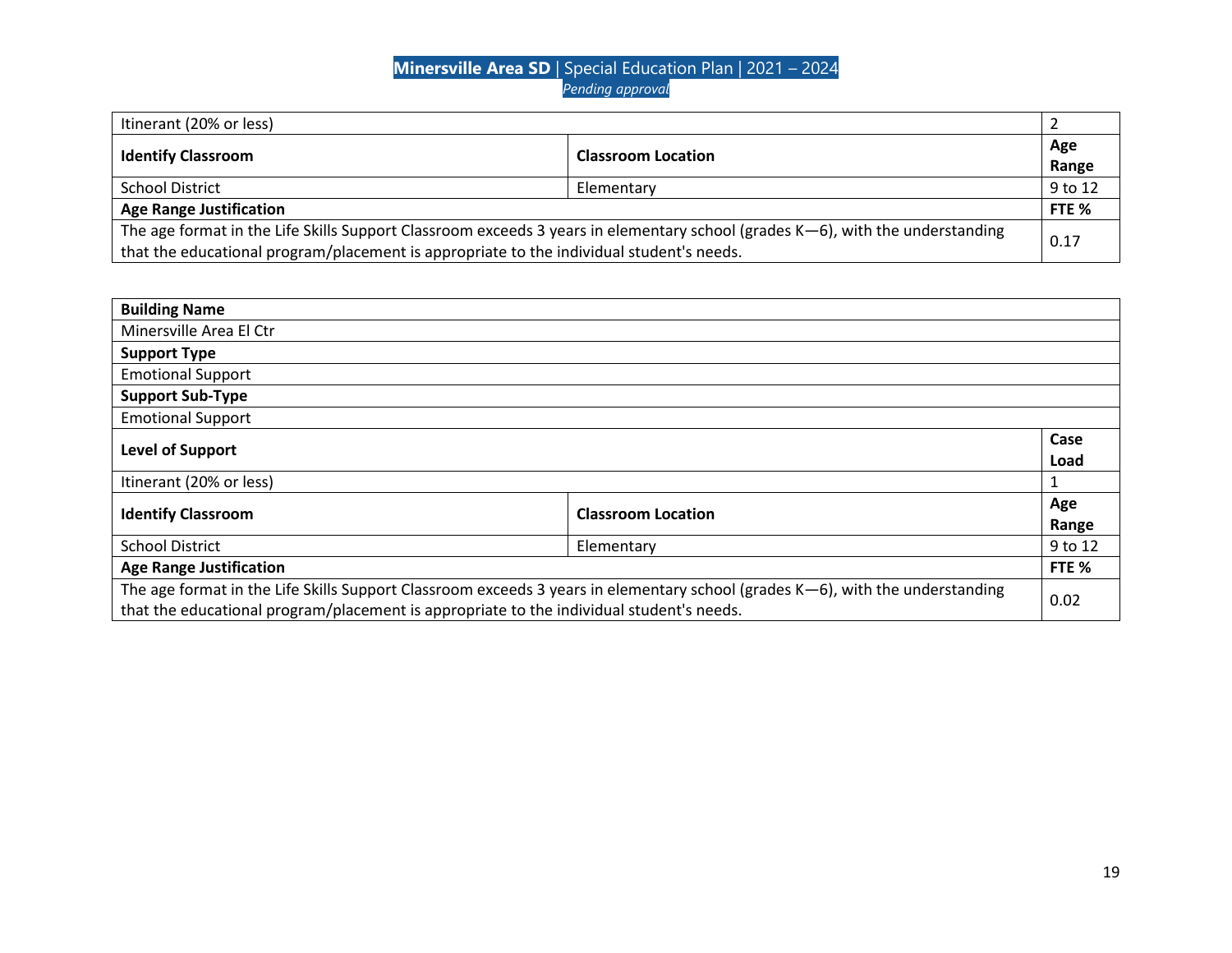| Itinerant (20% or less)                                                                                                          |                           |         |
|----------------------------------------------------------------------------------------------------------------------------------|---------------------------|---------|
| <b>Identify Classroom</b>                                                                                                        | <b>Classroom Location</b> | Age     |
|                                                                                                                                  |                           | Range   |
| <b>School District</b>                                                                                                           | Elementary                | 9 to 12 |
| <b>Age Range Justification</b>                                                                                                   |                           | FTE %   |
| The age format in the Life Skills Support Classroom exceeds 3 years in elementary school (grades $K-6$ ), with the understanding |                           | 0.17    |
| that the educational program/placement is appropriate to the individual student's needs.                                         |                           |         |

| <b>Building Name</b>                                                                                                                                                                                                         |  |              |
|------------------------------------------------------------------------------------------------------------------------------------------------------------------------------------------------------------------------------|--|--------------|
| Minersville Area El Ctr                                                                                                                                                                                                      |  |              |
| <b>Support Type</b>                                                                                                                                                                                                          |  |              |
| <b>Emotional Support</b>                                                                                                                                                                                                     |  |              |
| <b>Support Sub-Type</b>                                                                                                                                                                                                      |  |              |
| <b>Emotional Support</b>                                                                                                                                                                                                     |  |              |
| <b>Level of Support</b>                                                                                                                                                                                                      |  | Case<br>Load |
| Itinerant (20% or less)                                                                                                                                                                                                      |  | 1            |
| <b>Identify Classroom</b><br><b>Classroom Location</b>                                                                                                                                                                       |  | Age<br>Range |
| <b>School District</b><br>Elementary                                                                                                                                                                                         |  | 9 to 12      |
| <b>Age Range Justification</b>                                                                                                                                                                                               |  | FTE %        |
| The age format in the Life Skills Support Classroom exceeds 3 years in elementary school (grades $K-6$ ), with the understanding<br>that the educational program/placement is appropriate to the individual student's needs. |  | 0.02         |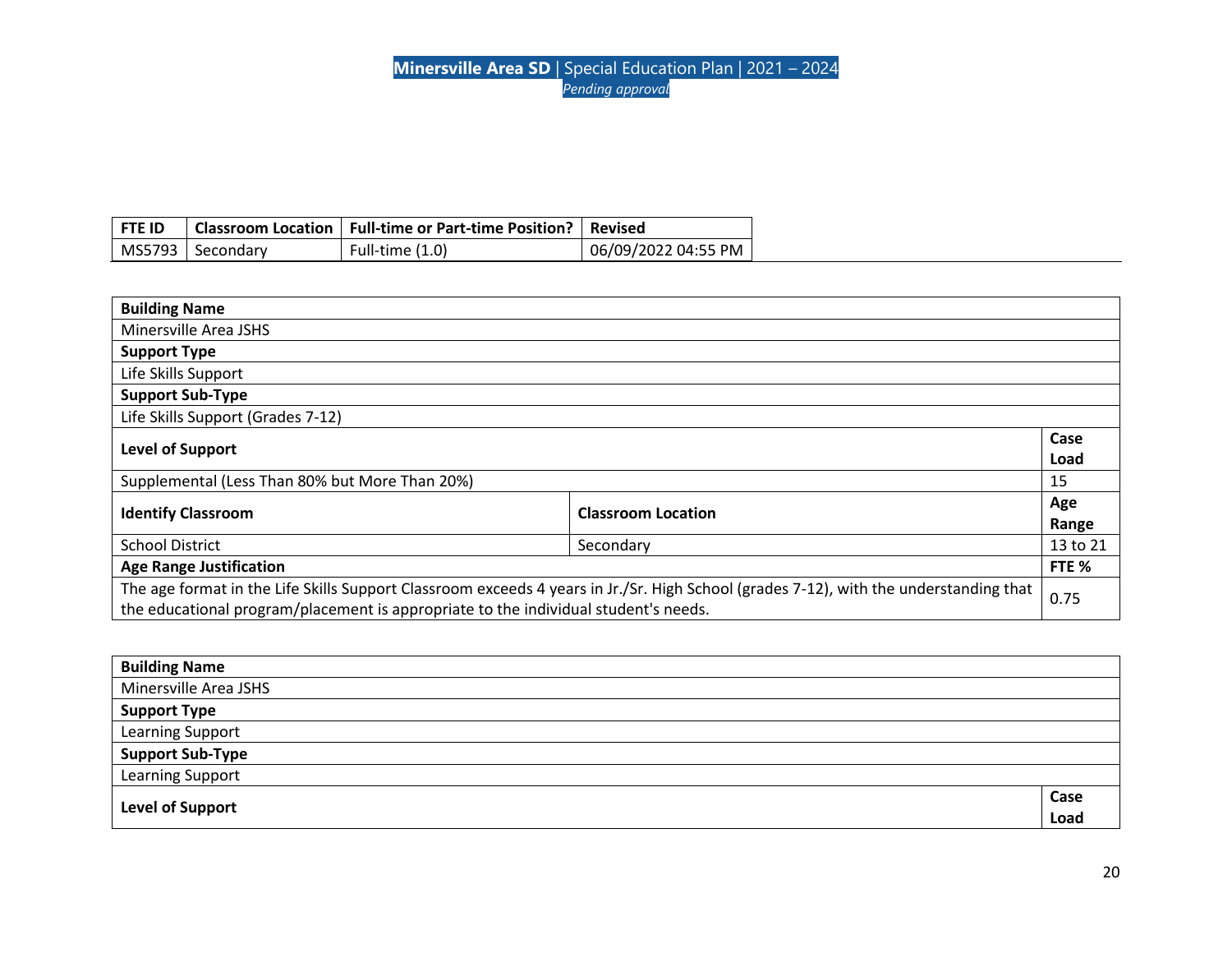| <b>FTE ID</b> |                    | Classroom Location   Full-time or Part-time Position?   Revised |                     |
|---------------|--------------------|-----------------------------------------------------------------|---------------------|
|               | MS5793   Secondary | Full-time $(1.0)$                                               | 06/09/2022 04:55 PM |

| <b>Building Name</b>                                                                |                                                                                                                                       |              |
|-------------------------------------------------------------------------------------|---------------------------------------------------------------------------------------------------------------------------------------|--------------|
| Minersville Area JSHS                                                               |                                                                                                                                       |              |
| <b>Support Type</b>                                                                 |                                                                                                                                       |              |
| Life Skills Support                                                                 |                                                                                                                                       |              |
| <b>Support Sub-Type</b>                                                             |                                                                                                                                       |              |
| Life Skills Support (Grades 7-12)                                                   |                                                                                                                                       |              |
| Level of Support                                                                    |                                                                                                                                       | Case<br>Load |
| Supplemental (Less Than 80% but More Than 20%)                                      |                                                                                                                                       | 15           |
| <b>Identify Classroom</b>                                                           | <b>Classroom Location</b>                                                                                                             | Age<br>Range |
| <b>School District</b><br>Secondary                                                 |                                                                                                                                       | 13 to 21     |
| <b>Age Range Justification</b>                                                      |                                                                                                                                       | FTE %        |
| the educational program/placement is appropriate to the individual student's needs. | The age format in the Life Skills Support Classroom exceeds 4 years in Jr./Sr. High School (grades 7-12), with the understanding that | 0.75         |

| <b>Building Name</b>    |      |
|-------------------------|------|
| Minersville Area JSHS   |      |
| <b>Support Type</b>     |      |
| <b>Learning Support</b> |      |
| <b>Support Sub-Type</b> |      |
| Learning Support        |      |
|                         | Case |
| <b>Level of Support</b> | Load |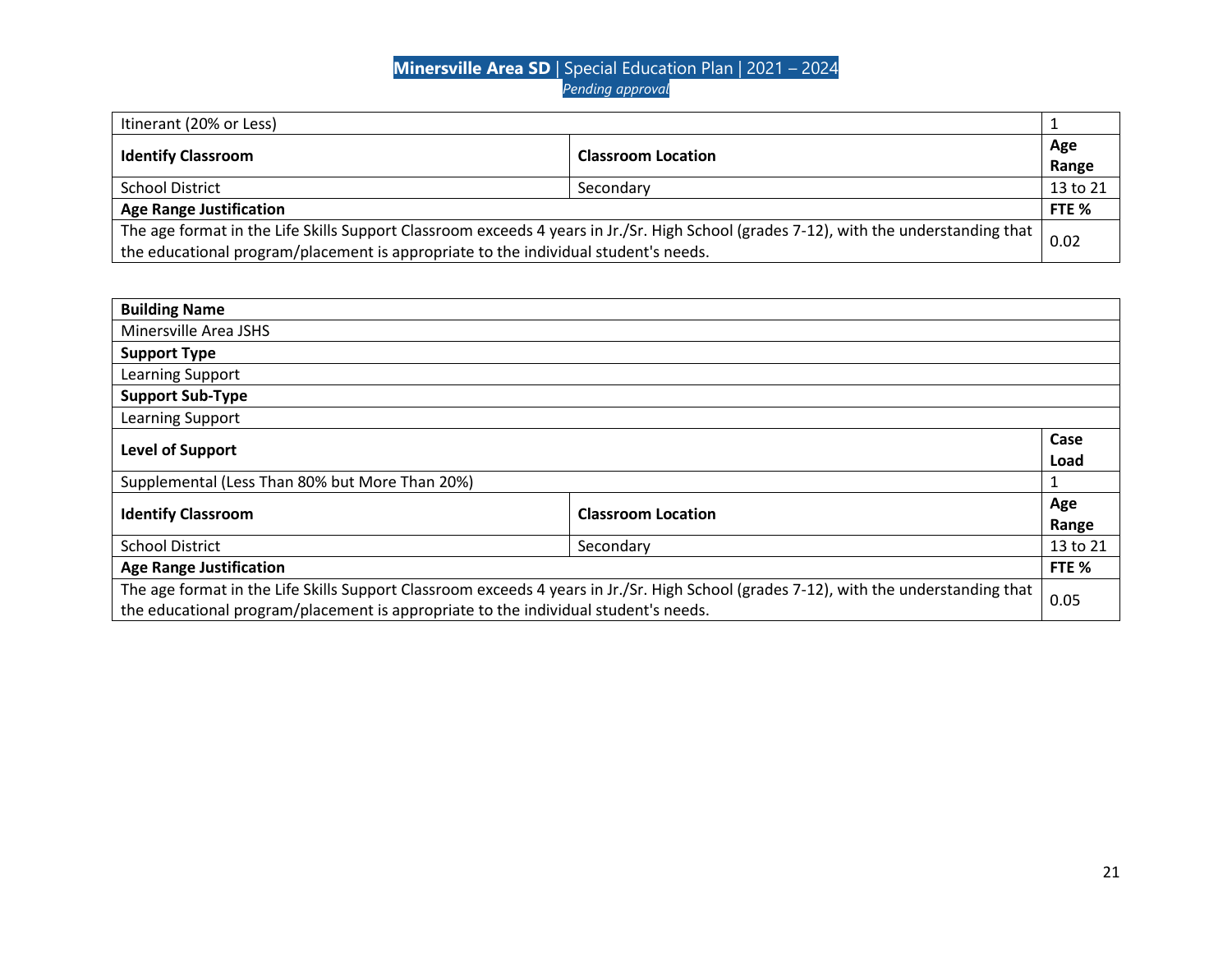| Itinerant (20% or Less)                                                                                                               |                           |          |
|---------------------------------------------------------------------------------------------------------------------------------------|---------------------------|----------|
| <b>Identify Classroom</b>                                                                                                             | <b>Classroom Location</b> | Age      |
|                                                                                                                                       |                           | Range    |
| <b>School District</b>                                                                                                                | Secondary                 | 13 to 21 |
| <b>Age Range Justification</b>                                                                                                        |                           | FTE %    |
| The age format in the Life Skills Support Classroom exceeds 4 years in Jr./Sr. High School (grades 7-12), with the understanding that |                           |          |
| the educational program/placement is appropriate to the individual student's needs.                                                   |                           | 0.02     |

| <b>Building Name</b>                                                                |                                                                                                                                       |              |
|-------------------------------------------------------------------------------------|---------------------------------------------------------------------------------------------------------------------------------------|--------------|
| Minersville Area JSHS                                                               |                                                                                                                                       |              |
| <b>Support Type</b>                                                                 |                                                                                                                                       |              |
| Learning Support                                                                    |                                                                                                                                       |              |
| <b>Support Sub-Type</b>                                                             |                                                                                                                                       |              |
| Learning Support                                                                    |                                                                                                                                       |              |
| <b>Level of Support</b>                                                             |                                                                                                                                       | Case<br>Load |
| Supplemental (Less Than 80% but More Than 20%)                                      |                                                                                                                                       | 1            |
| <b>Identify Classroom</b>                                                           | <b>Classroom Location</b>                                                                                                             | Age<br>Range |
| <b>School District</b>                                                              | Secondary                                                                                                                             | 13 to 21     |
| <b>Age Range Justification</b>                                                      |                                                                                                                                       | FTE %        |
| the educational program/placement is appropriate to the individual student's needs. | The age format in the Life Skills Support Classroom exceeds 4 years in Jr./Sr. High School (grades 7-12), with the understanding that | 0.05         |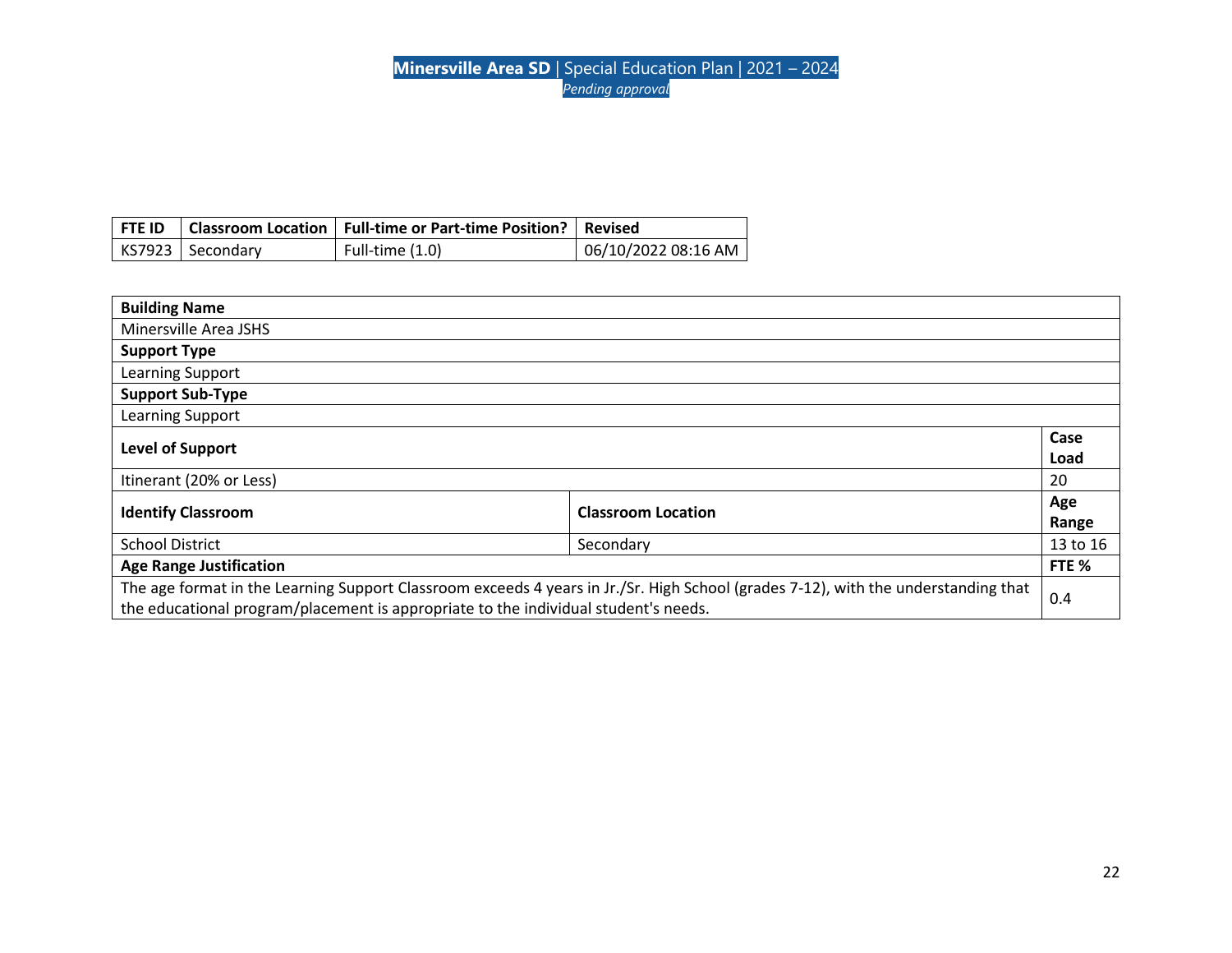|                    | FTE ID   Classroom Location   Full-time or Part-time Position?   Revised |                     |
|--------------------|--------------------------------------------------------------------------|---------------------|
| KS7923   Secondary | Full-time $(1.0)$                                                        | 06/10/2022 08:16 AM |

| <b>Building Name</b>                                                                |                                                                                                                                    |              |
|-------------------------------------------------------------------------------------|------------------------------------------------------------------------------------------------------------------------------------|--------------|
| Minersville Area JSHS                                                               |                                                                                                                                    |              |
| <b>Support Type</b>                                                                 |                                                                                                                                    |              |
| Learning Support                                                                    |                                                                                                                                    |              |
| <b>Support Sub-Type</b>                                                             |                                                                                                                                    |              |
| Learning Support                                                                    |                                                                                                                                    |              |
| <b>Level of Support</b>                                                             |                                                                                                                                    | Case<br>Load |
| Itinerant (20% or Less)                                                             |                                                                                                                                    | 20           |
| <b>Identify Classroom</b>                                                           | <b>Classroom Location</b>                                                                                                          | Age<br>Range |
| <b>School District</b><br>Secondary                                                 |                                                                                                                                    | 13 to 16     |
| <b>Age Range Justification</b>                                                      |                                                                                                                                    | FTE %        |
| the educational program/placement is appropriate to the individual student's needs. | The age format in the Learning Support Classroom exceeds 4 years in Jr./Sr. High School (grades 7-12), with the understanding that | 0.4          |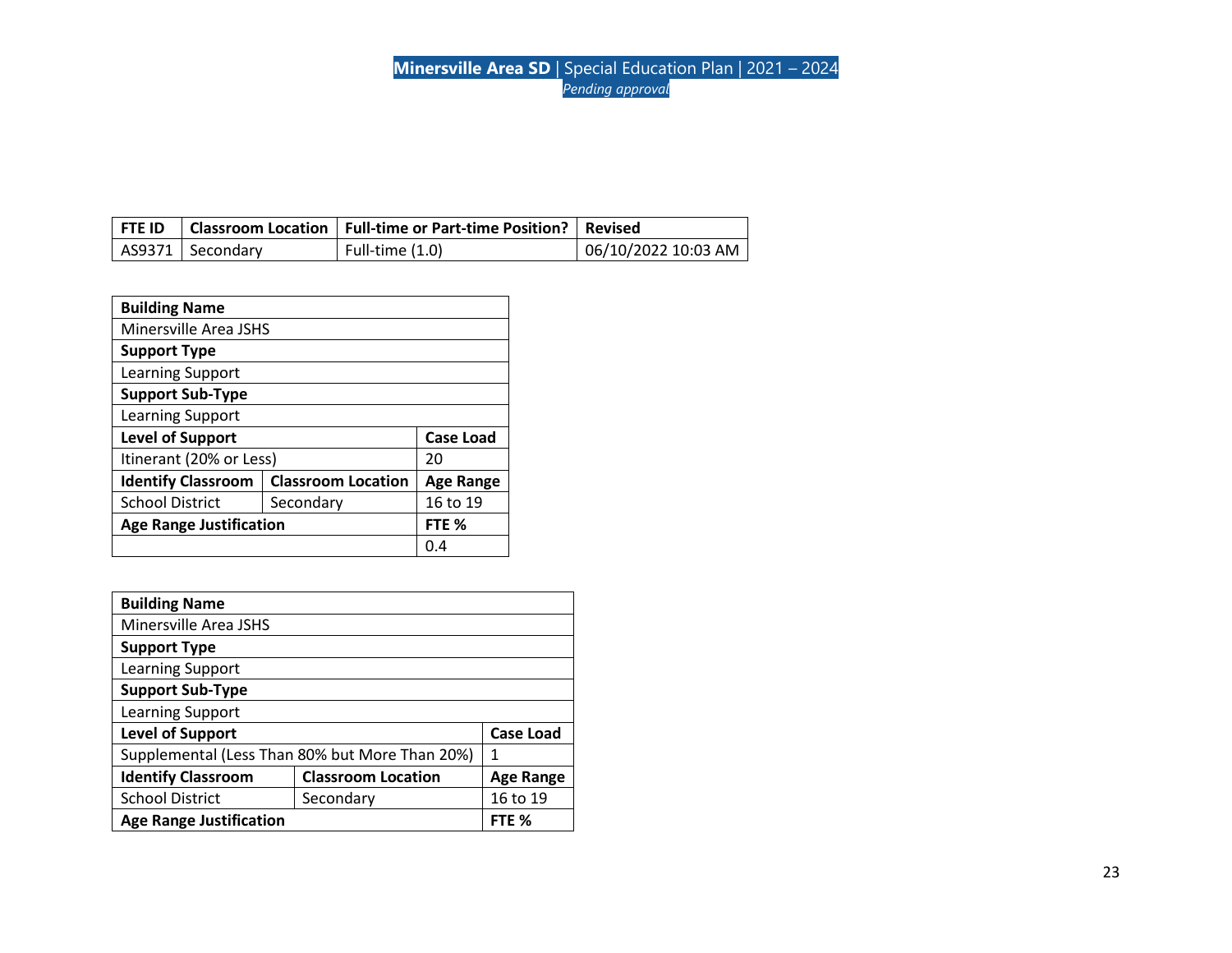|                  | FTE ID   Classroom Location   Full-time or Part-time Position?   Revised |                     |
|------------------|--------------------------------------------------------------------------|---------------------|
| AS9371 Secondary | Full-time $(1.0)$                                                        | 06/10/2022 10:03 AM |

| <b>Building Name</b>           |                           |                  |  |  |
|--------------------------------|---------------------------|------------------|--|--|
| Minersville Area JSHS          |                           |                  |  |  |
| <b>Support Type</b>            |                           |                  |  |  |
| Learning Support               |                           |                  |  |  |
| <b>Support Sub-Type</b>        |                           |                  |  |  |
| Learning Support               |                           |                  |  |  |
| <b>Level of Support</b>        | <b>Case Load</b>          |                  |  |  |
| Itinerant (20% or Less)        |                           | 20               |  |  |
| <b>Identify Classroom</b>      | <b>Classroom Location</b> | <b>Age Range</b> |  |  |
| <b>School District</b>         | Secondary                 | 16 to 19         |  |  |
| <b>Age Range Justification</b> |                           | FTE %            |  |  |
|                                |                           | 0.4              |  |  |

| <b>Building Name</b>           |                                                |                  |
|--------------------------------|------------------------------------------------|------------------|
| Minersville Area JSHS          |                                                |                  |
| <b>Support Type</b>            |                                                |                  |
| Learning Support               |                                                |                  |
| <b>Support Sub-Type</b>        |                                                |                  |
| Learning Support               |                                                |                  |
| <b>Level of Support</b>        |                                                | <b>Case Load</b> |
|                                | Supplemental (Less Than 80% but More Than 20%) | 1                |
| <b>Identify Classroom</b>      | <b>Classroom Location</b>                      | <b>Age Range</b> |
| <b>School District</b>         | Secondary                                      | 16 to 19         |
| <b>Age Range Justification</b> |                                                | FTE %            |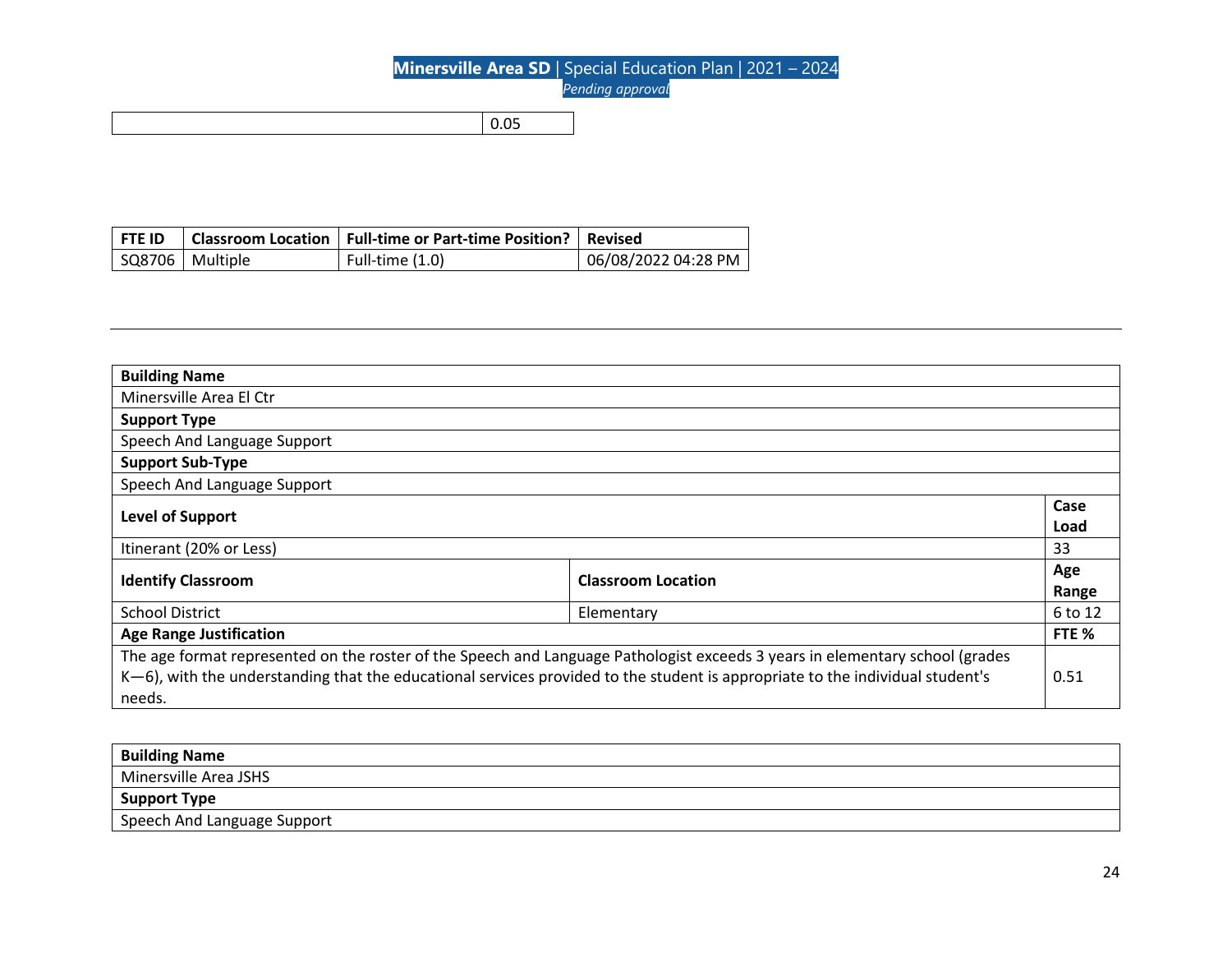| <b>FTE ID</b>     | Classroom Location   Full-time or Part-time Position?   Revised |                     |
|-------------------|-----------------------------------------------------------------|---------------------|
| SQ8706   Multiple | Full-time $(1.0)$                                               | 06/08/2022 04:28 PM |

| <b>Building Name</b>                                                                                                          |                                                                                                                              |         |
|-------------------------------------------------------------------------------------------------------------------------------|------------------------------------------------------------------------------------------------------------------------------|---------|
| Minersville Area El Ctr                                                                                                       |                                                                                                                              |         |
| <b>Support Type</b>                                                                                                           |                                                                                                                              |         |
| Speech And Language Support                                                                                                   |                                                                                                                              |         |
| <b>Support Sub-Type</b>                                                                                                       |                                                                                                                              |         |
| Speech And Language Support                                                                                                   |                                                                                                                              |         |
| Level of Support                                                                                                              |                                                                                                                              | Case    |
|                                                                                                                               |                                                                                                                              | Load    |
| Itinerant (20% or Less)                                                                                                       |                                                                                                                              | 33      |
| <b>Identify Classroom</b>                                                                                                     | <b>Classroom Location</b>                                                                                                    | Age     |
|                                                                                                                               |                                                                                                                              | Range   |
| <b>School District</b>                                                                                                        | Elementary                                                                                                                   | 6 to 12 |
| <b>Age Range Justification</b>                                                                                                |                                                                                                                              | FTE %   |
|                                                                                                                               | The age format represented on the roster of the Speech and Language Pathologist exceeds 3 years in elementary school (grades |         |
| K-6), with the understanding that the educational services provided to the student is appropriate to the individual student's |                                                                                                                              | 0.51    |
| needs.                                                                                                                        |                                                                                                                              |         |

| <b>Building Name</b>        |
|-----------------------------|
| Minersville Area JSHS       |
| Support Type                |
| Speech And Language Support |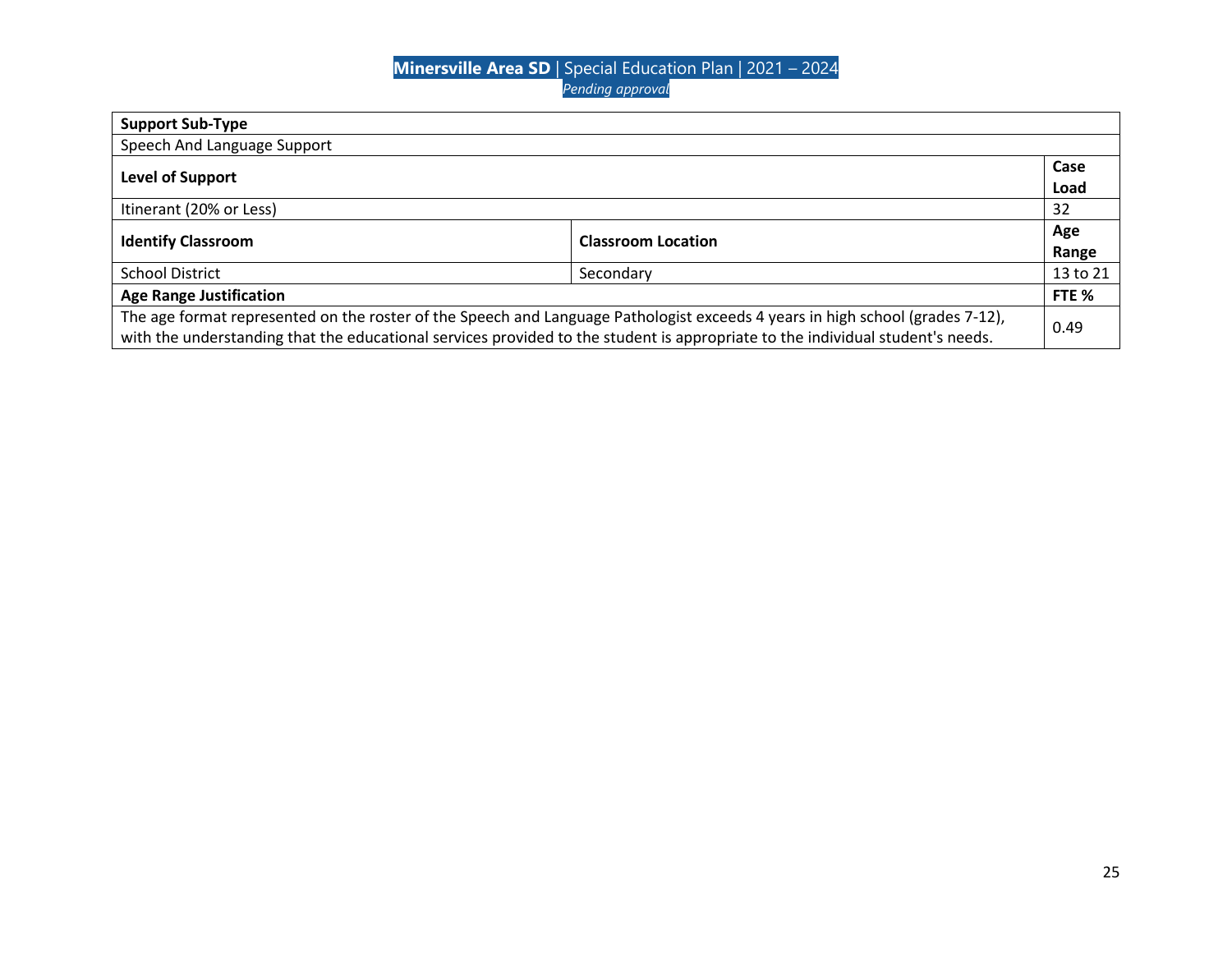| <b>Support Sub-Type</b>                                                                                                        |                           |          |
|--------------------------------------------------------------------------------------------------------------------------------|---------------------------|----------|
| Speech And Language Support                                                                                                    |                           |          |
|                                                                                                                                |                           | Case     |
| <b>Level of Support</b>                                                                                                        |                           | Load     |
| Itinerant (20% or Less)                                                                                                        |                           | 32       |
|                                                                                                                                | <b>Classroom Location</b> | Age      |
| <b>Identify Classroom</b>                                                                                                      |                           | Range    |
| <b>School District</b>                                                                                                         | Secondary                 | 13 to 21 |
| <b>Age Range Justification</b>                                                                                                 |                           | FTE %    |
| The age format represented on the roster of the Speech and Language Pathologist exceeds 4 years in high school (grades 7-12),  |                           |          |
| with the understanding that the educational services provided to the student is appropriate to the individual student's needs. |                           | 0.49     |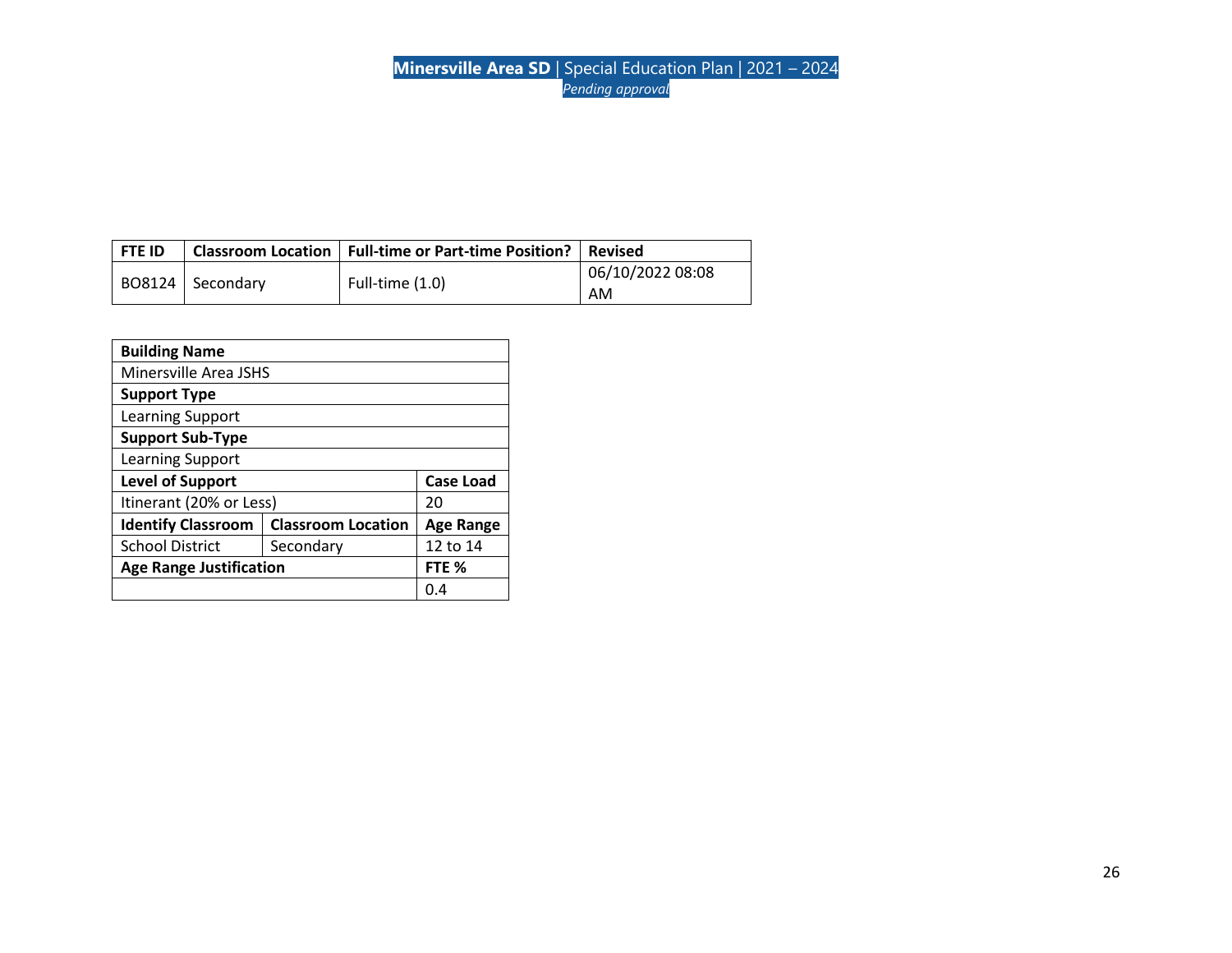| l FTE ID |                  | Classroom Location   Full-time or Part-time Position? | <b>Revised</b>   |
|----------|------------------|-------------------------------------------------------|------------------|
|          |                  | Full-time $(1.0)$                                     | 06/10/2022 08:08 |
|          | BO8124 Secondary |                                                       | AM               |

| <b>Building Name</b>           |                           |                  |
|--------------------------------|---------------------------|------------------|
| Minersville Area JSHS          |                           |                  |
| <b>Support Type</b>            |                           |                  |
| Learning Support               |                           |                  |
| <b>Support Sub-Type</b>        |                           |                  |
| Learning Support               |                           |                  |
| <b>Level of Support</b>        |                           | <b>Case Load</b> |
| Itinerant (20% or Less)        |                           | 20               |
| <b>Identify Classroom</b>      | <b>Classroom Location</b> | <b>Age Range</b> |
| <b>School District</b>         | Secondary                 | 12 to 14         |
| <b>Age Range Justification</b> |                           | FTE %            |
|                                |                           | 0.4              |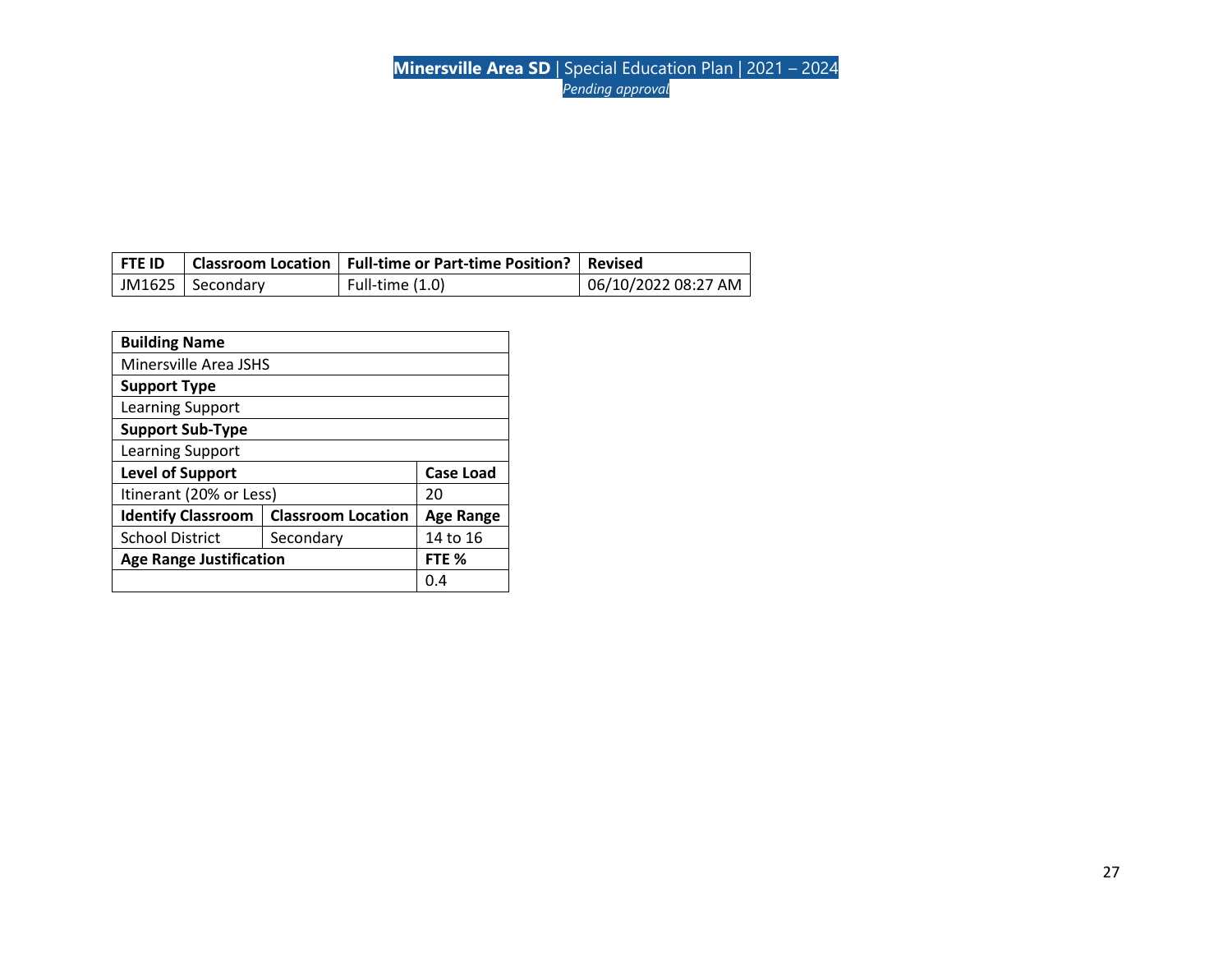| <b>FTE ID</b> |                    | Classroom Location   Full-time or Part-time Position?   Revised |                     |
|---------------|--------------------|-----------------------------------------------------------------|---------------------|
|               | JM1625   Secondary | Full-time (1.0)                                                 | 06/10/2022 08:27 AM |

| <b>Building Name</b>           |                           |                  |
|--------------------------------|---------------------------|------------------|
| Minersville Area JSHS          |                           |                  |
| <b>Support Type</b>            |                           |                  |
| Learning Support               |                           |                  |
| <b>Support Sub-Type</b>        |                           |                  |
| Learning Support               |                           |                  |
| <b>Level of Support</b>        |                           | <b>Case Load</b> |
| Itinerant (20% or Less)        |                           | 20               |
| <b>Identify Classroom</b>      | <b>Classroom Location</b> | Age Range        |
| <b>School District</b>         | Secondary                 | 14 to 16         |
| <b>Age Range Justification</b> |                           | FTE %            |
|                                |                           | 0.4              |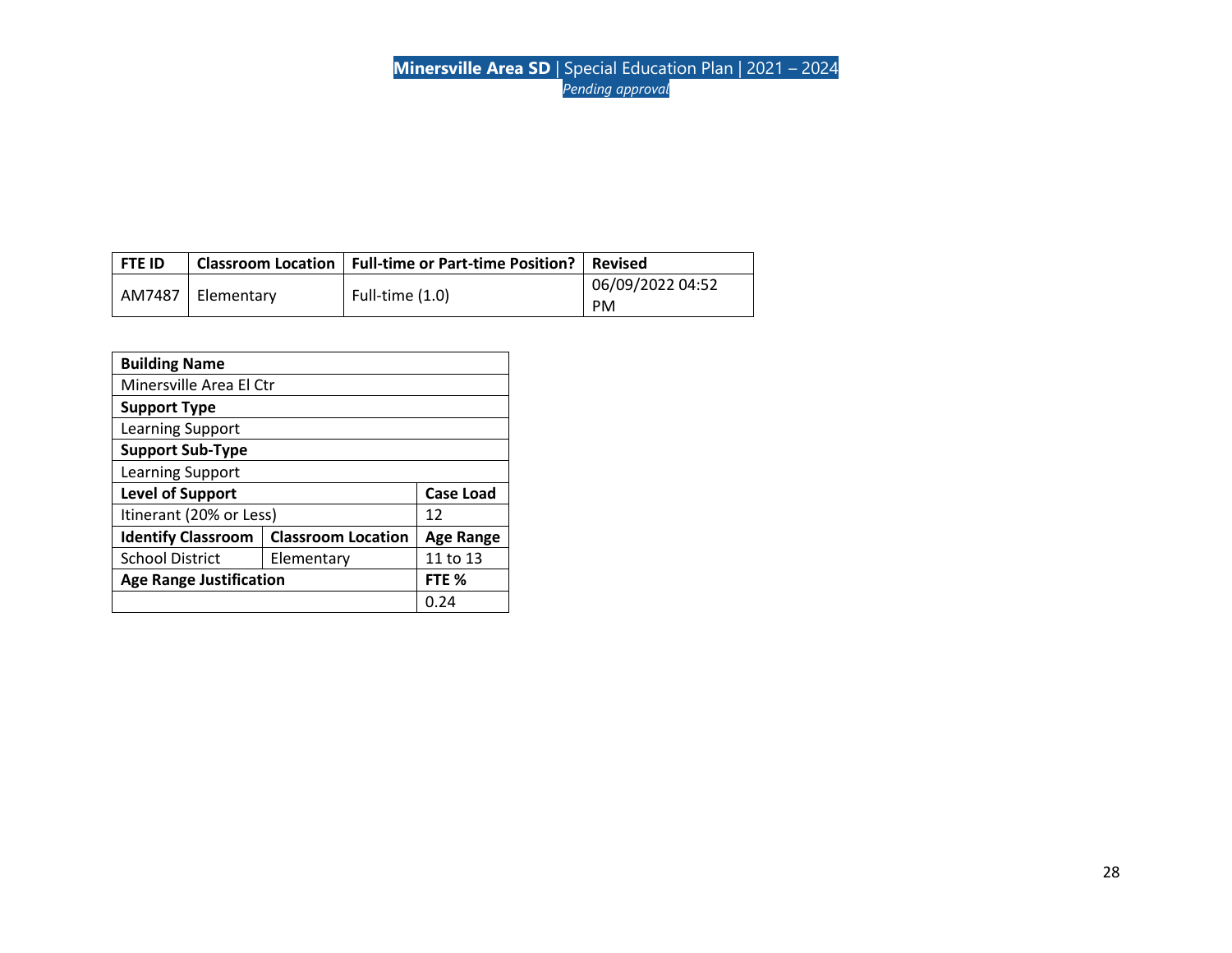| <b>FTE ID</b> |                     | Classroom Location   Full-time or Part-time Position?   Revised |                  |
|---------------|---------------------|-----------------------------------------------------------------|------------------|
|               | AM7487   Elementary | Full-time $(1.0)$                                               | 06/09/2022 04:52 |
|               |                     | <b>PM</b>                                                       |                  |

| <b>Building Name</b>           |                           |                  |
|--------------------------------|---------------------------|------------------|
| Minersville Area El Ctr        |                           |                  |
| <b>Support Type</b>            |                           |                  |
| <b>Learning Support</b>        |                           |                  |
| <b>Support Sub-Type</b>        |                           |                  |
| Learning Support               |                           |                  |
| <b>Level of Support</b>        |                           | <b>Case Load</b> |
| Itinerant (20% or Less)        |                           | 12               |
| <b>Identify Classroom</b>      | <b>Classroom Location</b> | <b>Age Range</b> |
| <b>School District</b>         | Elementary                | 11 to 13         |
| <b>Age Range Justification</b> |                           | FTE %            |
|                                |                           | 0.24             |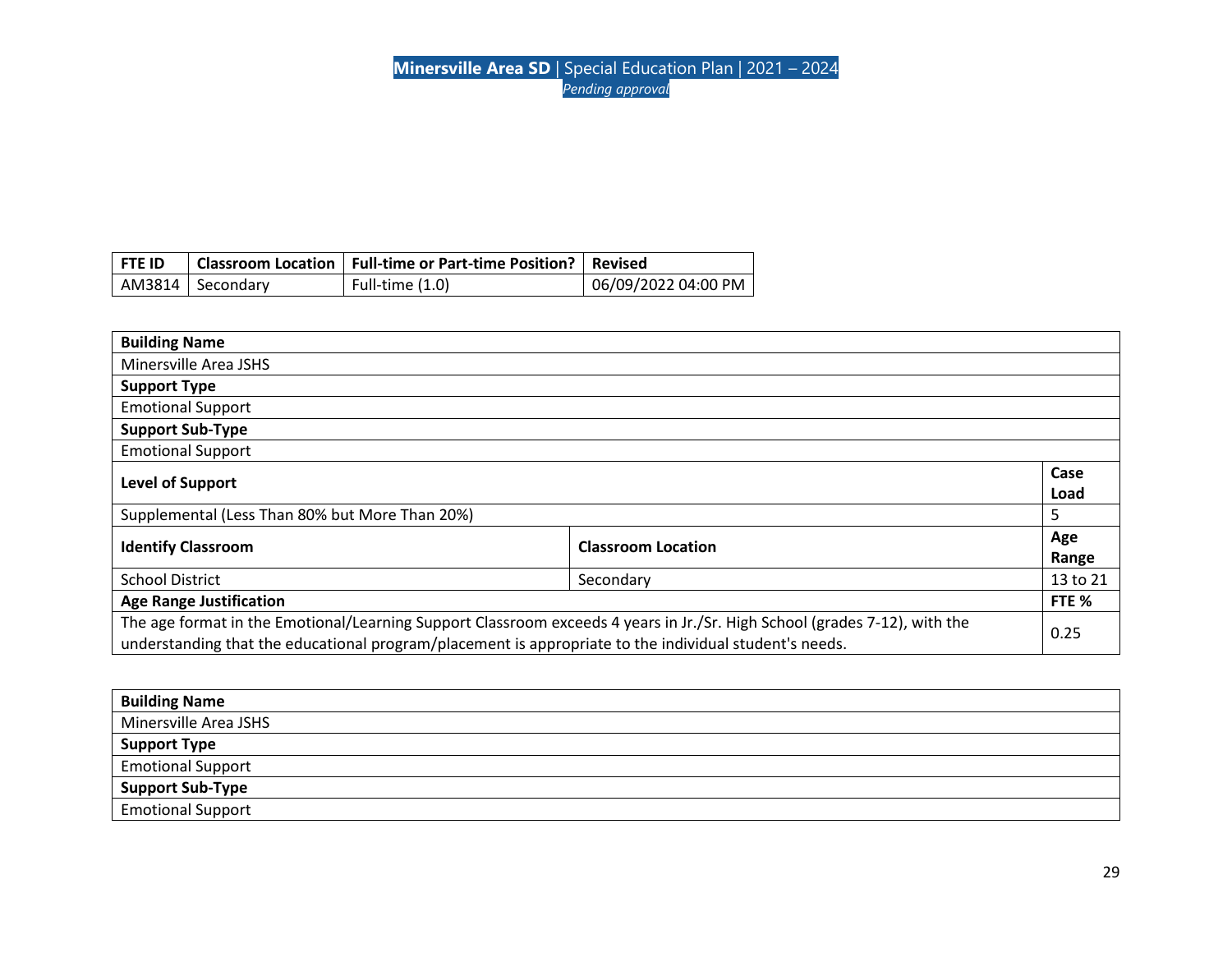| <b>FTE ID</b> |                    | Classroom Location   Full-time or Part-time Position?   Revised |                     |
|---------------|--------------------|-----------------------------------------------------------------|---------------------|
|               | AM3814   Secondary | Full-time (1.0)                                                 | 06/09/2022 04:00 PM |

| <b>Building Name</b>                                                                                                                                                                                                                |                           |              |
|-------------------------------------------------------------------------------------------------------------------------------------------------------------------------------------------------------------------------------------|---------------------------|--------------|
| Minersville Area JSHS                                                                                                                                                                                                               |                           |              |
| <b>Support Type</b>                                                                                                                                                                                                                 |                           |              |
| <b>Emotional Support</b>                                                                                                                                                                                                            |                           |              |
| <b>Support Sub-Type</b>                                                                                                                                                                                                             |                           |              |
| <b>Emotional Support</b>                                                                                                                                                                                                            |                           |              |
| Level of Support                                                                                                                                                                                                                    |                           | Case<br>Load |
| Supplemental (Less Than 80% but More Than 20%)                                                                                                                                                                                      |                           | 5            |
| <b>Identify Classroom</b>                                                                                                                                                                                                           | <b>Classroom Location</b> | Age<br>Range |
| <b>School District</b>                                                                                                                                                                                                              | Secondary                 | 13 to 21     |
| <b>Age Range Justification</b>                                                                                                                                                                                                      |                           | FTE %        |
| The age format in the Emotional/Learning Support Classroom exceeds 4 years in Jr./Sr. High School (grades 7-12), with the<br>understanding that the educational program/placement is appropriate to the individual student's needs. |                           | 0.25         |

| <b>Building Name</b>     |
|--------------------------|
| Minersville Area JSHS    |
| <b>Support Type</b>      |
| <b>Emotional Support</b> |
| <b>Support Sub-Type</b>  |
| <b>Emotional Support</b> |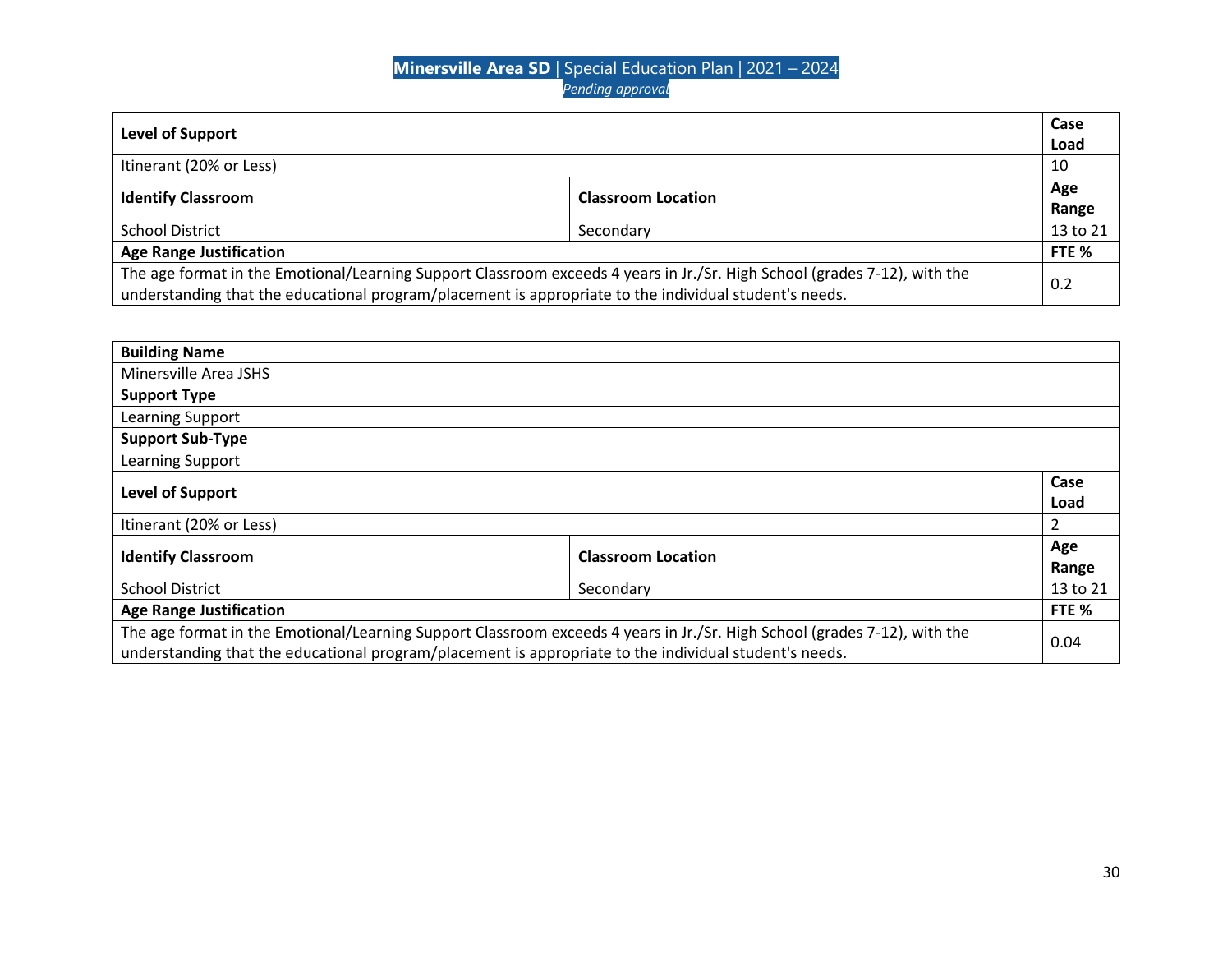| Level of Support                                                                                                          |           | Case     |
|---------------------------------------------------------------------------------------------------------------------------|-----------|----------|
|                                                                                                                           |           | Load     |
| Itinerant (20% or Less)                                                                                                   |           | 10       |
| <b>Identify Classroom</b><br><b>Classroom Location</b>                                                                    |           | Age      |
|                                                                                                                           |           | Range    |
| <b>School District</b>                                                                                                    | Secondary | 13 to 21 |
| <b>Age Range Justification</b>                                                                                            |           | FTE %    |
| The age format in the Emotional/Learning Support Classroom exceeds 4 years in Jr./Sr. High School (grades 7-12), with the |           |          |
| understanding that the educational program/placement is appropriate to the individual student's needs.                    |           | 0.2      |

| <b>Building Name</b>                                                                                                                                                                                                                |                           |              |
|-------------------------------------------------------------------------------------------------------------------------------------------------------------------------------------------------------------------------------------|---------------------------|--------------|
| Minersville Area JSHS                                                                                                                                                                                                               |                           |              |
| <b>Support Type</b>                                                                                                                                                                                                                 |                           |              |
| Learning Support                                                                                                                                                                                                                    |                           |              |
| <b>Support Sub-Type</b>                                                                                                                                                                                                             |                           |              |
| Learning Support                                                                                                                                                                                                                    |                           |              |
| <b>Level of Support</b>                                                                                                                                                                                                             |                           | Case<br>Load |
| Itinerant (20% or Less)                                                                                                                                                                                                             |                           | 2            |
| <b>Identify Classroom</b>                                                                                                                                                                                                           | <b>Classroom Location</b> | Age<br>Range |
| <b>School District</b><br>Secondary                                                                                                                                                                                                 |                           | 13 to 21     |
| <b>Age Range Justification</b>                                                                                                                                                                                                      |                           | FTE %        |
| The age format in the Emotional/Learning Support Classroom exceeds 4 years in Jr./Sr. High School (grades 7-12), with the<br>understanding that the educational program/placement is appropriate to the individual student's needs. |                           | 0.04         |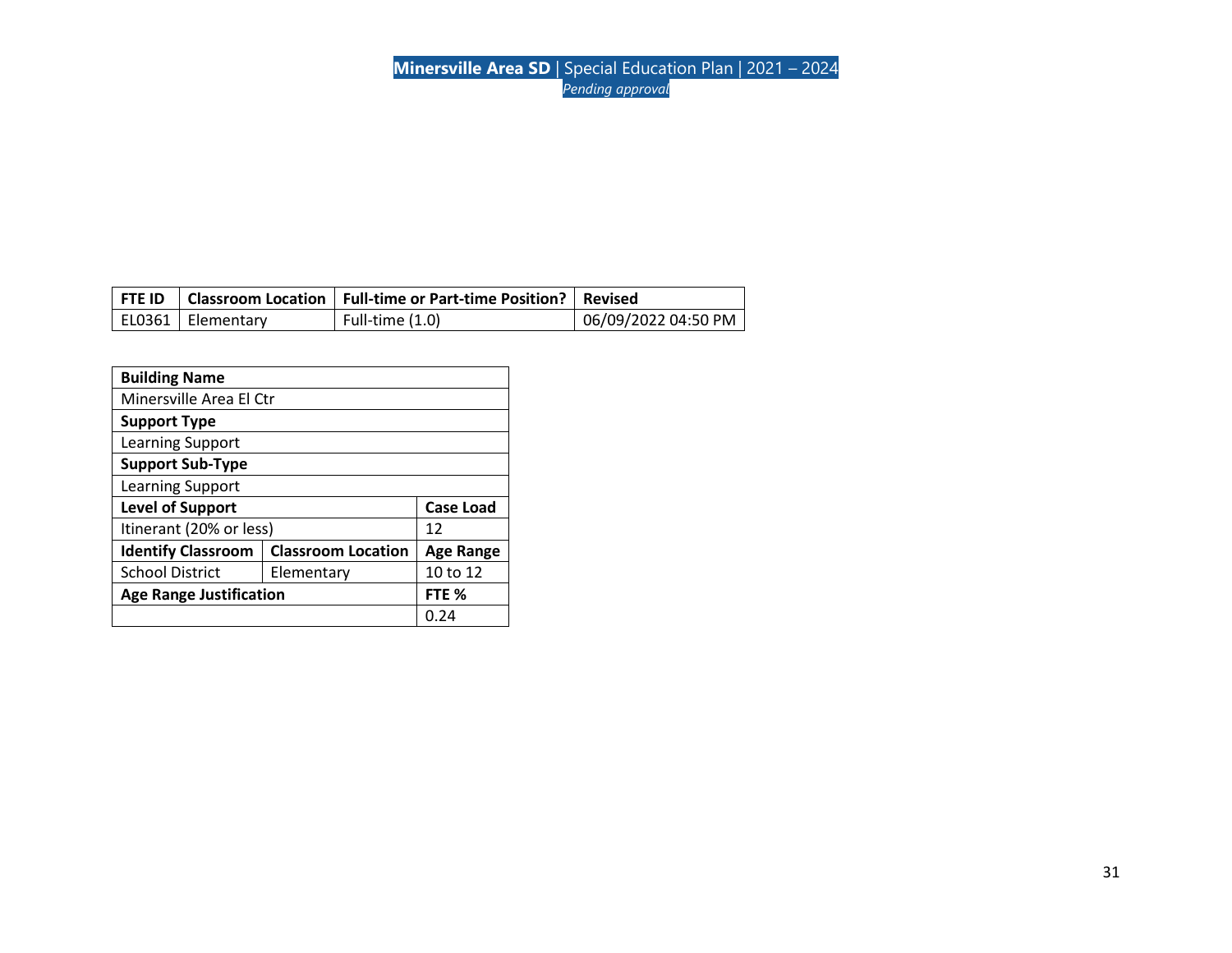|                     | FTE ID   Classroom Location   Full-time or Part-time Position?   Revised |                     |
|---------------------|--------------------------------------------------------------------------|---------------------|
| EL0361   Elementary | Full-time (1.0)                                                          | 06/09/2022 04:50 PM |

| <b>Building Name</b>                                   |      |                  |
|--------------------------------------------------------|------|------------------|
| Minersville Area El Ctr                                |      |                  |
| <b>Support Type</b>                                    |      |                  |
| Learning Support                                       |      |                  |
| <b>Support Sub-Type</b>                                |      |                  |
| Learning Support                                       |      |                  |
| <b>Level of Support</b><br><b>Case Load</b>            |      |                  |
| Itinerant (20% or less)                                |      | 12               |
| <b>Classroom Location</b><br><b>Identify Classroom</b> |      | <b>Age Range</b> |
| <b>School District</b><br>Elementary                   |      | 10 to 12         |
| <b>Age Range Justification</b><br>FTE %                |      |                  |
|                                                        | 0.24 |                  |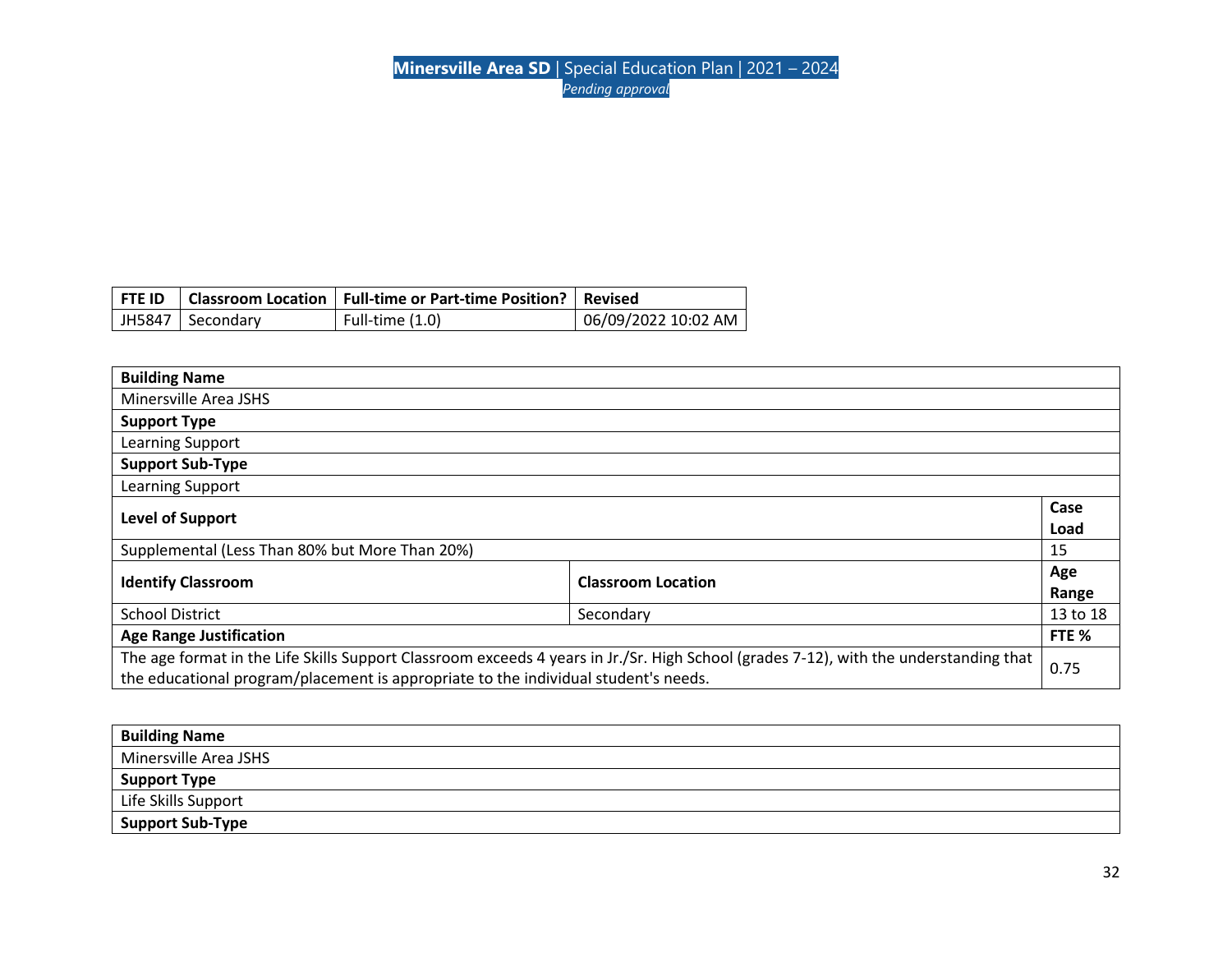|                    | FTE ID   Classroom Location   Full-time or Part-time Position?   Revised |                     |
|--------------------|--------------------------------------------------------------------------|---------------------|
| JH5847   Secondary | Full-time (1.0)                                                          | 06/09/2022 10:02 AM |

| <b>Building Name</b>                                                                                                                  |  |          |
|---------------------------------------------------------------------------------------------------------------------------------------|--|----------|
| Minersville Area JSHS                                                                                                                 |  |          |
| <b>Support Type</b>                                                                                                                   |  |          |
| Learning Support                                                                                                                      |  |          |
| <b>Support Sub-Type</b>                                                                                                               |  |          |
| Learning Support                                                                                                                      |  |          |
|                                                                                                                                       |  |          |
| Level of Support                                                                                                                      |  | Load     |
| Supplemental (Less Than 80% but More Than 20%)                                                                                        |  | 15       |
| <b>Identify Classroom</b><br><b>Classroom Location</b>                                                                                |  | Age      |
|                                                                                                                                       |  | Range    |
| <b>School District</b><br>Secondary                                                                                                   |  | 13 to 18 |
| <b>Age Range Justification</b>                                                                                                        |  | FTE %    |
| The age format in the Life Skills Support Classroom exceeds 4 years in Jr./Sr. High School (grades 7-12), with the understanding that |  |          |
| the educational program/placement is appropriate to the individual student's needs.                                                   |  | 0.75     |

| <b>Building Name</b>  |
|-----------------------|
| Minersville Area JSHS |
| <b>Support Type</b>   |
| Life Skills Support   |
| Support Sub-Type      |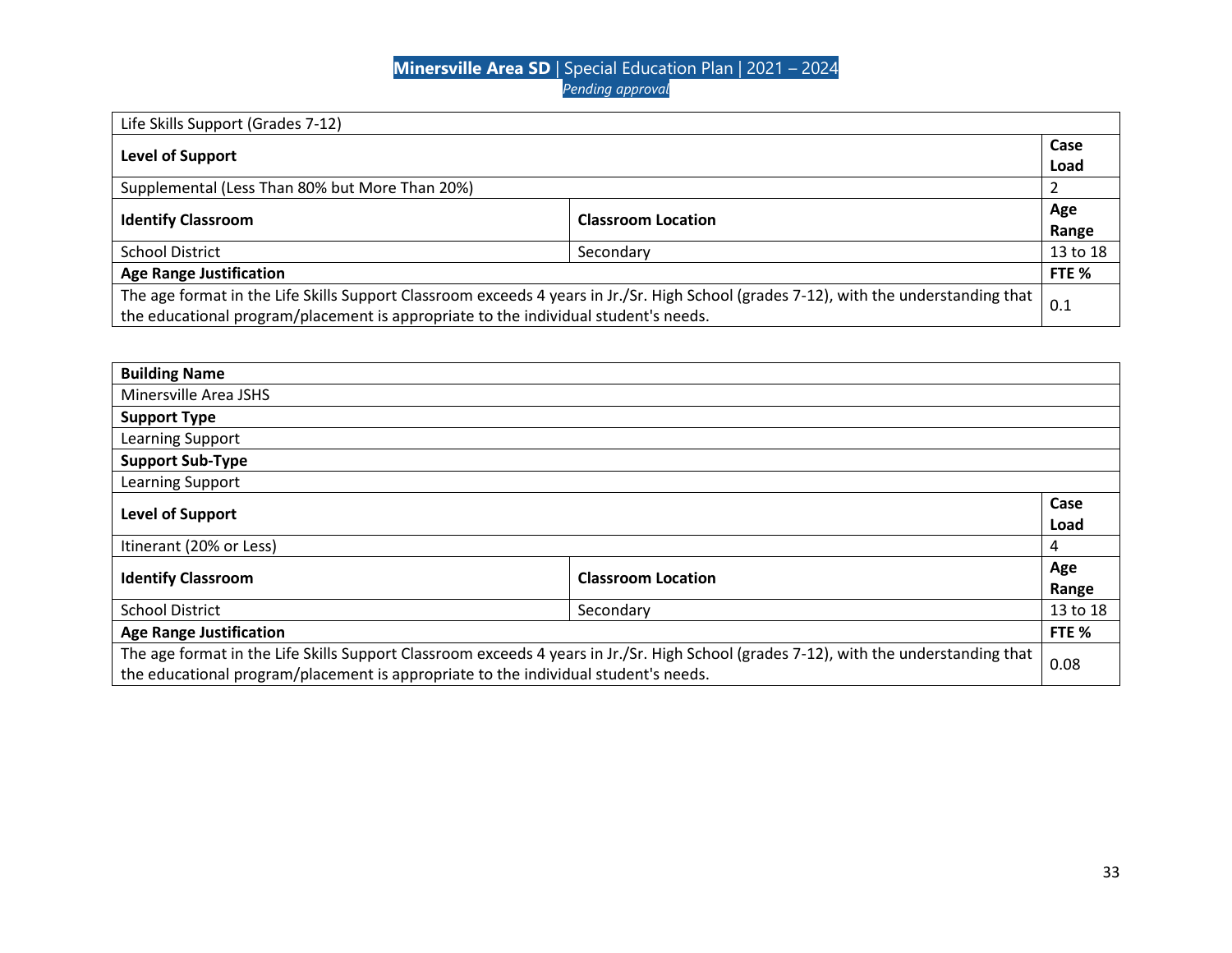| Life Skills Support (Grades 7-12)                                                                                                     |                           |          |
|---------------------------------------------------------------------------------------------------------------------------------------|---------------------------|----------|
|                                                                                                                                       |                           |          |
| <b>Level of Support</b>                                                                                                               |                           | Load     |
| Supplemental (Less Than 80% but More Than 20%)                                                                                        |                           |          |
|                                                                                                                                       |                           | Age      |
| <b>Identify Classroom</b>                                                                                                             | <b>Classroom Location</b> |          |
| <b>School District</b>                                                                                                                | Secondary                 | 13 to 18 |
| <b>Age Range Justification</b>                                                                                                        |                           |          |
| The age format in the Life Skills Support Classroom exceeds 4 years in Jr./Sr. High School (grades 7-12), with the understanding that |                           | 0.1      |
| the educational program/placement is appropriate to the individual student's needs.                                                   |                           |          |

| <b>Building Name</b>                                                                                                                  |  |          |
|---------------------------------------------------------------------------------------------------------------------------------------|--|----------|
| Minersville Area JSHS                                                                                                                 |  |          |
| <b>Support Type</b>                                                                                                                   |  |          |
| Learning Support                                                                                                                      |  |          |
| <b>Support Sub-Type</b>                                                                                                               |  |          |
| Learning Support                                                                                                                      |  |          |
|                                                                                                                                       |  |          |
| <b>Level of Support</b>                                                                                                               |  | Load     |
| Itinerant (20% or Less)                                                                                                               |  | 4        |
| <b>Identify Classroom</b><br><b>Classroom Location</b>                                                                                |  | Age      |
|                                                                                                                                       |  | Range    |
| <b>School District</b><br>Secondary                                                                                                   |  | 13 to 18 |
| <b>Age Range Justification</b>                                                                                                        |  | FTE %    |
| The age format in the Life Skills Support Classroom exceeds 4 years in Jr./Sr. High School (grades 7-12), with the understanding that |  |          |
| the educational program/placement is appropriate to the individual student's needs.                                                   |  |          |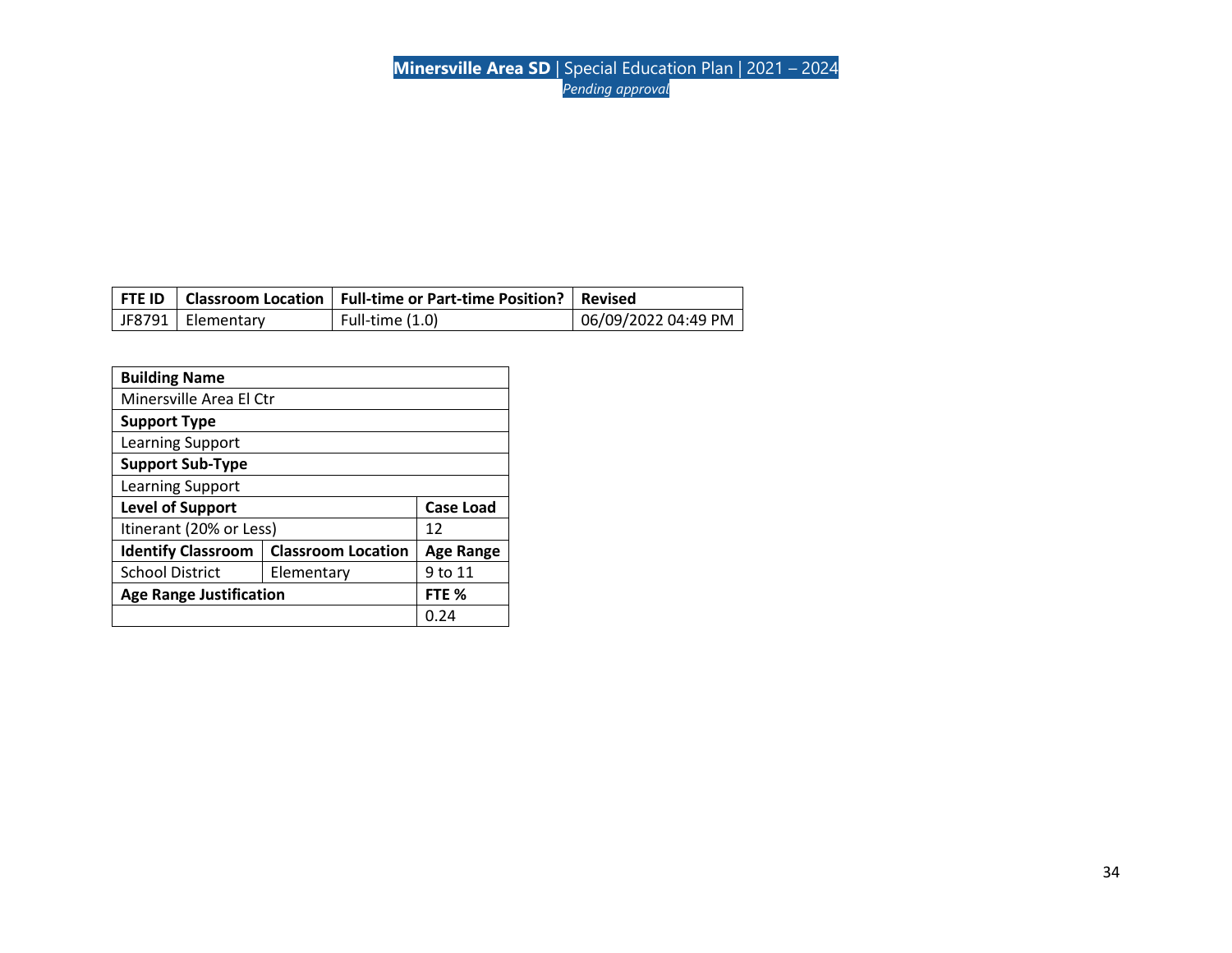|                     | FTE ID   Classroom Location   Full-time or Part-time Position?   Revised |                     |
|---------------------|--------------------------------------------------------------------------|---------------------|
| JF8791   Elementary | Full-time (1.0)                                                          | 06/09/2022 04:49 PM |

| <b>Building Name</b>                    |                           |                  |  |
|-----------------------------------------|---------------------------|------------------|--|
| Minersville Area El Ctr                 |                           |                  |  |
| <b>Support Type</b>                     |                           |                  |  |
| Learning Support                        |                           |                  |  |
| <b>Support Sub-Type</b>                 |                           |                  |  |
| Learning Support                        |                           |                  |  |
| <b>Level of Support</b><br>Case Load    |                           |                  |  |
| Itinerant (20% or Less)                 |                           | 12               |  |
| <b>Identify Classroom</b>               | <b>Classroom Location</b> | <b>Age Range</b> |  |
| <b>School District</b><br>Elementary    |                           | 9 to 11          |  |
| <b>Age Range Justification</b><br>FTE % |                           |                  |  |
|                                         |                           | 0.24             |  |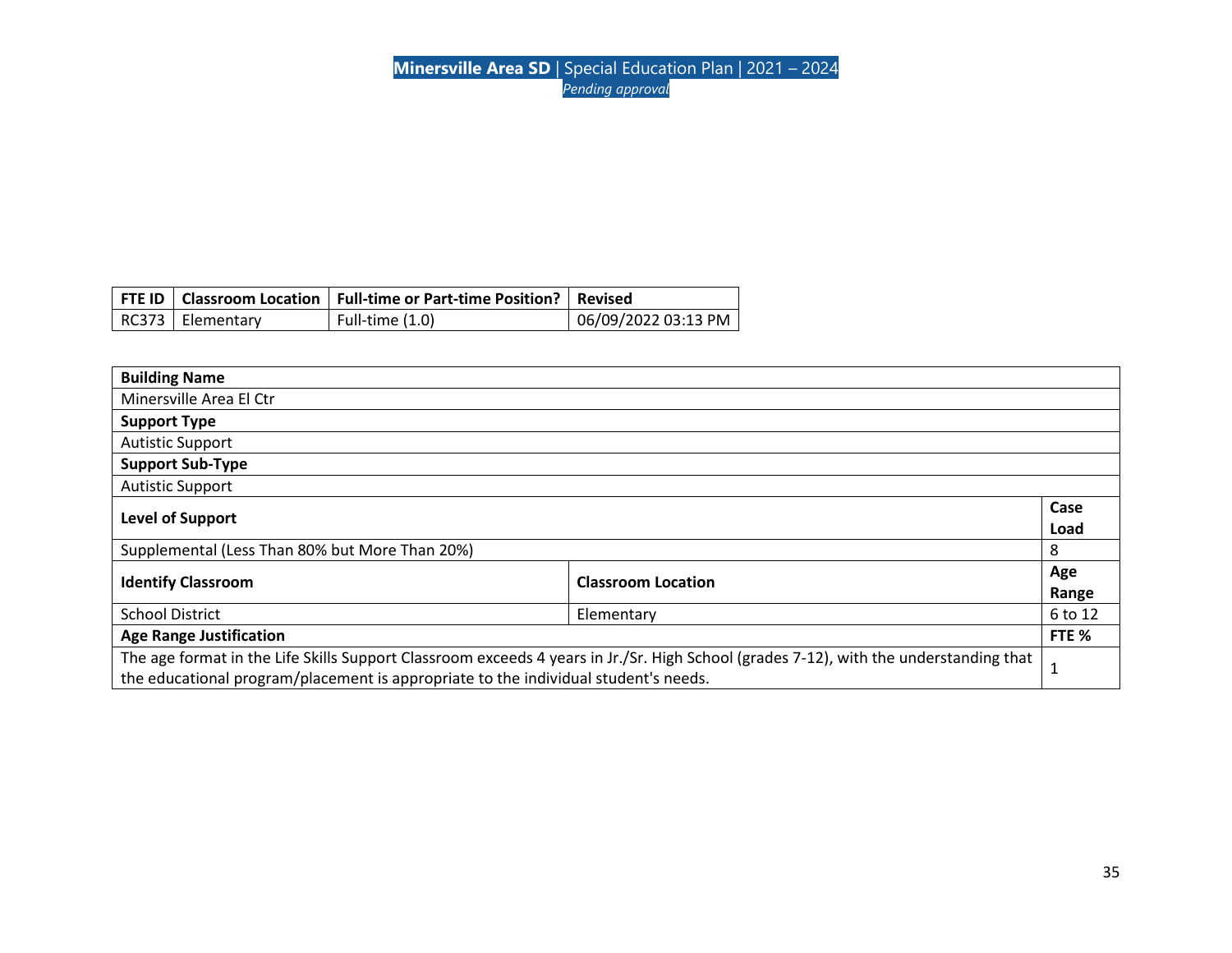|                    | FTE ID   Classroom Location   Full-time or Part-time Position?   Revised |                     |
|--------------------|--------------------------------------------------------------------------|---------------------|
| RC373   Elementary | Full-time $(1.0)$                                                        | 06/09/2022 03:13 PM |

| <b>Building Name</b>                                                                                                                  |  |         |
|---------------------------------------------------------------------------------------------------------------------------------------|--|---------|
| Minersville Area El Ctr                                                                                                               |  |         |
| <b>Support Type</b>                                                                                                                   |  |         |
| <b>Autistic Support</b>                                                                                                               |  |         |
| <b>Support Sub-Type</b>                                                                                                               |  |         |
| <b>Autistic Support</b>                                                                                                               |  |         |
| <b>Level of Support</b>                                                                                                               |  |         |
|                                                                                                                                       |  | Load    |
| Supplemental (Less Than 80% but More Than 20%)                                                                                        |  |         |
| <b>Identify Classroom</b><br><b>Classroom Location</b>                                                                                |  |         |
|                                                                                                                                       |  | Range   |
| <b>School District</b><br>Elementary                                                                                                  |  | 6 to 12 |
| <b>Age Range Justification</b>                                                                                                        |  |         |
| The age format in the Life Skills Support Classroom exceeds 4 years in Jr./Sr. High School (grades 7-12), with the understanding that |  |         |
| the educational program/placement is appropriate to the individual student's needs.                                                   |  |         |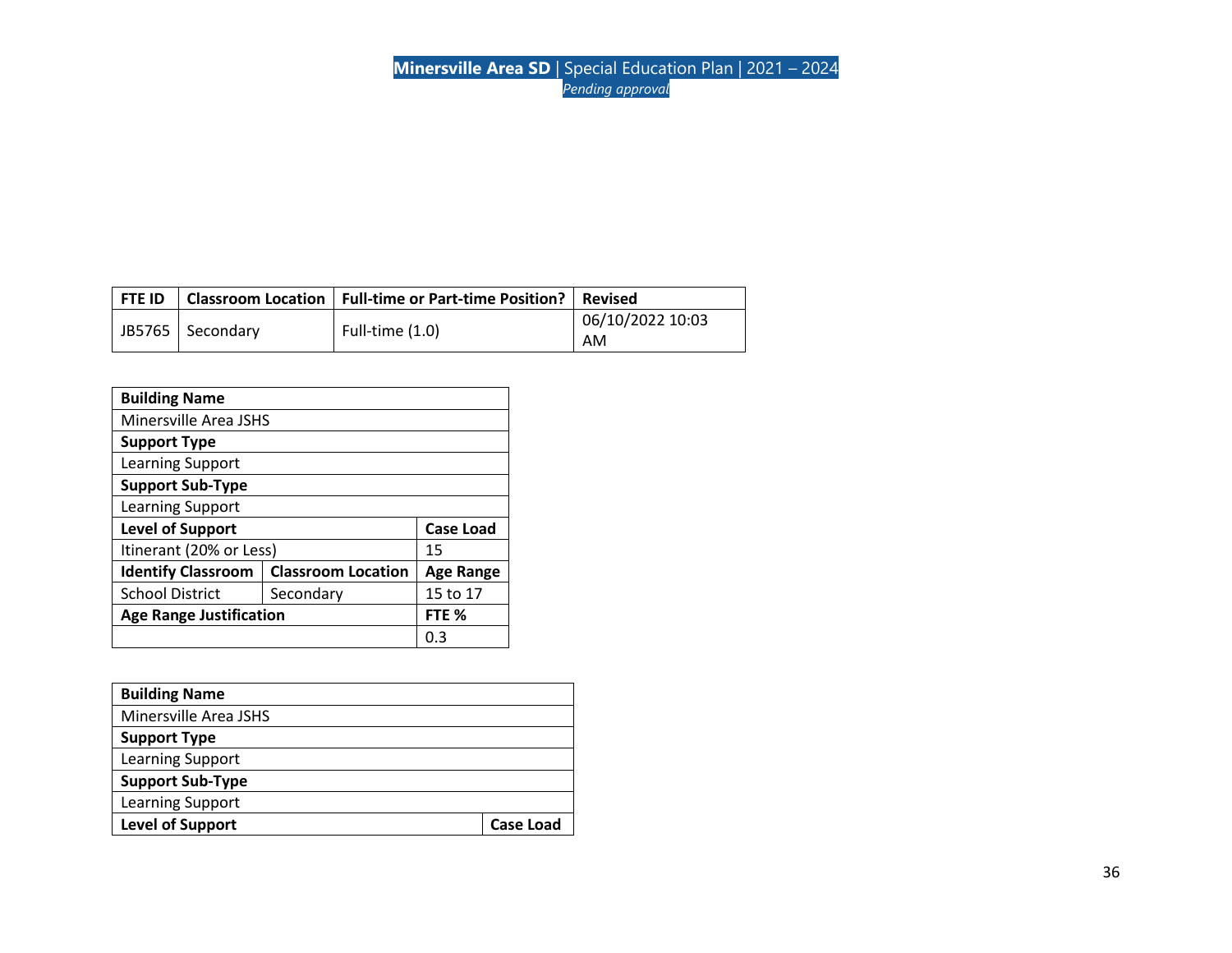| l FTE ID |                    | Classroom Location   Full-time or Part-time Position?   Revised |                        |
|----------|--------------------|-----------------------------------------------------------------|------------------------|
|          | JB5765   Secondary | Full-time $(1.0)$                                               | 06/10/2022 10:03<br>AM |
|          |                    |                                                                 |                        |

| <b>Building Name</b>                        |                           |                  |  |
|---------------------------------------------|---------------------------|------------------|--|
| Minersville Area JSHS                       |                           |                  |  |
| <b>Support Type</b>                         |                           |                  |  |
| Learning Support                            |                           |                  |  |
| <b>Support Sub-Type</b>                     |                           |                  |  |
| Learning Support                            |                           |                  |  |
| <b>Level of Support</b><br><b>Case Load</b> |                           |                  |  |
| Itinerant (20% or Less)                     |                           | 15               |  |
| <b>Identify Classroom</b>                   | <b>Classroom Location</b> | <b>Age Range</b> |  |
| <b>School District</b>                      | Secondary                 | 15 to 17         |  |
| <b>Age Range Justification</b>              |                           | FTE %            |  |
|                                             |                           |                  |  |

| <b>Building Name</b>    |                  |
|-------------------------|------------------|
| Minersville Area JSHS   |                  |
| <b>Support Type</b>     |                  |
| Learning Support        |                  |
| <b>Support Sub-Type</b> |                  |
| Learning Support        |                  |
| <b>Level of Support</b> | <b>Case Load</b> |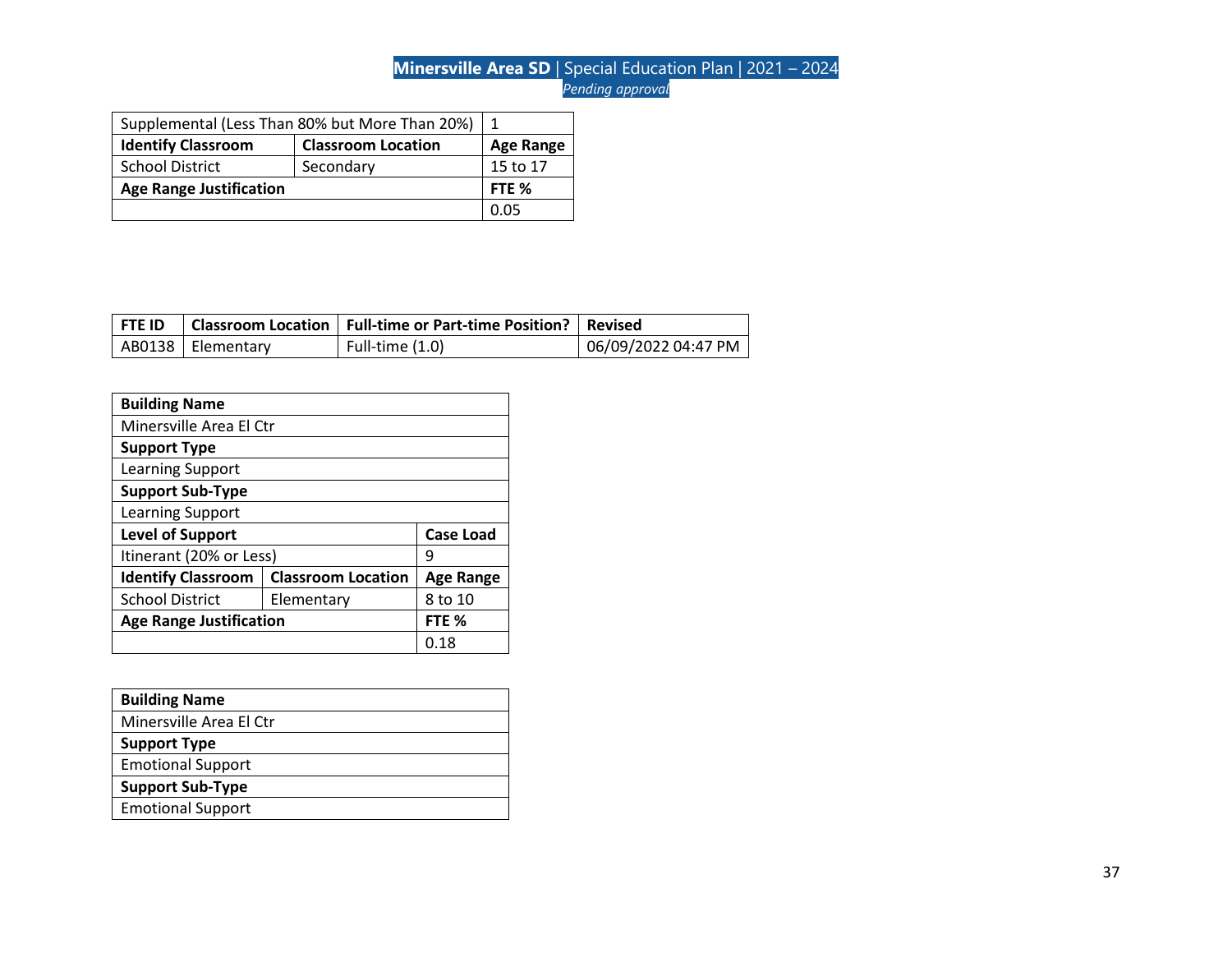| Supplemental (Less Than 80% but More Than 20%) |                           |                  |
|------------------------------------------------|---------------------------|------------------|
| <b>Identify Classroom</b>                      | <b>Classroom Location</b> | <b>Age Range</b> |
| <b>School District</b>                         | Secondary                 | 15 to 17         |
| <b>Age Range Justification</b>                 |                           | FTE %            |
|                                                |                           | <u>በ በ5</u>      |

| l FTE ID |                     | Classroom Location   Full-time or Part-time Position?   Revised |                     |
|----------|---------------------|-----------------------------------------------------------------|---------------------|
|          | AB0138   Elementary | Full-time (1.0)                                                 | 06/09/2022 04:47 PM |

| <b>Building Name</b>                        |                           |                  |  |
|---------------------------------------------|---------------------------|------------------|--|
| Minersville Area El Ctr                     |                           |                  |  |
| <b>Support Type</b>                         |                           |                  |  |
| Learning Support                            |                           |                  |  |
| <b>Support Sub-Type</b>                     |                           |                  |  |
| Learning Support                            |                           |                  |  |
| <b>Level of Support</b><br><b>Case Load</b> |                           |                  |  |
| Itinerant (20% or Less)                     |                           | q                |  |
| <b>Identify Classroom</b>                   | <b>Classroom Location</b> | <b>Age Range</b> |  |
| <b>School District</b>                      | Elementary                | 8 to 10          |  |
| <b>Age Range Justification</b><br>FTE %     |                           |                  |  |
|                                             |                           | 0.18             |  |

| <b>Building Name</b>     |
|--------------------------|
| Minersville Area El Ctr  |
| <b>Support Type</b>      |
| <b>Emotional Support</b> |
| <b>Support Sub-Type</b>  |
| <b>Emotional Support</b> |
|                          |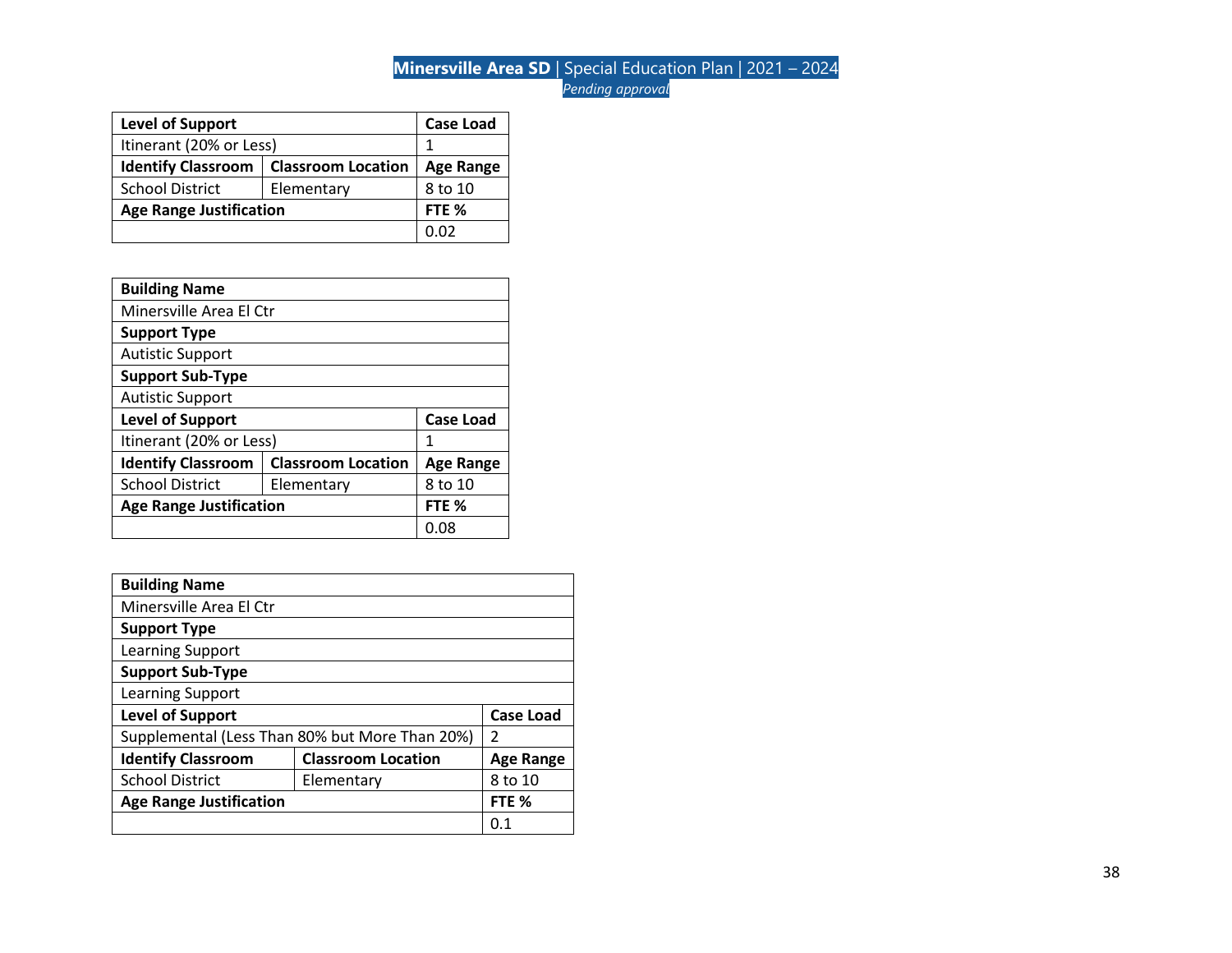| <b>Level of Support</b>                                |  | <b>Case Load</b> |
|--------------------------------------------------------|--|------------------|
| Itinerant (20% or Less)                                |  |                  |
| <b>Identify Classroom</b><br><b>Classroom Location</b> |  | <b>Age Range</b> |
| <b>School District</b><br>Elementary                   |  | 8 to 10          |
| <b>Age Range Justification</b>                         |  | FTE <sub>%</sub> |
|                                                        |  | በ በን             |

| <b>Building Name</b>                        |                           |                  |  |
|---------------------------------------------|---------------------------|------------------|--|
| Minersville Area El Ctr                     |                           |                  |  |
| <b>Support Type</b>                         |                           |                  |  |
| <b>Autistic Support</b>                     |                           |                  |  |
| <b>Support Sub-Type</b>                     |                           |                  |  |
| <b>Autistic Support</b>                     |                           |                  |  |
| <b>Level of Support</b><br><b>Case Load</b> |                           |                  |  |
| Itinerant (20% or Less)                     |                           | 1                |  |
| <b>Identify Classroom</b>                   | <b>Classroom Location</b> | <b>Age Range</b> |  |
| <b>School District</b>                      | Elementary                | 8 to 10          |  |
| <b>Age Range Justification</b><br>FTE %     |                           |                  |  |
|                                             |                           | 0.08             |  |

| <b>Building Name</b>           |                                                |                  |
|--------------------------------|------------------------------------------------|------------------|
| Minersville Area El Ctr        |                                                |                  |
| <b>Support Type</b>            |                                                |                  |
| Learning Support               |                                                |                  |
| <b>Support Sub-Type</b>        |                                                |                  |
| Learning Support               |                                                |                  |
| <b>Level of Support</b>        |                                                | <b>Case Load</b> |
|                                | Supplemental (Less Than 80% but More Than 20%) | 2                |
| <b>Identify Classroom</b>      | <b>Classroom Location</b>                      | <b>Age Range</b> |
| <b>School District</b>         | Elementary                                     | 8 to 10          |
| <b>Age Range Justification</b> |                                                | FTE %            |
|                                |                                                | 0.1              |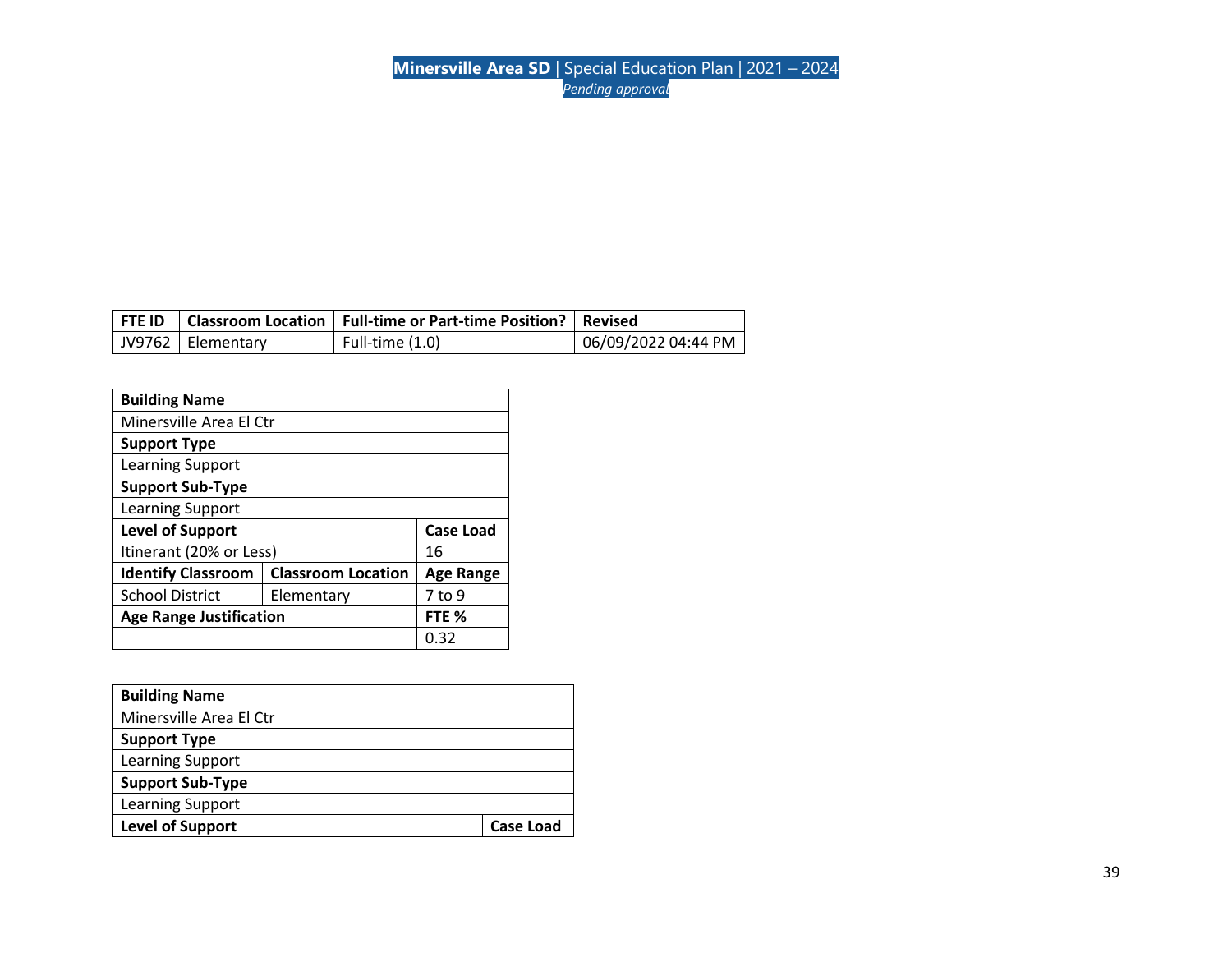|                     | FTE ID   Classroom Location   Full-time or Part-time Position?   Revised |                     |
|---------------------|--------------------------------------------------------------------------|---------------------|
| JV9762   Elementary | Full-time (1.0)                                                          | 06/09/2022 04:44 PM |

| <b>Building Name</b>                        |                           |                  |  |  |
|---------------------------------------------|---------------------------|------------------|--|--|
|                                             | Minersville Area El Ctr   |                  |  |  |
| <b>Support Type</b>                         |                           |                  |  |  |
| Learning Support                            |                           |                  |  |  |
| <b>Support Sub-Type</b>                     |                           |                  |  |  |
| Learning Support                            |                           |                  |  |  |
| <b>Level of Support</b><br><b>Case Load</b> |                           |                  |  |  |
| Itinerant (20% or Less)                     |                           | 16               |  |  |
| <b>Identify Classroom</b>                   | <b>Classroom Location</b> | Age Range        |  |  |
| <b>School District</b>                      | Elementary                | 7 to 9           |  |  |
| <b>Age Range Justification</b>              |                           | FTE <sub>%</sub> |  |  |
|                                             |                           | 0.32             |  |  |

| <b>Building Name</b>    |                  |
|-------------------------|------------------|
| Minersville Area El Ctr |                  |
| <b>Support Type</b>     |                  |
| Learning Support        |                  |
| <b>Support Sub-Type</b> |                  |
| Learning Support        |                  |
| <b>Level of Support</b> | <b>Case Load</b> |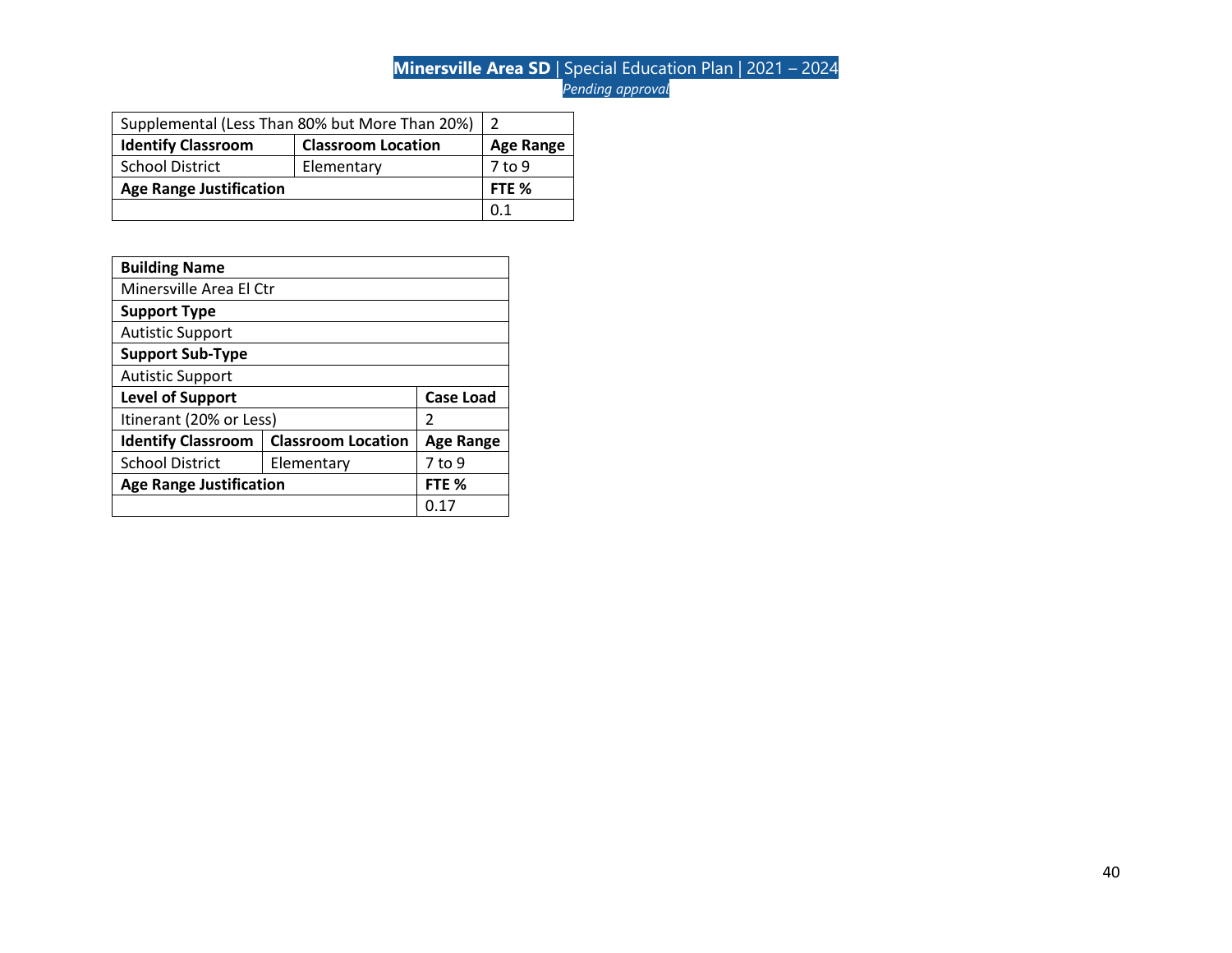| Supplemental (Less Than 80% but More Than 20%)         |            |                  |
|--------------------------------------------------------|------------|------------------|
| <b>Identify Classroom</b><br><b>Classroom Location</b> |            | <b>Age Range</b> |
| <b>School District</b>                                 | Elementary | 7 to 9           |
| <b>Age Range Justification</b>                         |            | FTE %            |
|                                                        |            | ດ 1              |

| <b>Building Name</b>                                   |            |                  |  |
|--------------------------------------------------------|------------|------------------|--|
| Minersville Area El Ctr                                |            |                  |  |
| <b>Support Type</b>                                    |            |                  |  |
| <b>Autistic Support</b>                                |            |                  |  |
| <b>Support Sub-Type</b>                                |            |                  |  |
| <b>Autistic Support</b>                                |            |                  |  |
| <b>Level of Support</b><br><b>Case Load</b>            |            |                  |  |
| Itinerant (20% or Less)                                |            | 2                |  |
| <b>Classroom Location</b><br><b>Identify Classroom</b> |            | <b>Age Range</b> |  |
| <b>School District</b>                                 | Elementary | 7 to 9           |  |
| <b>Age Range Justification</b>                         |            | FTE %            |  |
|                                                        |            | 0.17             |  |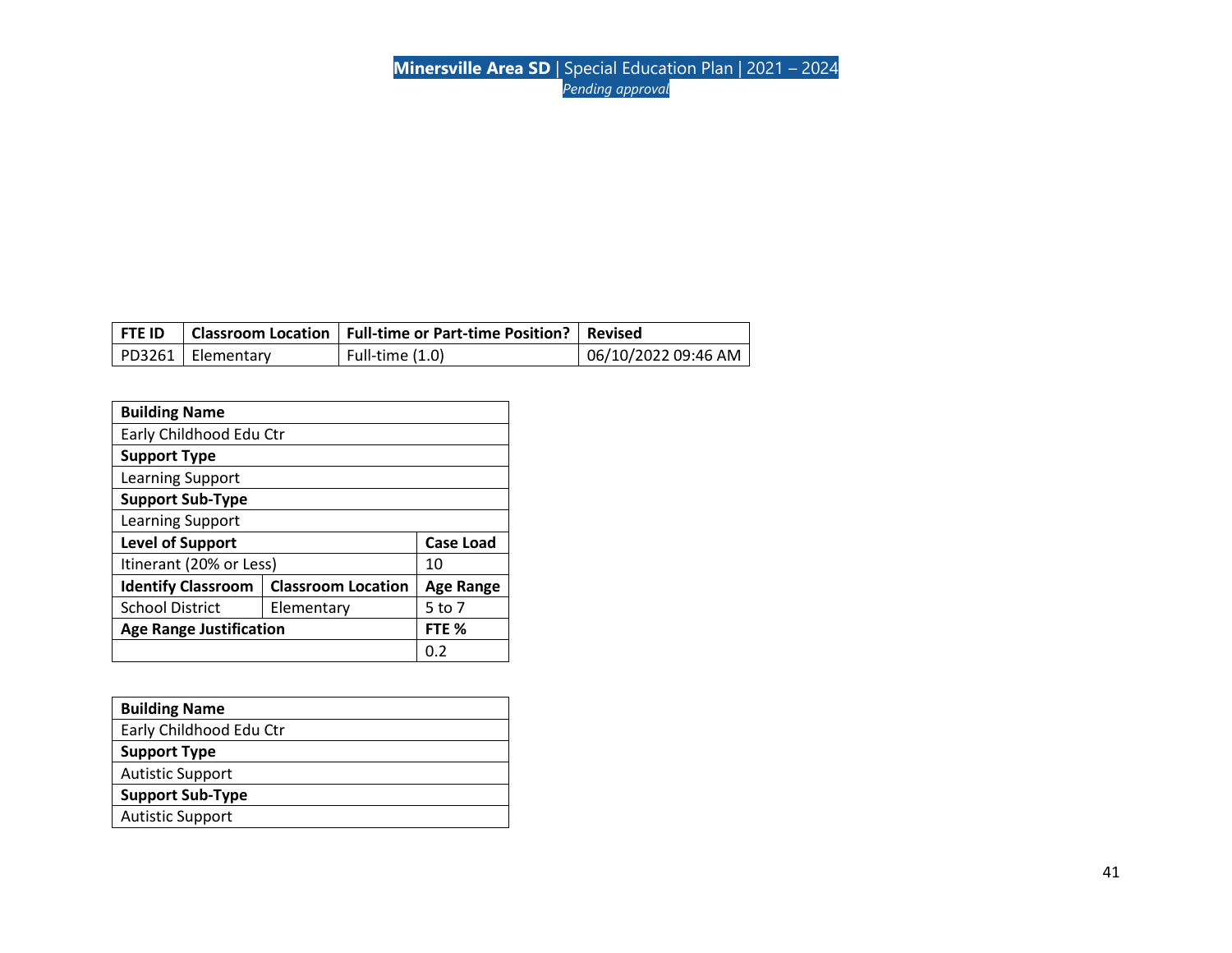| <b>FTE ID</b> |                     | Classroom Location   Full-time or Part-time Position?   Revised |                     |
|---------------|---------------------|-----------------------------------------------------------------|---------------------|
|               | PD3261   Elementary | Full-time (1.0)                                                 | 06/10/2022 09:46 AM |

| <b>Building Name</b>           |                           |                  |  |  |
|--------------------------------|---------------------------|------------------|--|--|
|                                | Early Childhood Edu Ctr   |                  |  |  |
| <b>Support Type</b>            |                           |                  |  |  |
| Learning Support               |                           |                  |  |  |
| <b>Support Sub-Type</b>        |                           |                  |  |  |
| Learning Support               |                           |                  |  |  |
| <b>Level of Support</b>        |                           | <b>Case Load</b> |  |  |
| Itinerant (20% or Less)        |                           | 10               |  |  |
| <b>Identify Classroom</b>      | <b>Classroom Location</b> | <b>Age Range</b> |  |  |
| <b>School District</b>         | Elementary                | 5 to 7           |  |  |
| <b>Age Range Justification</b> |                           | FTE %            |  |  |
|                                |                           | 0.Z              |  |  |

| <b>Building Name</b>    |
|-------------------------|
| Early Childhood Edu Ctr |
| <b>Support Type</b>     |
| <b>Autistic Support</b> |
| <b>Support Sub-Type</b> |
| <b>Autistic Support</b> |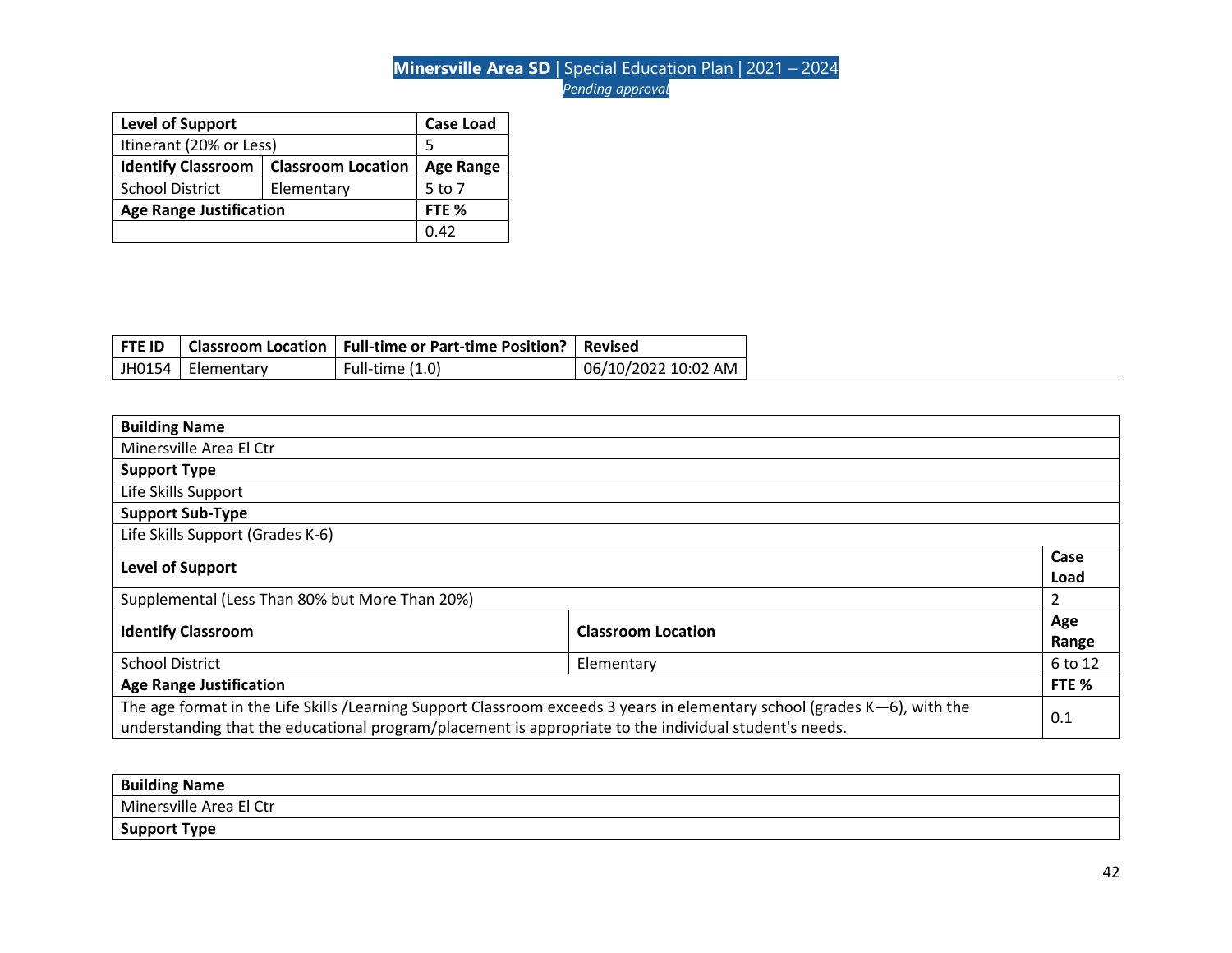| <b>Level of Support</b>                                |  | <b>Case Load</b> |
|--------------------------------------------------------|--|------------------|
| Itinerant (20% or Less)                                |  | 5                |
| <b>Identify Classroom</b><br><b>Classroom Location</b> |  | <b>Age Range</b> |
| <b>School District</b><br>Elementary                   |  | 5 to 7           |
| <b>Age Range Justification</b>                         |  | FTE %            |
|                                                        |  | 0.42             |

| <b>FTE ID</b> |                     | Classroom Location   Full-time or Part-time Position?   Revised |                     |
|---------------|---------------------|-----------------------------------------------------------------|---------------------|
|               | JH0154   Elementary | Full-time (1.0)                                                 | 06/10/2022 10:02 AM |

| <b>Building Name</b>                                                                                                                                                                                                                |            |                |
|-------------------------------------------------------------------------------------------------------------------------------------------------------------------------------------------------------------------------------------|------------|----------------|
| Minersville Area El Ctr                                                                                                                                                                                                             |            |                |
| <b>Support Type</b>                                                                                                                                                                                                                 |            |                |
| Life Skills Support                                                                                                                                                                                                                 |            |                |
| <b>Support Sub-Type</b>                                                                                                                                                                                                             |            |                |
| Life Skills Support (Grades K-6)                                                                                                                                                                                                    |            |                |
| <b>Level of Support</b>                                                                                                                                                                                                             |            | Case<br>Load   |
| Supplemental (Less Than 80% but More Than 20%)                                                                                                                                                                                      |            | $\overline{2}$ |
| <b>Identify Classroom</b><br><b>Classroom Location</b>                                                                                                                                                                              |            | Age<br>Range   |
| <b>School District</b>                                                                                                                                                                                                              | Elementary | 6 to 12        |
| <b>Age Range Justification</b>                                                                                                                                                                                                      |            | FTE %          |
| The age format in the Life Skills /Learning Support Classroom exceeds 3 years in elementary school (grades K-6), with the<br>understanding that the educational program/placement is appropriate to the individual student's needs. |            |                |

| <b>Building Name</b>    |  |
|-------------------------|--|
| Minersville Area El Ctr |  |
| <b>Support Type</b>     |  |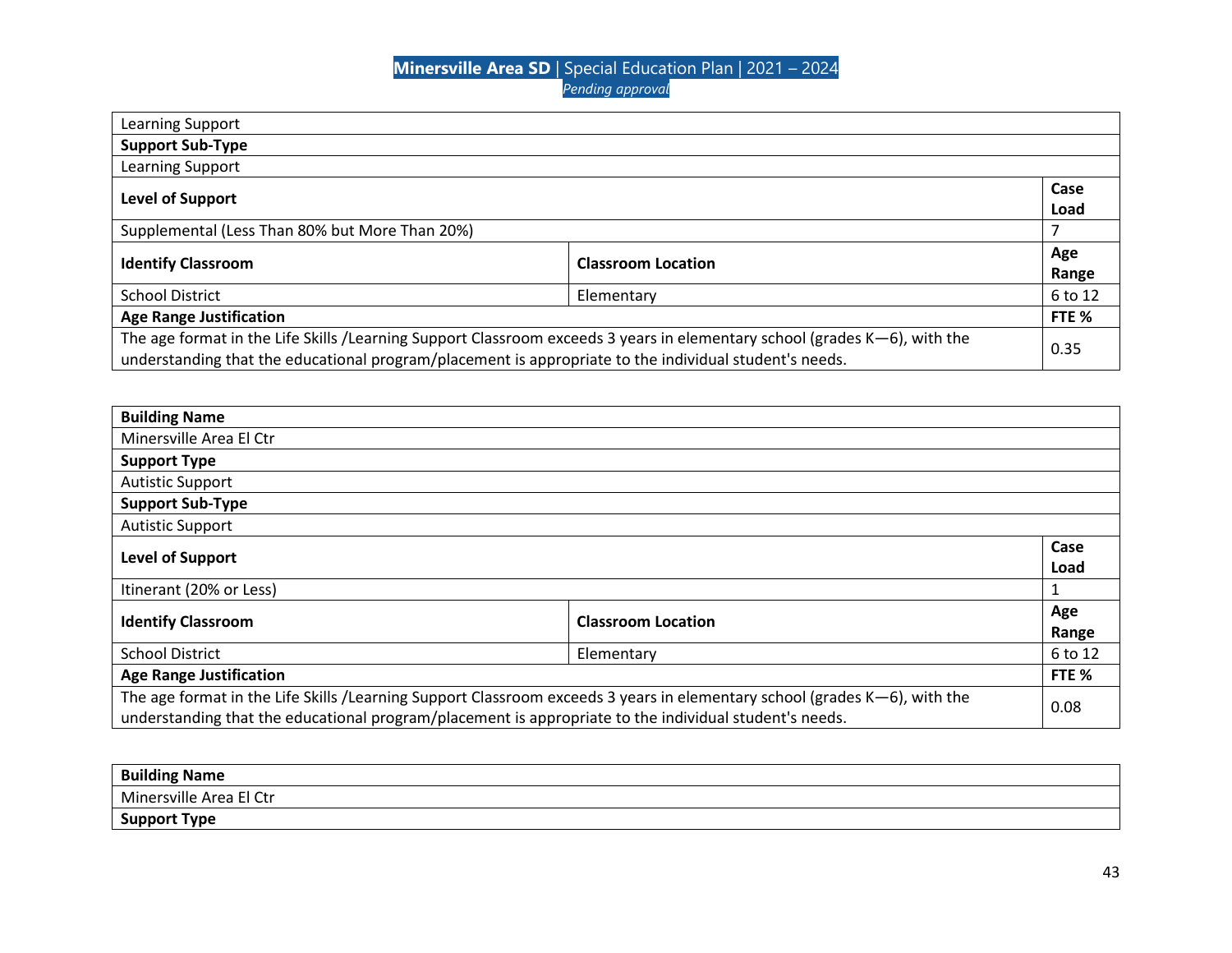| Level of Support                                                                                                          |                                                                                                                                     |
|---------------------------------------------------------------------------------------------------------------------------|-------------------------------------------------------------------------------------------------------------------------------------|
|                                                                                                                           |                                                                                                                                     |
|                                                                                                                           | Age                                                                                                                                 |
|                                                                                                                           | Range                                                                                                                               |
| Elementary                                                                                                                | 6 to 12                                                                                                                             |
|                                                                                                                           | FTE %                                                                                                                               |
| The age format in the Life Skills /Learning Support Classroom exceeds 3 years in elementary school (grades K-6), with the | 0.35                                                                                                                                |
|                                                                                                                           | <b>Classroom Location</b><br>understanding that the educational program/placement is appropriate to the individual student's needs. |

| <b>Building Name</b>                                                                                                                                                                                                                        |  |              |
|---------------------------------------------------------------------------------------------------------------------------------------------------------------------------------------------------------------------------------------------|--|--------------|
| Minersville Area El Ctr                                                                                                                                                                                                                     |  |              |
| <b>Support Type</b>                                                                                                                                                                                                                         |  |              |
| <b>Autistic Support</b>                                                                                                                                                                                                                     |  |              |
| <b>Support Sub-Type</b>                                                                                                                                                                                                                     |  |              |
| <b>Autistic Support</b>                                                                                                                                                                                                                     |  |              |
| Level of Support                                                                                                                                                                                                                            |  | Case<br>Load |
| Itinerant (20% or Less)                                                                                                                                                                                                                     |  | $\mathbf{1}$ |
| <b>Identify Classroom</b><br><b>Classroom Location</b>                                                                                                                                                                                      |  | Age<br>Range |
| <b>School District</b><br>Elementary                                                                                                                                                                                                        |  | 6 to 12      |
| <b>Age Range Justification</b>                                                                                                                                                                                                              |  | FTE %        |
| The age format in the Life Skills /Learning Support Classroom exceeds 3 years in elementary school (grades K-6), with the<br>0.08<br>understanding that the educational program/placement is appropriate to the individual student's needs. |  |              |

| <b>Building Name</b>    |  |
|-------------------------|--|
| Minersville Area El Ctr |  |
| <b>Support Type</b>     |  |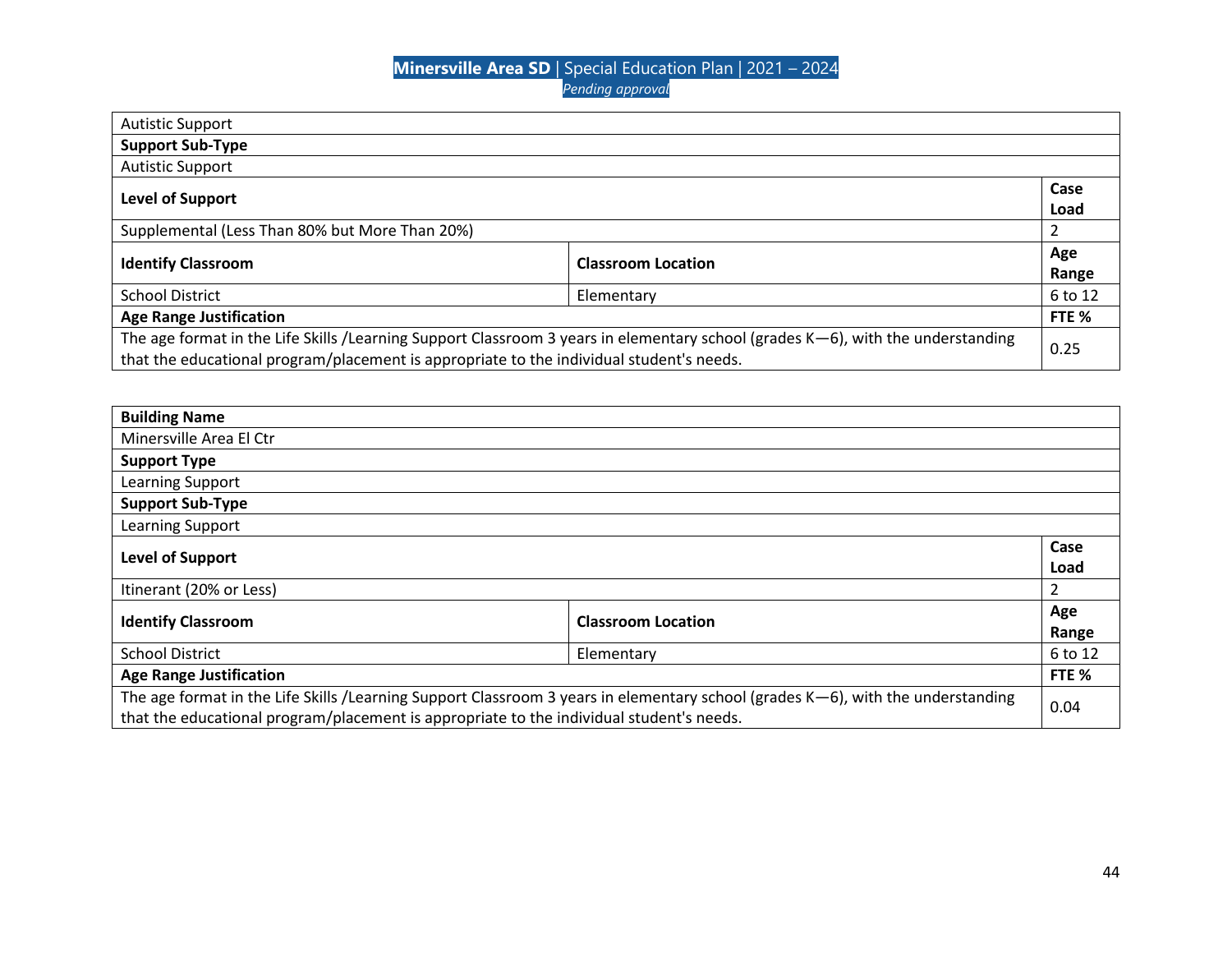| <b>Autistic Support</b>                                                                                                         |  |                  |
|---------------------------------------------------------------------------------------------------------------------------------|--|------------------|
| <b>Support Sub-Type</b>                                                                                                         |  |                  |
| <b>Autistic Support</b>                                                                                                         |  |                  |
|                                                                                                                                 |  | Case             |
| Level of Support                                                                                                                |  | Load             |
| Supplemental (Less Than 80% but More Than 20%)                                                                                  |  |                  |
| <b>Classroom Location</b>                                                                                                       |  | Age              |
| <b>Identify Classroom</b>                                                                                                       |  | Range            |
| <b>School District</b><br>Elementary                                                                                            |  | 6 to 12          |
| <b>Age Range Justification</b>                                                                                                  |  | FTE <sub>%</sub> |
| The age format in the Life Skills /Learning Support Classroom 3 years in elementary school (grades K-6), with the understanding |  | 0.25             |
| that the educational program/placement is appropriate to the individual student's needs.                                        |  |                  |

| <b>Building Name</b>                                                                                                                                                                                                           |  |              |
|--------------------------------------------------------------------------------------------------------------------------------------------------------------------------------------------------------------------------------|--|--------------|
| Minersville Area El Ctr                                                                                                                                                                                                        |  |              |
| <b>Support Type</b>                                                                                                                                                                                                            |  |              |
| Learning Support                                                                                                                                                                                                               |  |              |
| <b>Support Sub-Type</b>                                                                                                                                                                                                        |  |              |
| Learning Support                                                                                                                                                                                                               |  |              |
| Level of Support                                                                                                                                                                                                               |  | Case<br>Load |
| Itinerant (20% or Less)                                                                                                                                                                                                        |  | 2            |
| <b>Identify Classroom</b><br><b>Classroom Location</b>                                                                                                                                                                         |  | Age<br>Range |
| <b>School District</b><br>Elementary                                                                                                                                                                                           |  | 6 to 12      |
| <b>Age Range Justification</b>                                                                                                                                                                                                 |  | FTE %        |
| The age format in the Life Skills /Learning Support Classroom 3 years in elementary school (grades $K-6$ ), with the understanding<br>that the educational program/placement is appropriate to the individual student's needs. |  |              |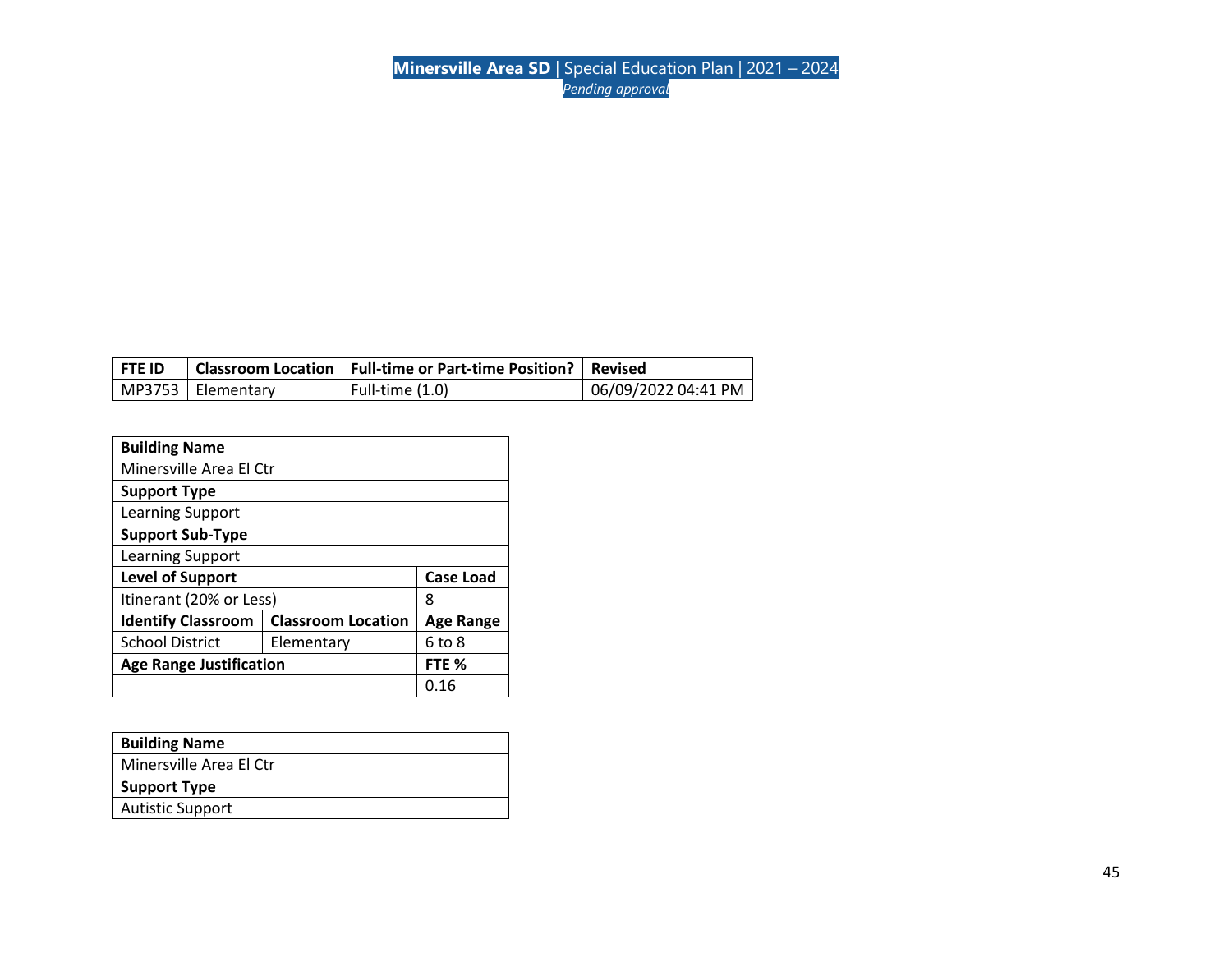| l FTE ID |                     | Classroom Location   Full-time or Part-time Position?   Revised |                     |
|----------|---------------------|-----------------------------------------------------------------|---------------------|
|          | MP3753   Elementary | Full-time $(1.0)$                                               | 06/09/2022 04:41 PM |

| <b>Building Name</b>                                   |      |                  |  |  |
|--------------------------------------------------------|------|------------------|--|--|
| Minersville Area El Ctr                                |      |                  |  |  |
| <b>Support Type</b>                                    |      |                  |  |  |
| Learning Support                                       |      |                  |  |  |
| <b>Support Sub-Type</b>                                |      |                  |  |  |
| Learning Support                                       |      |                  |  |  |
| <b>Level of Support</b><br><b>Case Load</b>            |      |                  |  |  |
| Itinerant (20% or Less)<br>8                           |      |                  |  |  |
| <b>Identify Classroom</b><br><b>Classroom Location</b> |      | <b>Age Range</b> |  |  |
| <b>School District</b><br>Elementary                   |      | 6 to 8           |  |  |
| <b>Age Range Justification</b><br>FTE %                |      |                  |  |  |
|                                                        | 0.16 |                  |  |  |

| <b>Building Name</b>    |
|-------------------------|
| Minersville Area El Ctr |
| <b>Support Type</b>     |
| <b>Autistic Support</b> |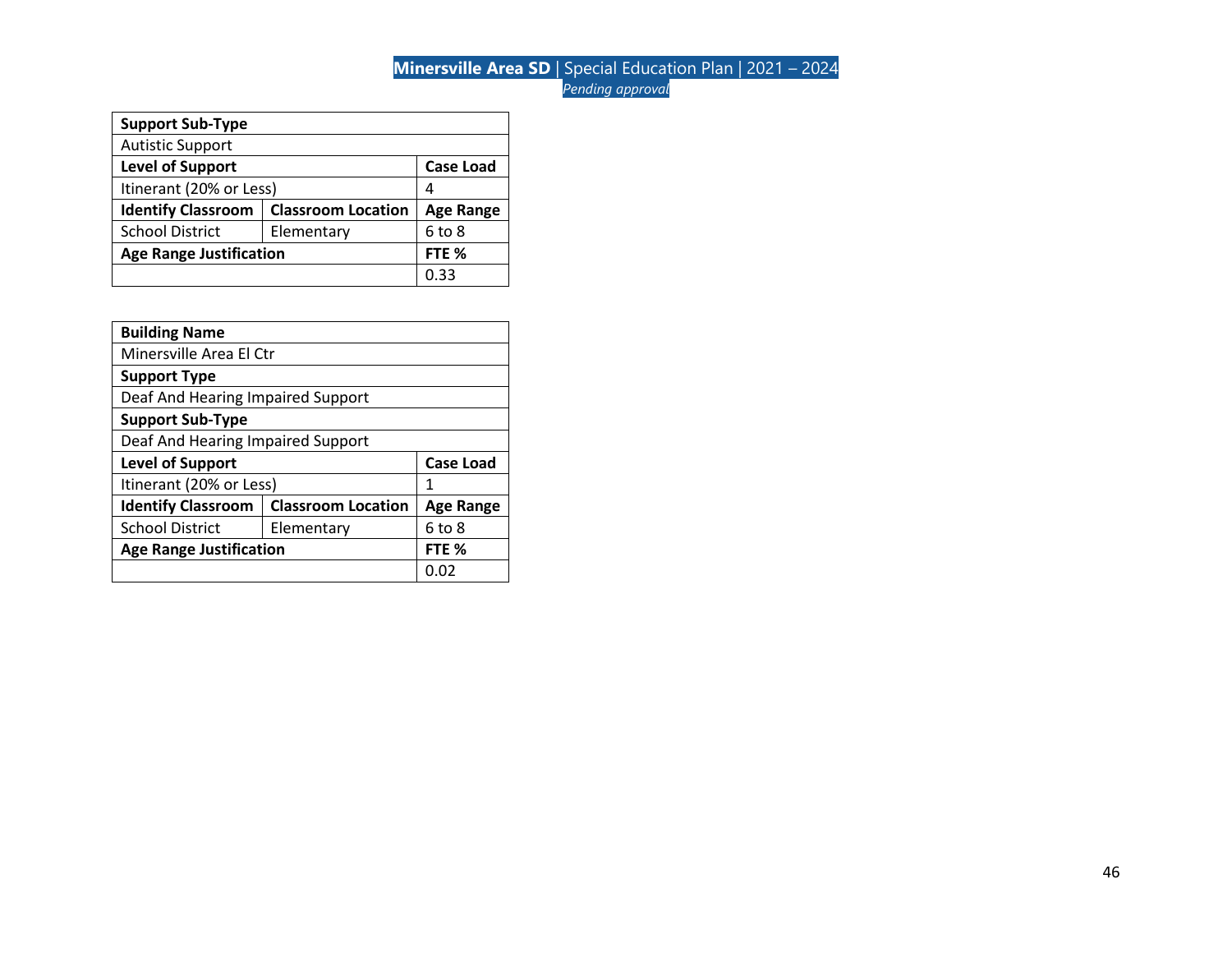| <b>Support Sub-Type</b>                                |                  |                  |  |
|--------------------------------------------------------|------------------|------------------|--|
| <b>Autistic Support</b>                                |                  |                  |  |
| <b>Level of Support</b>                                | <b>Case Load</b> |                  |  |
| Itinerant (20% or Less)                                |                  | 4                |  |
| <b>Identify Classroom</b><br><b>Classroom Location</b> |                  |                  |  |
|                                                        |                  | <b>Age Range</b> |  |
| <b>School District</b>                                 | Elementary       | 6 to 8           |  |
| <b>Age Range Justification</b>                         |                  | FTE <sub>%</sub> |  |

| <b>Building Name</b>                                   |                         |           |  |
|--------------------------------------------------------|-------------------------|-----------|--|
|                                                        | Minersville Area El Ctr |           |  |
| <b>Support Type</b>                                    |                         |           |  |
| Deaf And Hearing Impaired Support                      |                         |           |  |
| <b>Support Sub-Type</b>                                |                         |           |  |
| Deaf And Hearing Impaired Support                      |                         |           |  |
| <b>Case Load</b><br><b>Level of Support</b>            |                         |           |  |
| Itinerant (20% or Less)                                |                         | 1         |  |
| <b>Identify Classroom</b><br><b>Classroom Location</b> |                         | Age Range |  |
| <b>School District</b><br>Elementary                   |                         | 6 to 8    |  |
| <b>Age Range Justification</b><br>FTE %                |                         |           |  |
|                                                        |                         | 0.02      |  |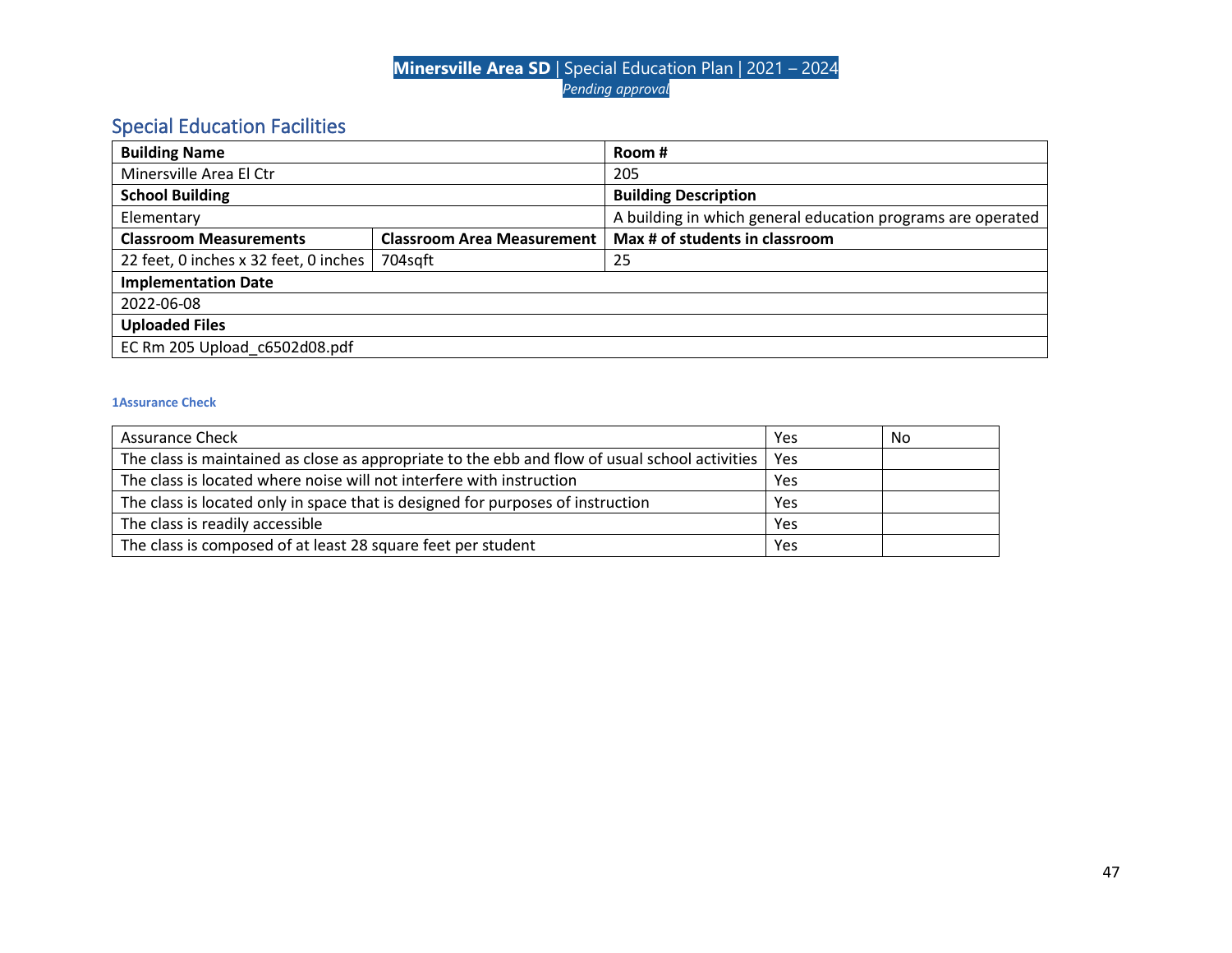# Special Education Facilities

| <b>Building Name</b>                  |                                   | Room #                                                      |
|---------------------------------------|-----------------------------------|-------------------------------------------------------------|
| Minersville Area El Ctr               |                                   | 205                                                         |
| <b>School Building</b>                |                                   | <b>Building Description</b>                                 |
| Elementary                            |                                   | A building in which general education programs are operated |
| <b>Classroom Measurements</b>         | <b>Classroom Area Measurement</b> | Max # of students in classroom                              |
| 22 feet, 0 inches x 32 feet, 0 inches | 704sqft                           | 25                                                          |
| <b>Implementation Date</b>            |                                   |                                                             |
| 2022-06-08                            |                                   |                                                             |
| <b>Uploaded Files</b>                 |                                   |                                                             |
| EC Rm 205 Upload_c6502d08.pdf         |                                   |                                                             |

| <b>Assurance Check</b>                                                                         | Yes | No |
|------------------------------------------------------------------------------------------------|-----|----|
| The class is maintained as close as appropriate to the ebb and flow of usual school activities | Yes |    |
| The class is located where noise will not interfere with instruction                           | Yes |    |
| The class is located only in space that is designed for purposes of instruction                | Yes |    |
| The class is readily accessible                                                                | Yes |    |
| The class is composed of at least 28 square feet per student                                   | Yes |    |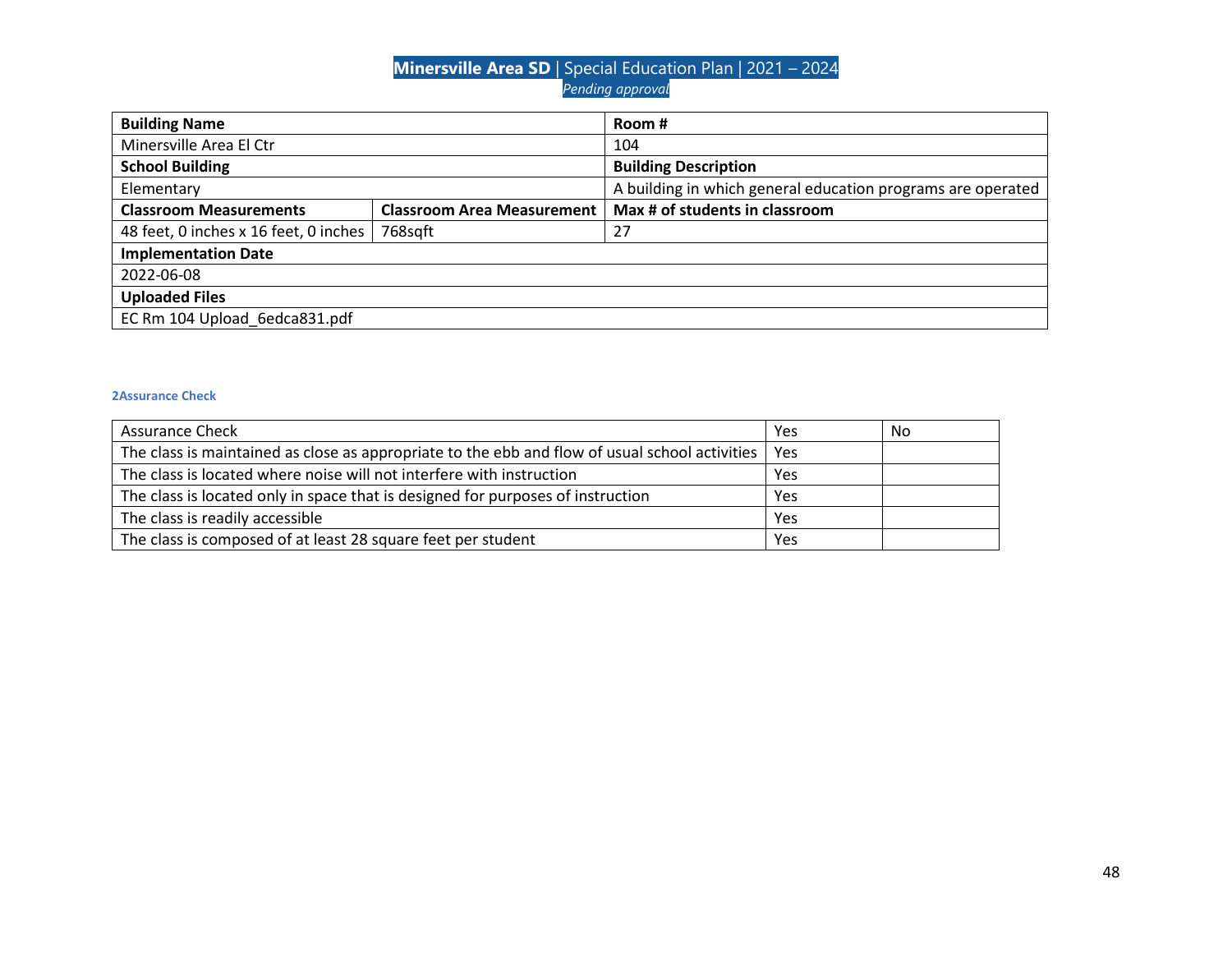| <b>Building Name</b>                  |                                   | Room #                                                      |
|---------------------------------------|-----------------------------------|-------------------------------------------------------------|
| Minersville Area El Ctr               |                                   | 104                                                         |
| <b>School Building</b>                |                                   | <b>Building Description</b>                                 |
| Elementary                            |                                   | A building in which general education programs are operated |
| <b>Classroom Measurements</b>         | <b>Classroom Area Measurement</b> | Max # of students in classroom                              |
| 48 feet, 0 inches x 16 feet, 0 inches | 768sqft                           | 27                                                          |
| <b>Implementation Date</b>            |                                   |                                                             |
| 2022-06-08                            |                                   |                                                             |
| <b>Uploaded Files</b>                 |                                   |                                                             |
| EC Rm 104 Upload 6edca831.pdf         |                                   |                                                             |

| <b>Assurance Check</b>                                                                                | Yes | No |
|-------------------------------------------------------------------------------------------------------|-----|----|
| The class is maintained as close as appropriate to the ebb and flow of usual school activities<br>Yes |     |    |
| The class is located where noise will not interfere with instruction                                  | Yes |    |
| The class is located only in space that is designed for purposes of instruction                       |     |    |
| The class is readily accessible                                                                       | Yes |    |
| The class is composed of at least 28 square feet per student                                          | Yes |    |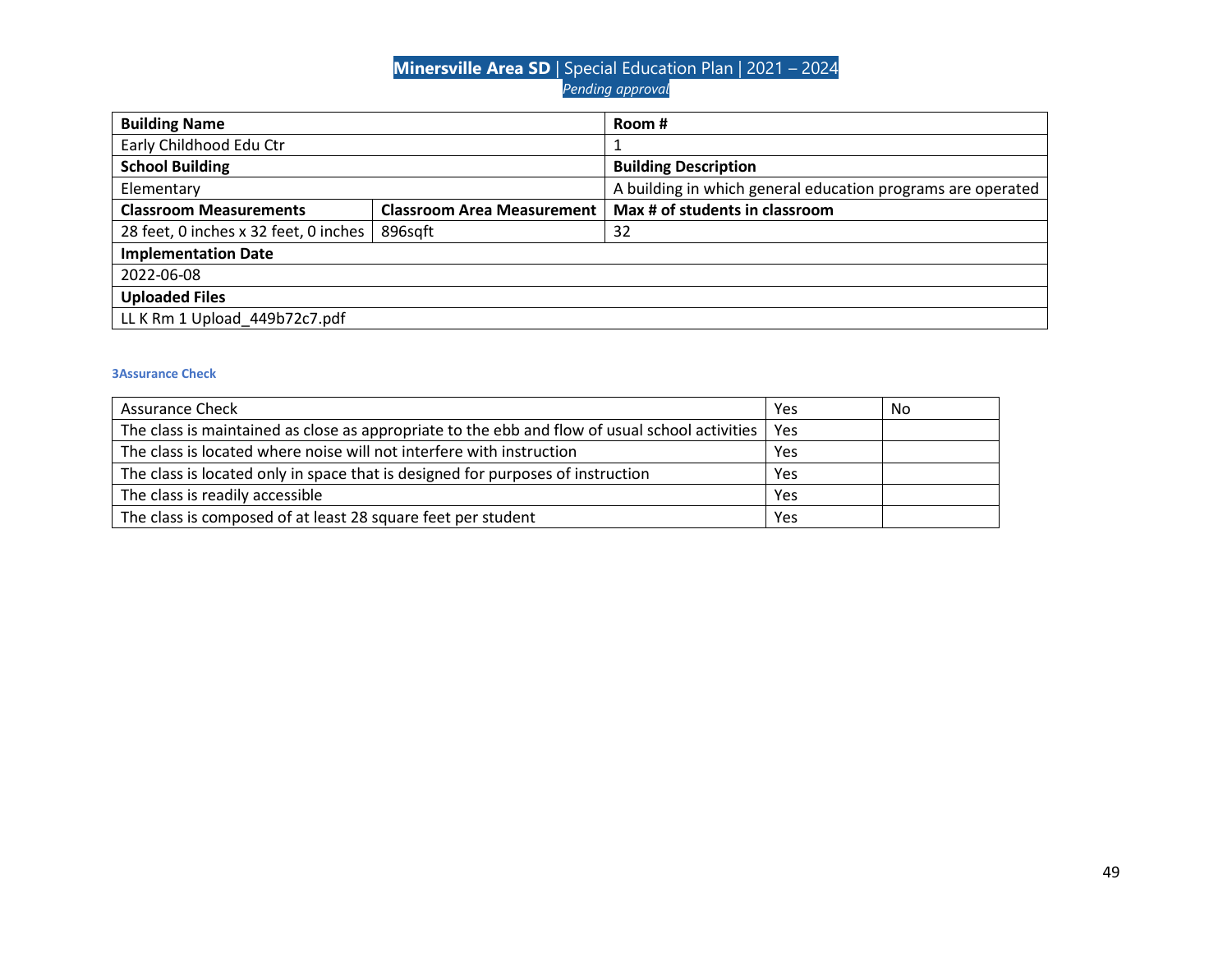| <b>Building Name</b>                  |                                   | Room #                                                      |  |
|---------------------------------------|-----------------------------------|-------------------------------------------------------------|--|
| Early Childhood Edu Ctr               |                                   |                                                             |  |
| <b>School Building</b>                |                                   | <b>Building Description</b>                                 |  |
| Elementary                            |                                   | A building in which general education programs are operated |  |
| <b>Classroom Measurements</b>         | <b>Classroom Area Measurement</b> | Max # of students in classroom                              |  |
| 28 feet, 0 inches x 32 feet, 0 inches | 896sqft                           | 32                                                          |  |
| <b>Implementation Date</b>            |                                   |                                                             |  |
| 2022-06-08                            |                                   |                                                             |  |
| <b>Uploaded Files</b>                 |                                   |                                                             |  |
| LL K Rm 1 Upload 449b72c7.pdf         |                                   |                                                             |  |

| <b>Assurance Check</b>                                                                               | Yes | No |
|------------------------------------------------------------------------------------------------------|-----|----|
| The class is maintained as close as appropriate to the ebb and flow of usual school activities   Yes |     |    |
| The class is located where noise will not interfere with instruction                                 | Yes |    |
| The class is located only in space that is designed for purposes of instruction                      |     |    |
| The class is readily accessible                                                                      | Yes |    |
| The class is composed of at least 28 square feet per student                                         | Yes |    |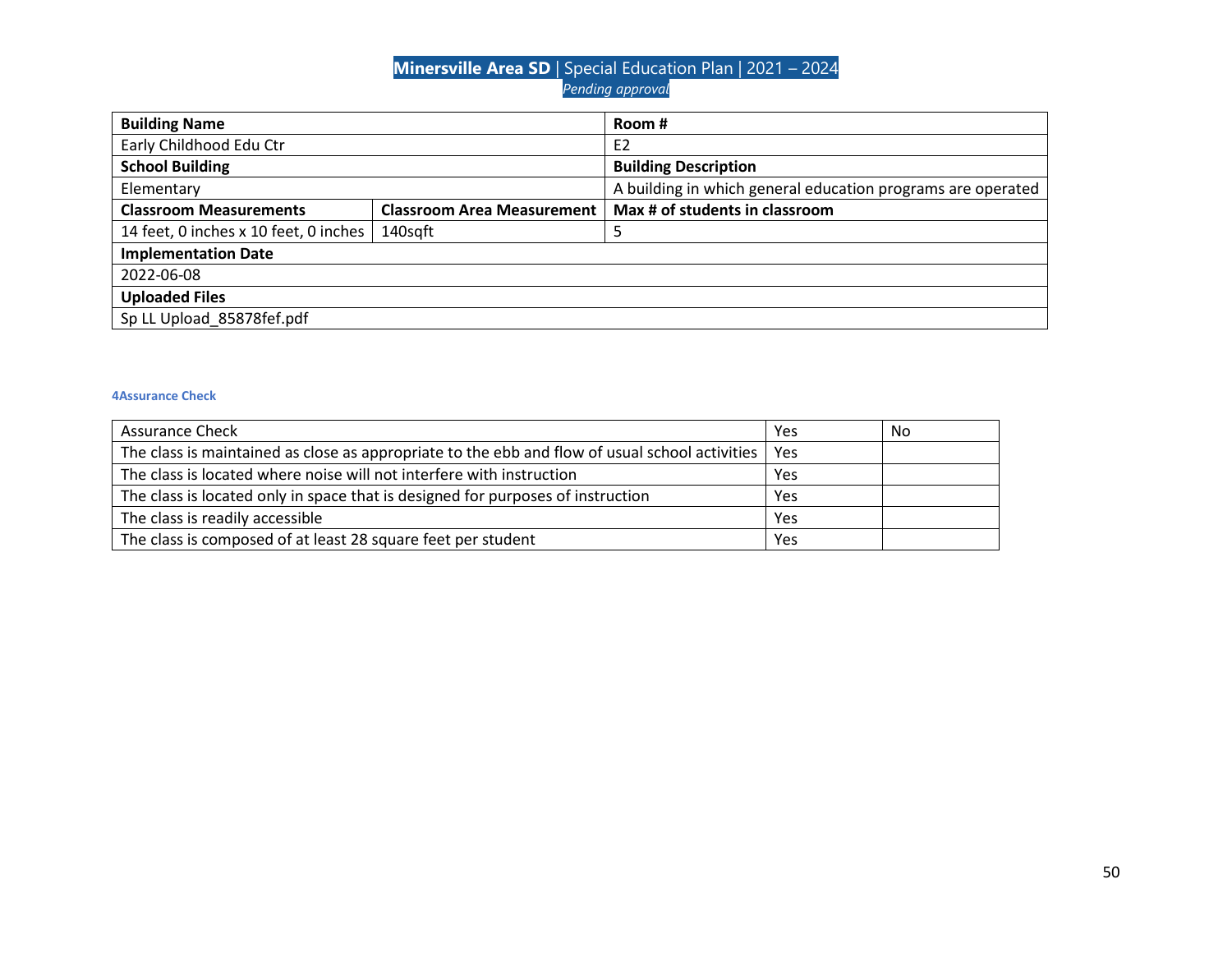| <b>Building Name</b>                  |                                   | Room #                                                      |
|---------------------------------------|-----------------------------------|-------------------------------------------------------------|
| Early Childhood Edu Ctr               |                                   | E <sub>2</sub>                                              |
| <b>School Building</b>                |                                   | <b>Building Description</b>                                 |
| Elementary                            |                                   | A building in which general education programs are operated |
| <b>Classroom Measurements</b>         | <b>Classroom Area Measurement</b> | Max # of students in classroom                              |
| 14 feet, 0 inches x 10 feet, 0 inches | 140sqft                           | 5                                                           |
| <b>Implementation Date</b>            |                                   |                                                             |
| 2022-06-08                            |                                   |                                                             |
| <b>Uploaded Files</b>                 |                                   |                                                             |
| Sp LL Upload 85878fef.pdf             |                                   |                                                             |

| <b>Assurance Check</b>                                                                         | Yes | No |
|------------------------------------------------------------------------------------------------|-----|----|
| The class is maintained as close as appropriate to the ebb and flow of usual school activities | Yes |    |
| The class is located where noise will not interfere with instruction                           | Yes |    |
| The class is located only in space that is designed for purposes of instruction                | Yes |    |
| The class is readily accessible                                                                | Yes |    |
| The class is composed of at least 28 square feet per student                                   | Yes |    |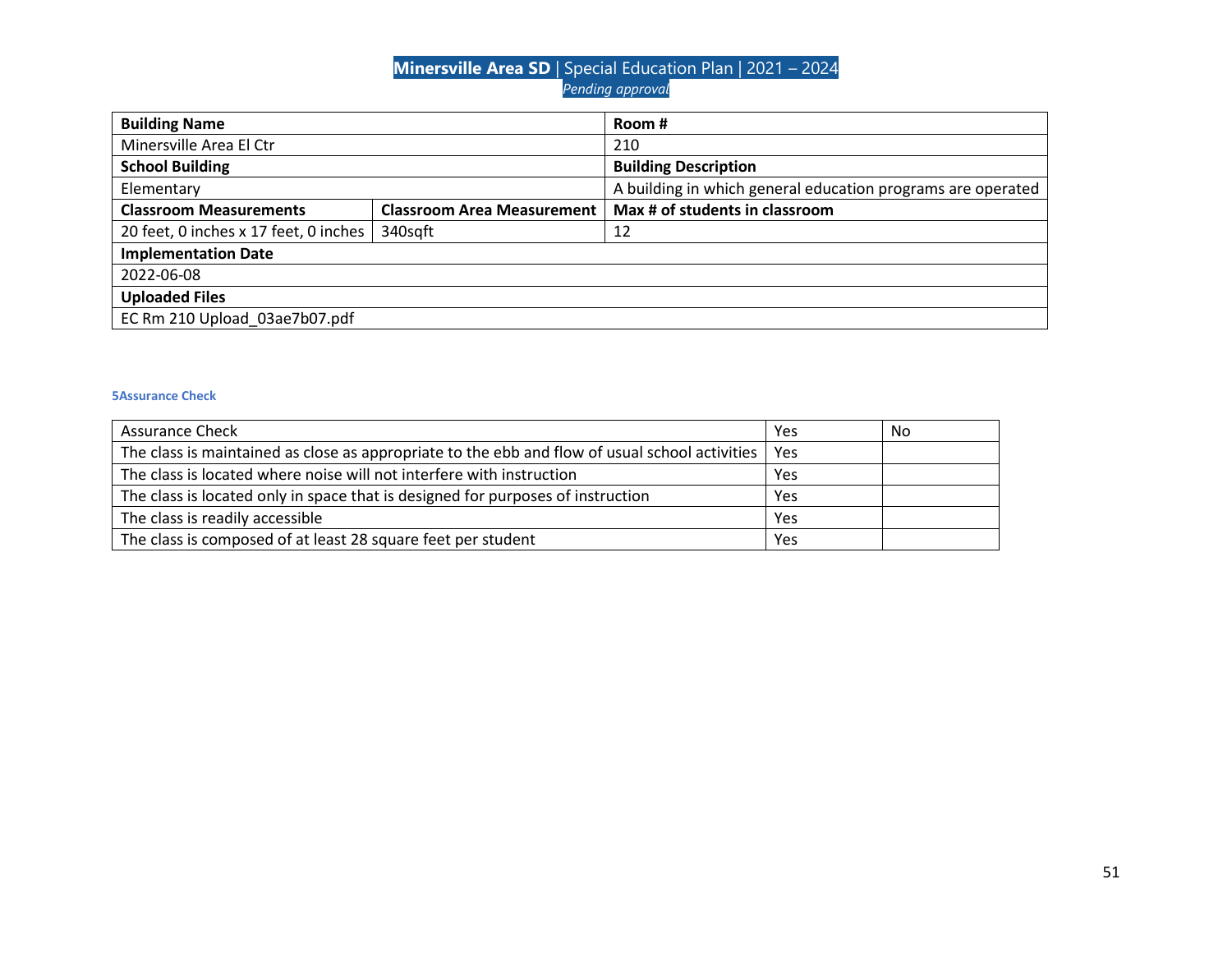| <b>Building Name</b>                  |                                   | Room #                                                      |
|---------------------------------------|-----------------------------------|-------------------------------------------------------------|
| Minersville Area El Ctr               |                                   | 210                                                         |
| <b>School Building</b>                |                                   | <b>Building Description</b>                                 |
| Elementary                            |                                   | A building in which general education programs are operated |
| <b>Classroom Measurements</b>         | <b>Classroom Area Measurement</b> | Max # of students in classroom                              |
| 20 feet, 0 inches x 17 feet, 0 inches | 340sqft                           | -12                                                         |
| <b>Implementation Date</b>            |                                   |                                                             |
| 2022-06-08                            |                                   |                                                             |
| <b>Uploaded Files</b>                 |                                   |                                                             |
| EC Rm 210 Upload 03ae7b07.pdf         |                                   |                                                             |

| <b>Assurance Check</b>                                                                                | Yes | No |
|-------------------------------------------------------------------------------------------------------|-----|----|
| The class is maintained as close as appropriate to the ebb and flow of usual school activities<br>Yes |     |    |
| The class is located where noise will not interfere with instruction                                  | Yes |    |
| The class is located only in space that is designed for purposes of instruction                       |     |    |
| The class is readily accessible                                                                       | Yes |    |
| The class is composed of at least 28 square feet per student                                          | Yes |    |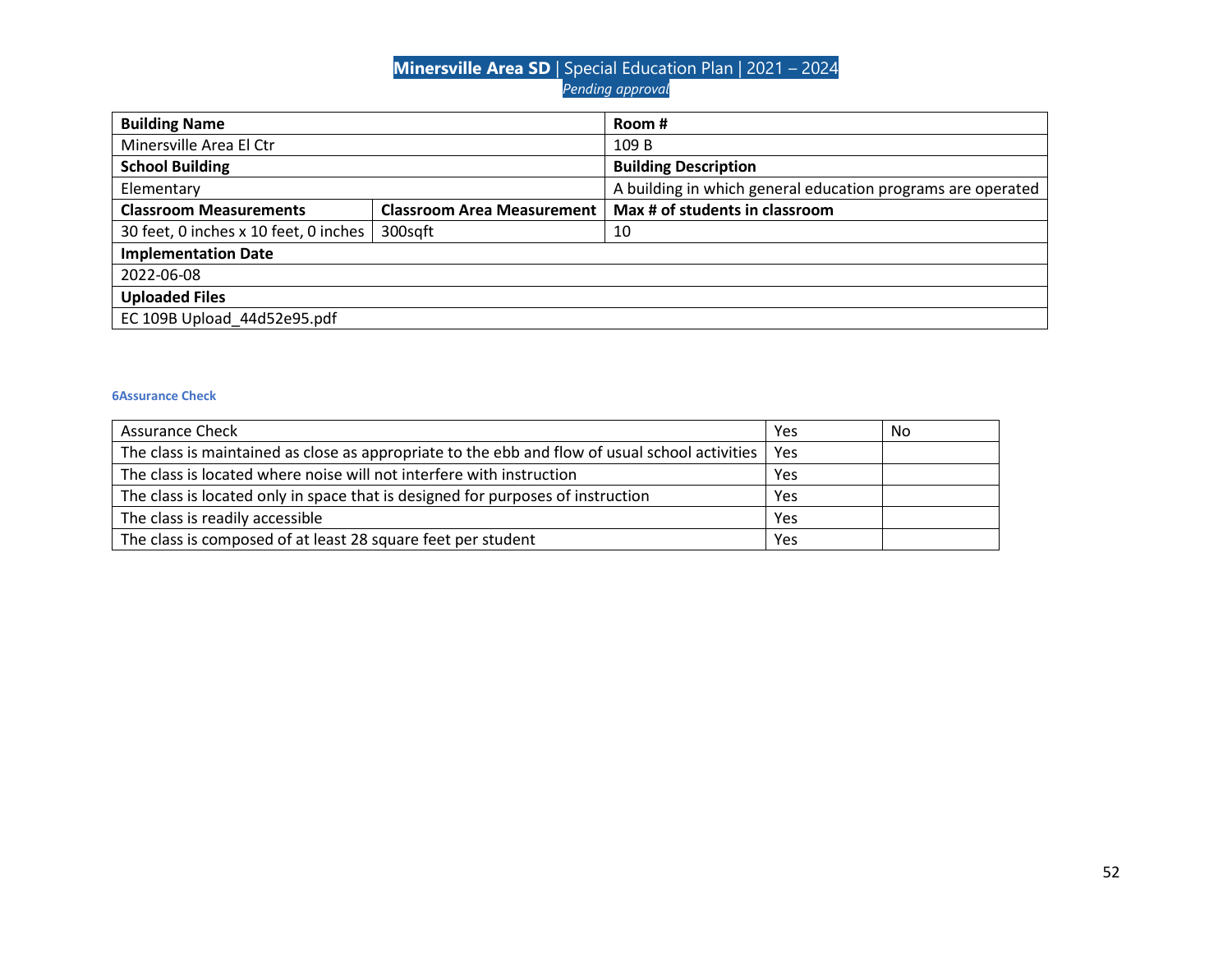| <b>Building Name</b>                  |                                   | Room #                                                      |
|---------------------------------------|-----------------------------------|-------------------------------------------------------------|
| Minersville Area El Ctr               |                                   | 109 B                                                       |
| <b>School Building</b>                |                                   | <b>Building Description</b>                                 |
| Elementary                            |                                   | A building in which general education programs are operated |
| <b>Classroom Measurements</b>         | <b>Classroom Area Measurement</b> | Max # of students in classroom                              |
| 30 feet, 0 inches x 10 feet, 0 inches | 300sqft                           | 10                                                          |
| <b>Implementation Date</b>            |                                   |                                                             |
| 2022-06-08                            |                                   |                                                             |
| <b>Uploaded Files</b>                 |                                   |                                                             |
| EC 109B Upload 44d52e95.pdf           |                                   |                                                             |

| <b>Assurance Check</b>                                                                                | Yes | No |
|-------------------------------------------------------------------------------------------------------|-----|----|
| The class is maintained as close as appropriate to the ebb and flow of usual school activities<br>Yes |     |    |
| The class is located where noise will not interfere with instruction                                  | Yes |    |
| The class is located only in space that is designed for purposes of instruction                       | Yes |    |
| The class is readily accessible                                                                       | Yes |    |
| The class is composed of at least 28 square feet per student                                          | Yes |    |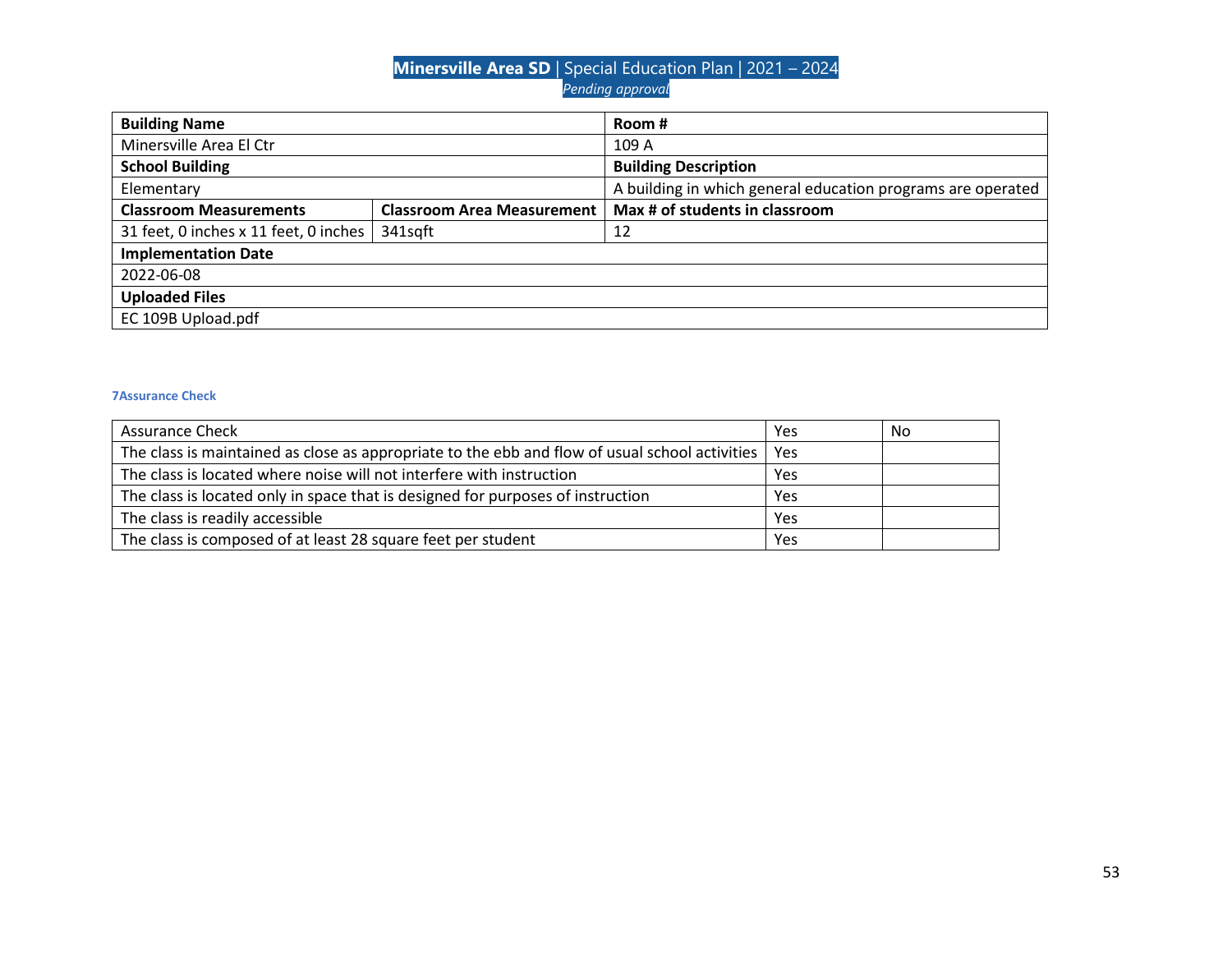| <b>Building Name</b>                  |                                   | Room #                                                      |
|---------------------------------------|-----------------------------------|-------------------------------------------------------------|
| Minersville Area El Ctr               |                                   | 109 A                                                       |
| <b>School Building</b>                |                                   | <b>Building Description</b>                                 |
| Elementary                            |                                   | A building in which general education programs are operated |
| <b>Classroom Measurements</b>         | <b>Classroom Area Measurement</b> | Max # of students in classroom                              |
| 31 feet, 0 inches x 11 feet, 0 inches | 341sqft                           | 12                                                          |
| <b>Implementation Date</b>            |                                   |                                                             |
| 2022-06-08                            |                                   |                                                             |
| <b>Uploaded Files</b>                 |                                   |                                                             |
| EC 109B Upload.pdf                    |                                   |                                                             |

| <b>Assurance Check</b>                                                                                | Yes | No |
|-------------------------------------------------------------------------------------------------------|-----|----|
| The class is maintained as close as appropriate to the ebb and flow of usual school activities<br>Yes |     |    |
| The class is located where noise will not interfere with instruction                                  | Yes |    |
| The class is located only in space that is designed for purposes of instruction                       |     |    |
| The class is readily accessible                                                                       | Yes |    |
| The class is composed of at least 28 square feet per student                                          | Yes |    |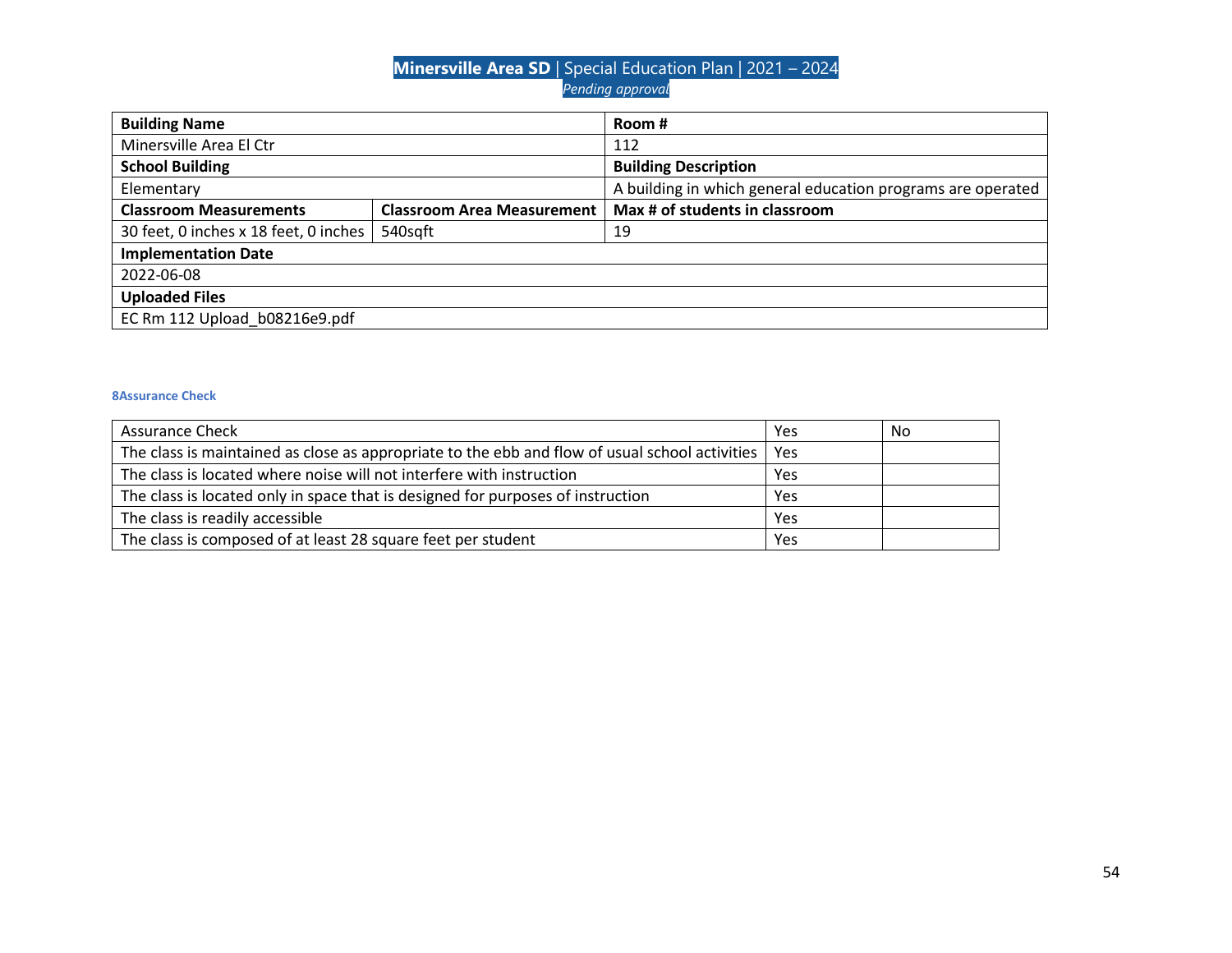| <b>Building Name</b>                  |                                   | Room #                                                      |
|---------------------------------------|-----------------------------------|-------------------------------------------------------------|
| Minersville Area El Ctr               |                                   | 112                                                         |
| <b>School Building</b>                |                                   | <b>Building Description</b>                                 |
| Elementary                            |                                   | A building in which general education programs are operated |
| <b>Classroom Measurements</b>         | <b>Classroom Area Measurement</b> | Max # of students in classroom                              |
| 30 feet, 0 inches x 18 feet, 0 inches | 540sqft                           | 19                                                          |
| <b>Implementation Date</b>            |                                   |                                                             |
| 2022-06-08                            |                                   |                                                             |
| <b>Uploaded Files</b>                 |                                   |                                                             |
| EC Rm 112 Upload b08216e9.pdf         |                                   |                                                             |

| <b>Assurance Check</b>                                                                                | Yes | No |
|-------------------------------------------------------------------------------------------------------|-----|----|
| The class is maintained as close as appropriate to the ebb and flow of usual school activities<br>Yes |     |    |
| The class is located where noise will not interfere with instruction                                  | Yes |    |
| The class is located only in space that is designed for purposes of instruction                       |     |    |
| The class is readily accessible                                                                       | Yes |    |
| The class is composed of at least 28 square feet per student                                          | Yes |    |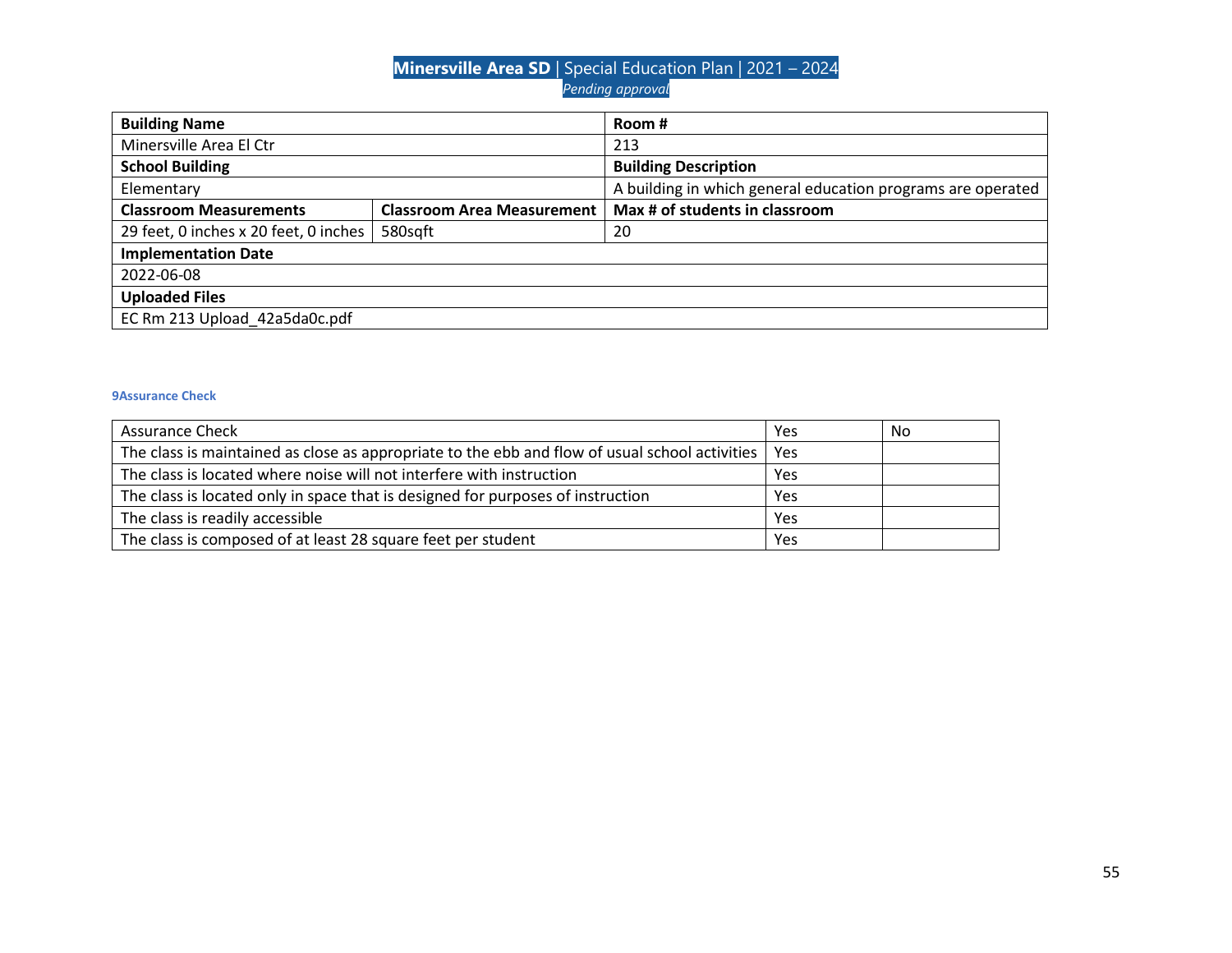| <b>Building Name</b>                  |                                   | Room #                                                      |
|---------------------------------------|-----------------------------------|-------------------------------------------------------------|
| Minersville Area El Ctr               |                                   | 213                                                         |
| <b>School Building</b>                |                                   | <b>Building Description</b>                                 |
| Elementary                            |                                   | A building in which general education programs are operated |
| <b>Classroom Measurements</b>         | <b>Classroom Area Measurement</b> | Max # of students in classroom                              |
| 29 feet, 0 inches x 20 feet, 0 inches | 580sgft                           | 20                                                          |
| <b>Implementation Date</b>            |                                   |                                                             |
| 2022-06-08                            |                                   |                                                             |
| <b>Uploaded Files</b>                 |                                   |                                                             |
| EC Rm 213 Upload 42a5da0c.pdf         |                                   |                                                             |

| <b>Assurance Check</b>                                                                                | Yes | No |
|-------------------------------------------------------------------------------------------------------|-----|----|
| The class is maintained as close as appropriate to the ebb and flow of usual school activities<br>Yes |     |    |
| The class is located where noise will not interfere with instruction                                  | Yes |    |
| The class is located only in space that is designed for purposes of instruction                       | Yes |    |
| The class is readily accessible                                                                       | Yes |    |
| The class is composed of at least 28 square feet per student                                          | Yes |    |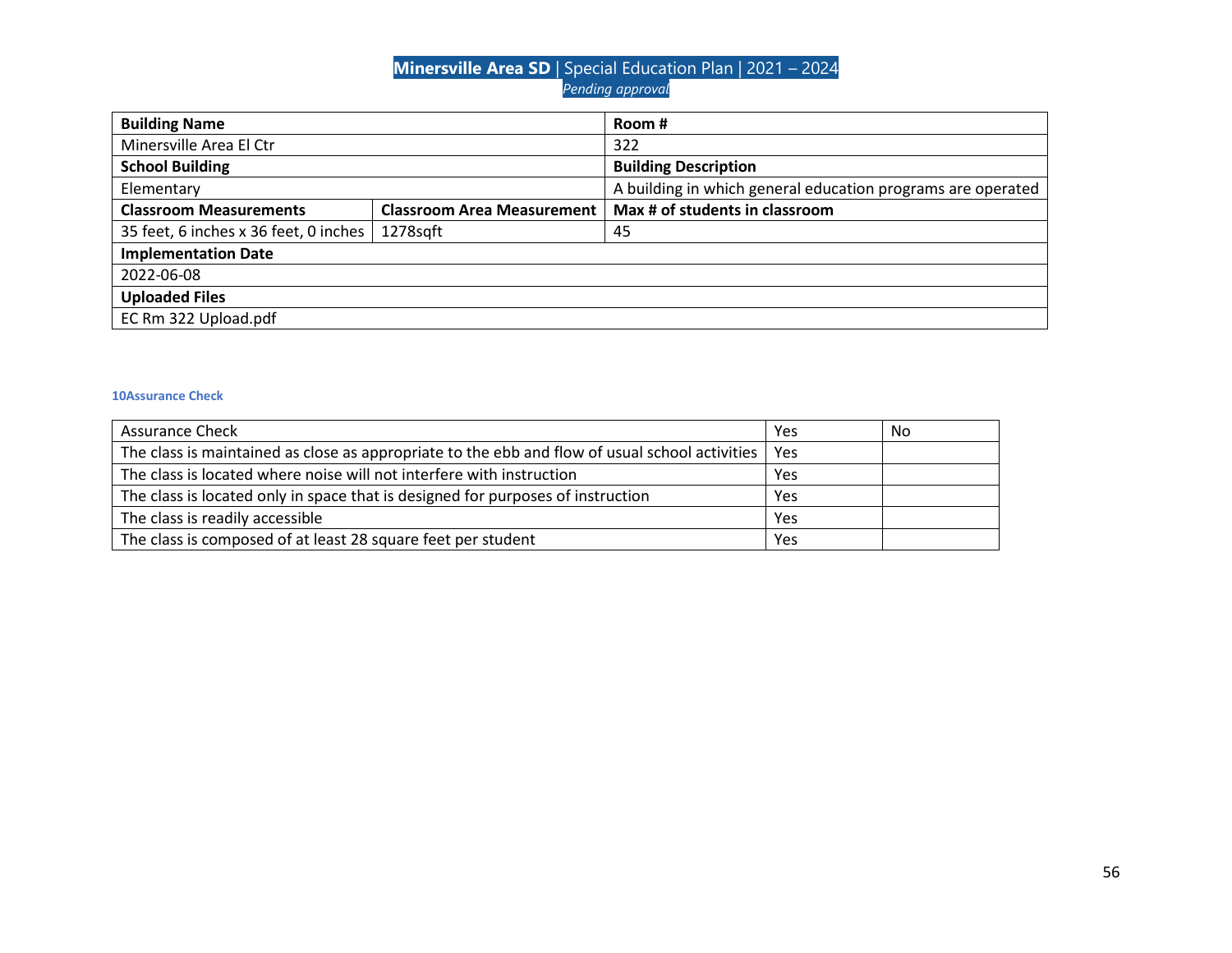| <b>Building Name</b>                  |                                   | Room #                                                      |
|---------------------------------------|-----------------------------------|-------------------------------------------------------------|
| Minersville Area El Ctr               |                                   | 322                                                         |
| <b>School Building</b>                |                                   | <b>Building Description</b>                                 |
| Elementary                            |                                   | A building in which general education programs are operated |
| <b>Classroom Measurements</b>         | <b>Classroom Area Measurement</b> | Max # of students in classroom                              |
| 35 feet, 6 inches x 36 feet, 0 inches | 1278sqft                          | 45                                                          |
| <b>Implementation Date</b>            |                                   |                                                             |
| 2022-06-08                            |                                   |                                                             |
| <b>Uploaded Files</b>                 |                                   |                                                             |
| EC Rm 322 Upload.pdf                  |                                   |                                                             |

| <b>Assurance Check</b>                                                                         | Yes | No |
|------------------------------------------------------------------------------------------------|-----|----|
| The class is maintained as close as appropriate to the ebb and flow of usual school activities | Yes |    |
| The class is located where noise will not interfere with instruction                           | Yes |    |
| The class is located only in space that is designed for purposes of instruction                | Yes |    |
| The class is readily accessible                                                                | Yes |    |
| The class is composed of at least 28 square feet per student                                   | Yes |    |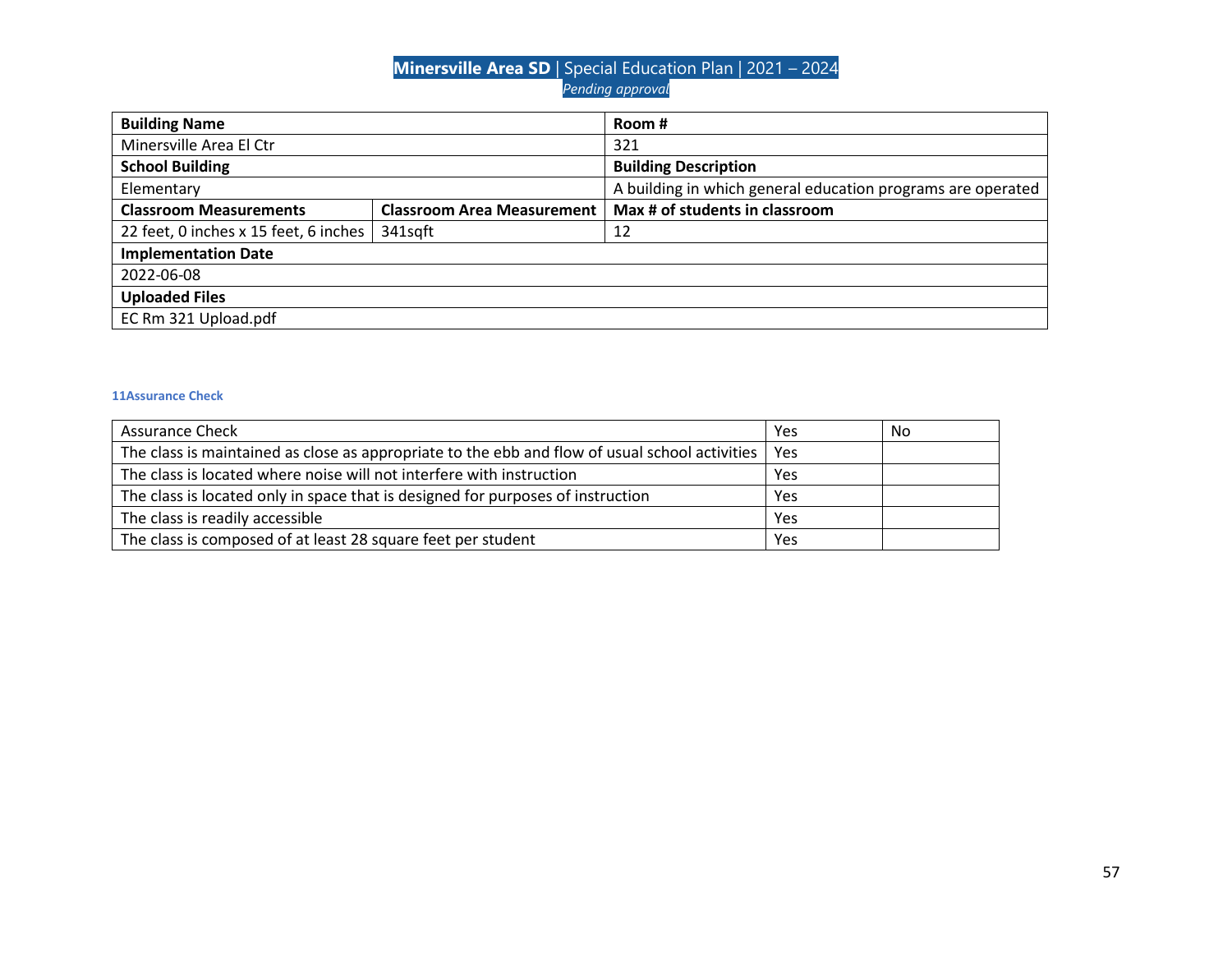| <b>Building Name</b>                  |                                   | Room #                                                      |  |
|---------------------------------------|-----------------------------------|-------------------------------------------------------------|--|
| Minersville Area El Ctr               |                                   | 321                                                         |  |
| <b>School Building</b>                |                                   | <b>Building Description</b>                                 |  |
| Elementary                            |                                   | A building in which general education programs are operated |  |
| <b>Classroom Measurements</b>         | <b>Classroom Area Measurement</b> | Max # of students in classroom                              |  |
| 22 feet, 0 inches x 15 feet, 6 inches | 341sqft                           | 12                                                          |  |
| <b>Implementation Date</b>            |                                   |                                                             |  |
| 2022-06-08                            |                                   |                                                             |  |
| <b>Uploaded Files</b>                 |                                   |                                                             |  |
| EC Rm 321 Upload.pdf                  |                                   |                                                             |  |

| <b>Assurance Check</b>                                                                               | Yes | No |
|------------------------------------------------------------------------------------------------------|-----|----|
| The class is maintained as close as appropriate to the ebb and flow of usual school activities   Yes |     |    |
| The class is located where noise will not interfere with instruction                                 | Yes |    |
| The class is located only in space that is designed for purposes of instruction                      | Yes |    |
| The class is readily accessible                                                                      | Yes |    |
| The class is composed of at least 28 square feet per student                                         | Yes |    |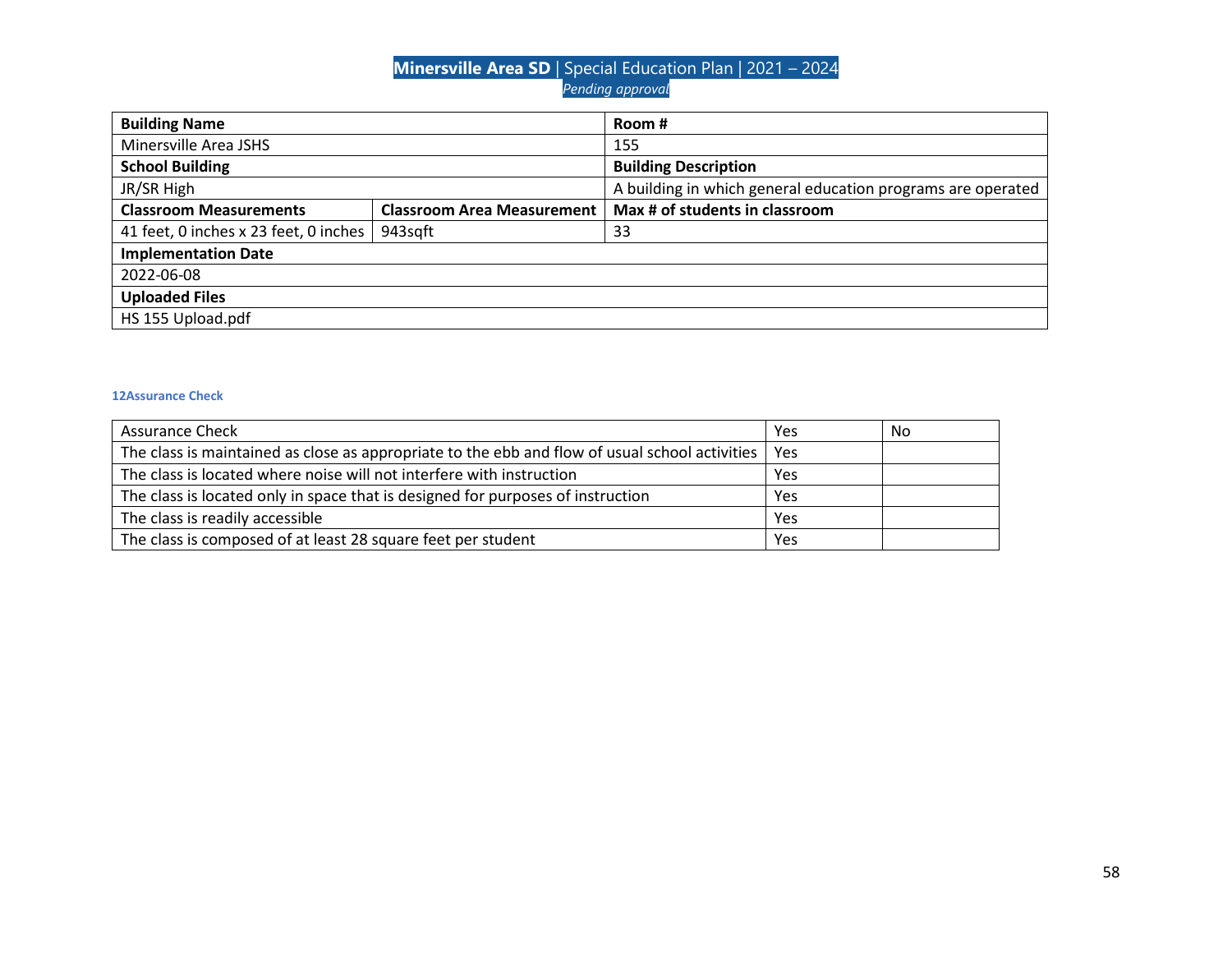| <b>Building Name</b>                  |                                   | Room #                                                      |
|---------------------------------------|-----------------------------------|-------------------------------------------------------------|
| Minersville Area JSHS                 |                                   | 155                                                         |
| <b>School Building</b>                |                                   | <b>Building Description</b>                                 |
| JR/SR High                            |                                   | A building in which general education programs are operated |
| <b>Classroom Measurements</b>         | <b>Classroom Area Measurement</b> | Max # of students in classroom                              |
| 41 feet, 0 inches x 23 feet, 0 inches | 943sqft                           | 33                                                          |
| <b>Implementation Date</b>            |                                   |                                                             |
| 2022-06-08                            |                                   |                                                             |
| <b>Uploaded Files</b>                 |                                   |                                                             |
| HS 155 Upload.pdf                     |                                   |                                                             |

| <b>Assurance Check</b>                                                                               | Yes | No |
|------------------------------------------------------------------------------------------------------|-----|----|
| The class is maintained as close as appropriate to the ebb and flow of usual school activities   Yes |     |    |
| The class is located where noise will not interfere with instruction                                 | Yes |    |
| The class is located only in space that is designed for purposes of instruction                      | Yes |    |
| The class is readily accessible                                                                      | Yes |    |
| The class is composed of at least 28 square feet per student                                         | Yes |    |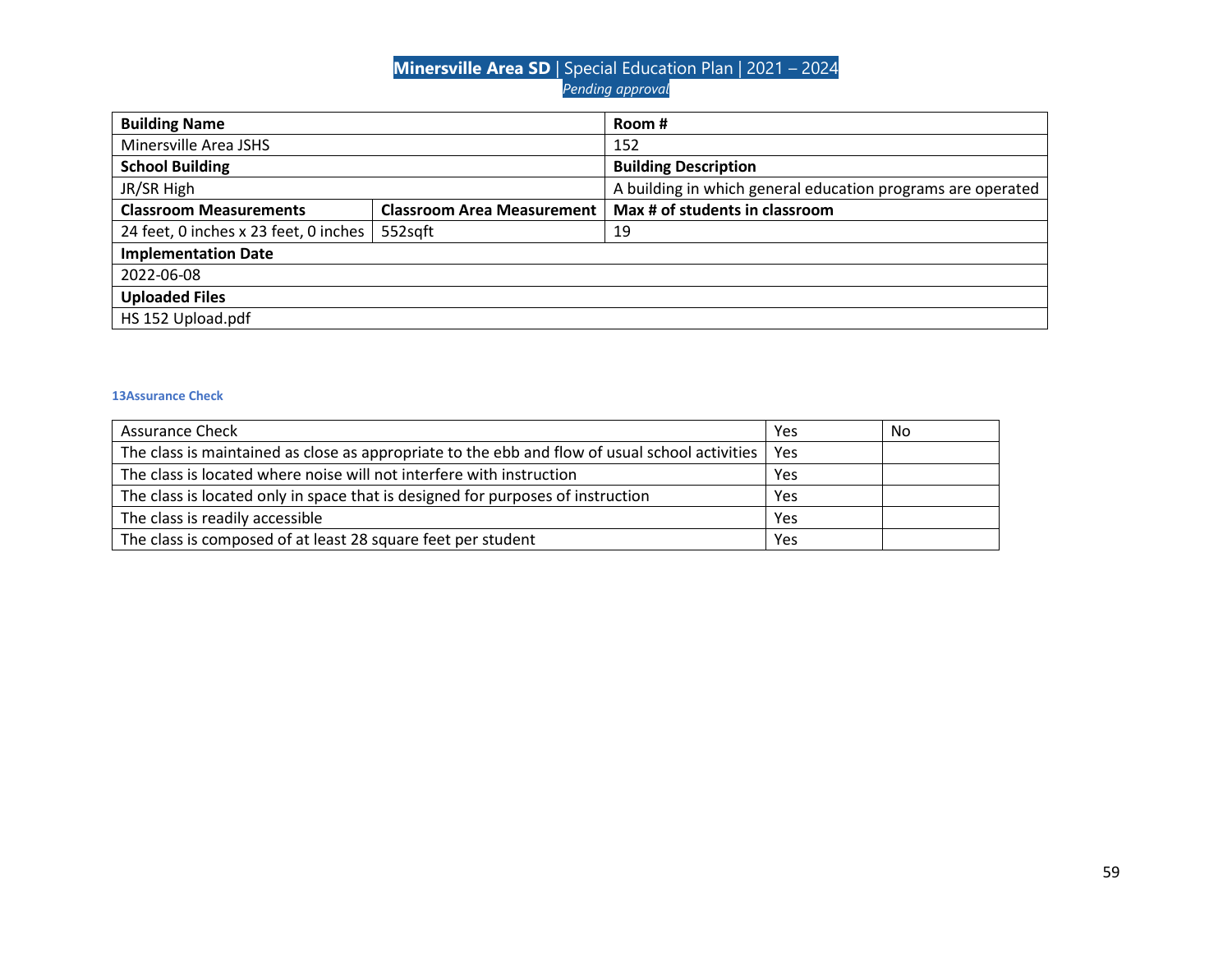| <b>Building Name</b>                  |                                   | Room #                                                      |  |
|---------------------------------------|-----------------------------------|-------------------------------------------------------------|--|
| Minersville Area JSHS                 |                                   | 152                                                         |  |
| <b>School Building</b>                |                                   | <b>Building Description</b>                                 |  |
| JR/SR High                            |                                   | A building in which general education programs are operated |  |
| <b>Classroom Measurements</b>         | <b>Classroom Area Measurement</b> | Max # of students in classroom                              |  |
| 24 feet, 0 inches x 23 feet, 0 inches | 552sqft                           | 19                                                          |  |
| <b>Implementation Date</b>            |                                   |                                                             |  |
| 2022-06-08                            |                                   |                                                             |  |
| <b>Uploaded Files</b>                 |                                   |                                                             |  |
| HS 152 Upload.pdf                     |                                   |                                                             |  |

| <b>Assurance Check</b>                                                                               | Yes | No |
|------------------------------------------------------------------------------------------------------|-----|----|
| The class is maintained as close as appropriate to the ebb and flow of usual school activities   Yes |     |    |
| The class is located where noise will not interfere with instruction                                 | Yes |    |
| The class is located only in space that is designed for purposes of instruction                      | Yes |    |
| The class is readily accessible                                                                      | Yes |    |
| The class is composed of at least 28 square feet per student                                         | Yes |    |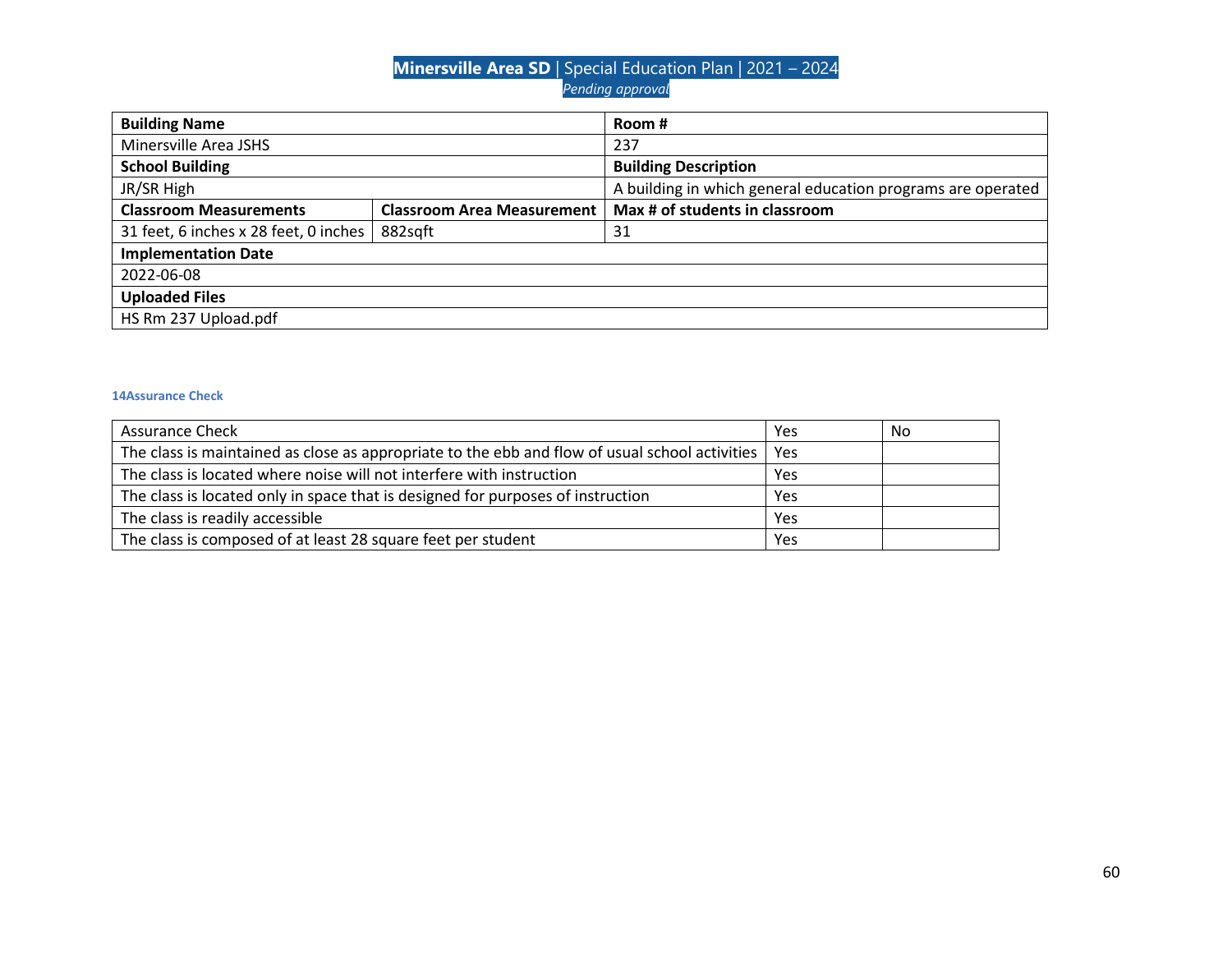| <b>Building Name</b>                  |                                   | Room #                                                      |  |
|---------------------------------------|-----------------------------------|-------------------------------------------------------------|--|
| Minersville Area JSHS                 |                                   | 237                                                         |  |
| <b>School Building</b>                |                                   | <b>Building Description</b>                                 |  |
| JR/SR High                            |                                   | A building in which general education programs are operated |  |
| <b>Classroom Measurements</b>         | <b>Classroom Area Measurement</b> | Max # of students in classroom                              |  |
| 31 feet, 6 inches x 28 feet, 0 inches | 882sqft                           | 31                                                          |  |
| <b>Implementation Date</b>            |                                   |                                                             |  |
| 2022-06-08                            |                                   |                                                             |  |
| <b>Uploaded Files</b>                 |                                   |                                                             |  |
| HS Rm 237 Upload.pdf                  |                                   |                                                             |  |

| <b>Assurance Check</b>                                                                                | Yes | No |
|-------------------------------------------------------------------------------------------------------|-----|----|
| The class is maintained as close as appropriate to the ebb and flow of usual school activities<br>Yes |     |    |
| The class is located where noise will not interfere with instruction                                  | Yes |    |
| The class is located only in space that is designed for purposes of instruction                       |     |    |
| The class is readily accessible                                                                       | Yes |    |
| The class is composed of at least 28 square feet per student                                          | Yes |    |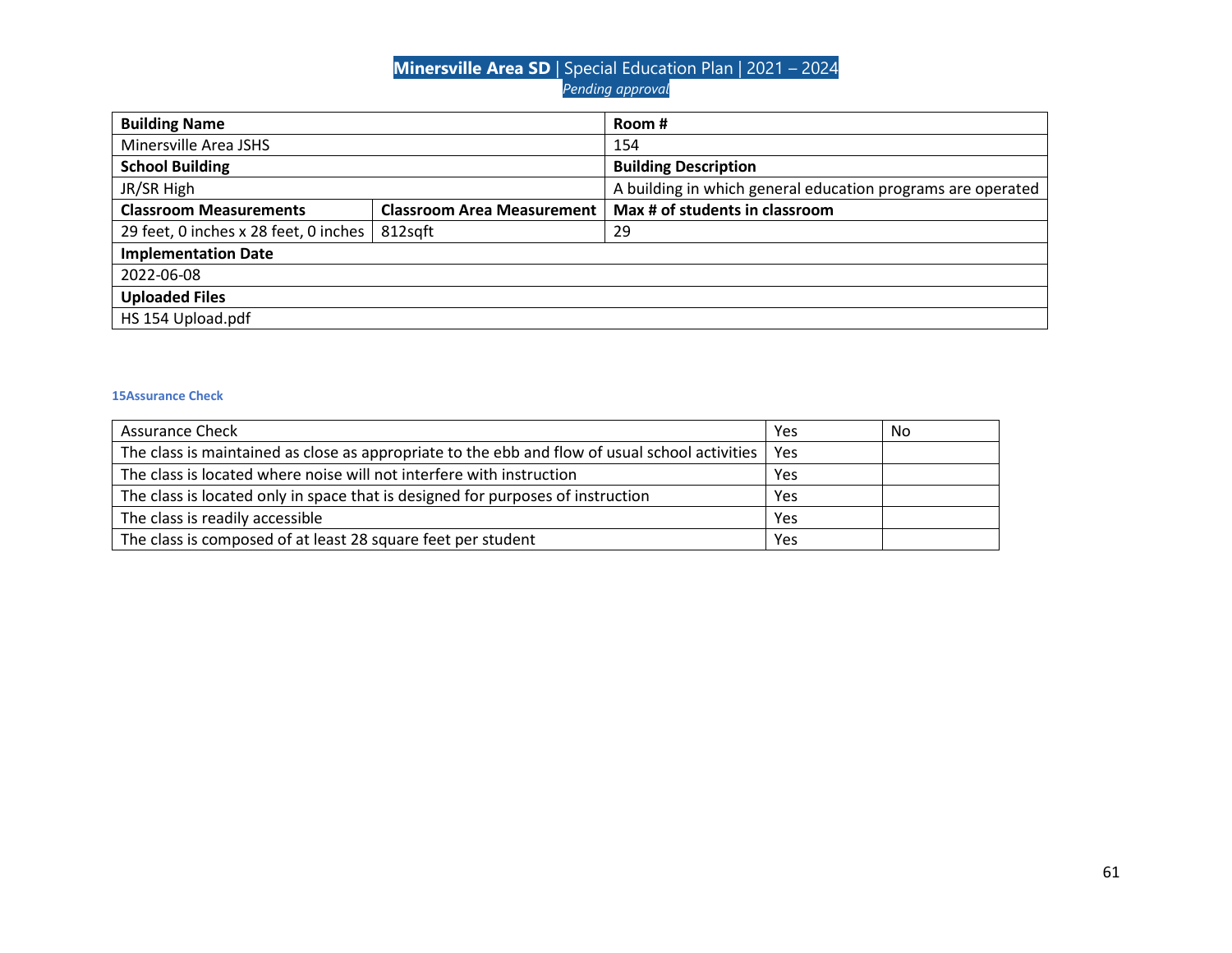| <b>Building Name</b>                  |                                   | Room #                                                      |  |
|---------------------------------------|-----------------------------------|-------------------------------------------------------------|--|
| Minersville Area JSHS                 |                                   | 154                                                         |  |
| <b>School Building</b>                |                                   | <b>Building Description</b>                                 |  |
| JR/SR High                            |                                   | A building in which general education programs are operated |  |
| <b>Classroom Measurements</b>         | <b>Classroom Area Measurement</b> | Max # of students in classroom                              |  |
| 29 feet, 0 inches x 28 feet, 0 inches | 812sqft                           | 29                                                          |  |
| <b>Implementation Date</b>            |                                   |                                                             |  |
| 2022-06-08                            |                                   |                                                             |  |
| <b>Uploaded Files</b>                 |                                   |                                                             |  |
| HS 154 Upload.pdf                     |                                   |                                                             |  |

| <b>Assurance Check</b>                                                                                | Yes | No |
|-------------------------------------------------------------------------------------------------------|-----|----|
| The class is maintained as close as appropriate to the ebb and flow of usual school activities<br>Yes |     |    |
| The class is located where noise will not interfere with instruction                                  | Yes |    |
| The class is located only in space that is designed for purposes of instruction                       | Yes |    |
| The class is readily accessible                                                                       | Yes |    |
| The class is composed of at least 28 square feet per student                                          | Yes |    |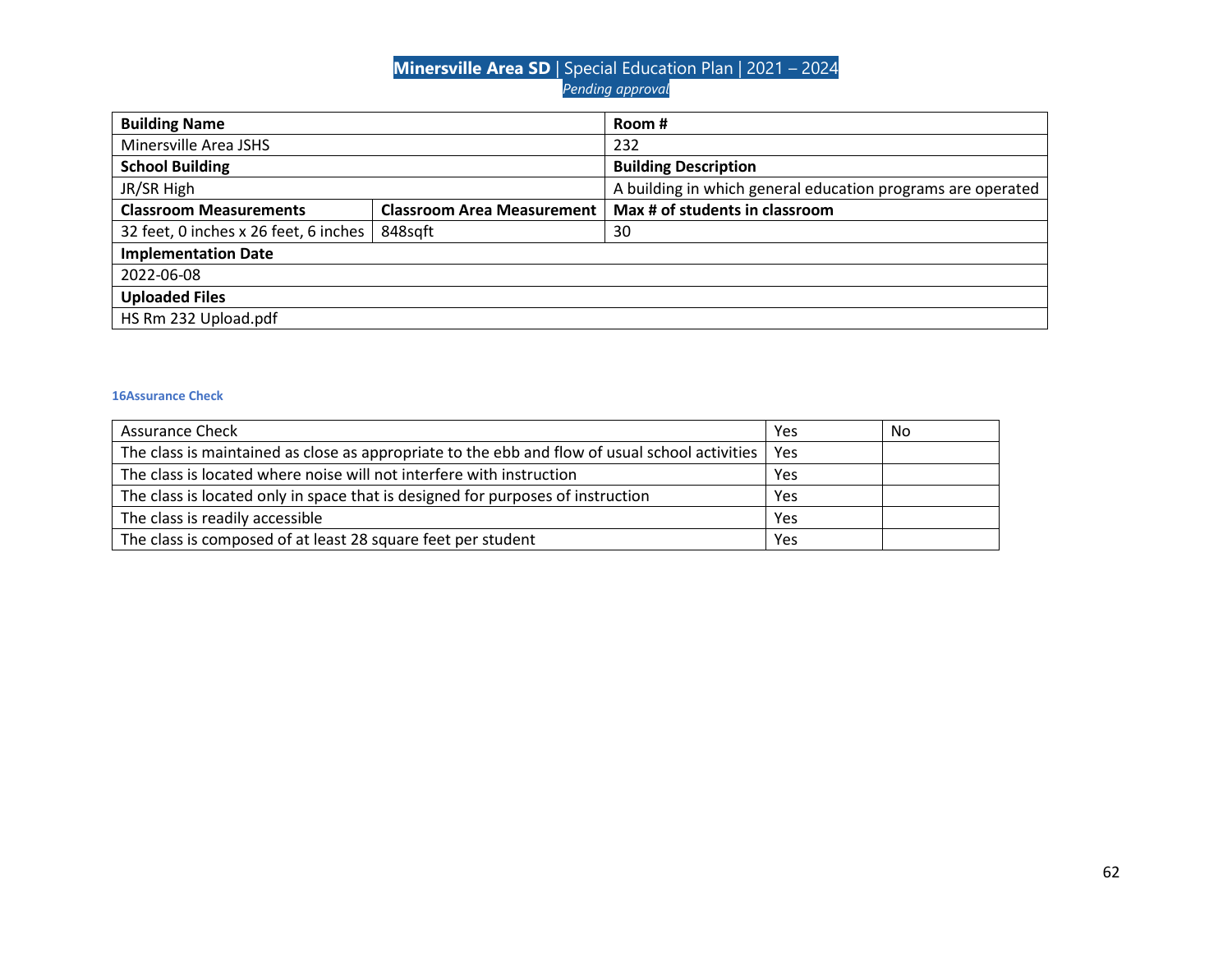| <b>Building Name</b>                  |                                   | Room #                                                      |  |
|---------------------------------------|-----------------------------------|-------------------------------------------------------------|--|
| Minersville Area JSHS                 |                                   | 232                                                         |  |
| <b>School Building</b>                |                                   | <b>Building Description</b>                                 |  |
| JR/SR High                            |                                   | A building in which general education programs are operated |  |
| <b>Classroom Measurements</b>         | <b>Classroom Area Measurement</b> | Max # of students in classroom                              |  |
| 32 feet, 0 inches x 26 feet, 6 inches | 848sqft                           | 30                                                          |  |
| <b>Implementation Date</b>            |                                   |                                                             |  |
| 2022-06-08                            |                                   |                                                             |  |
| <b>Uploaded Files</b>                 |                                   |                                                             |  |
| HS Rm 232 Upload.pdf                  |                                   |                                                             |  |

| <b>Assurance Check</b>                                                                               | Yes | No |
|------------------------------------------------------------------------------------------------------|-----|----|
| The class is maintained as close as appropriate to the ebb and flow of usual school activities   Yes |     |    |
| The class is located where noise will not interfere with instruction                                 | Yes |    |
| The class is located only in space that is designed for purposes of instruction                      | Yes |    |
| The class is readily accessible                                                                      | Yes |    |
| The class is composed of at least 28 square feet per student                                         | Yes |    |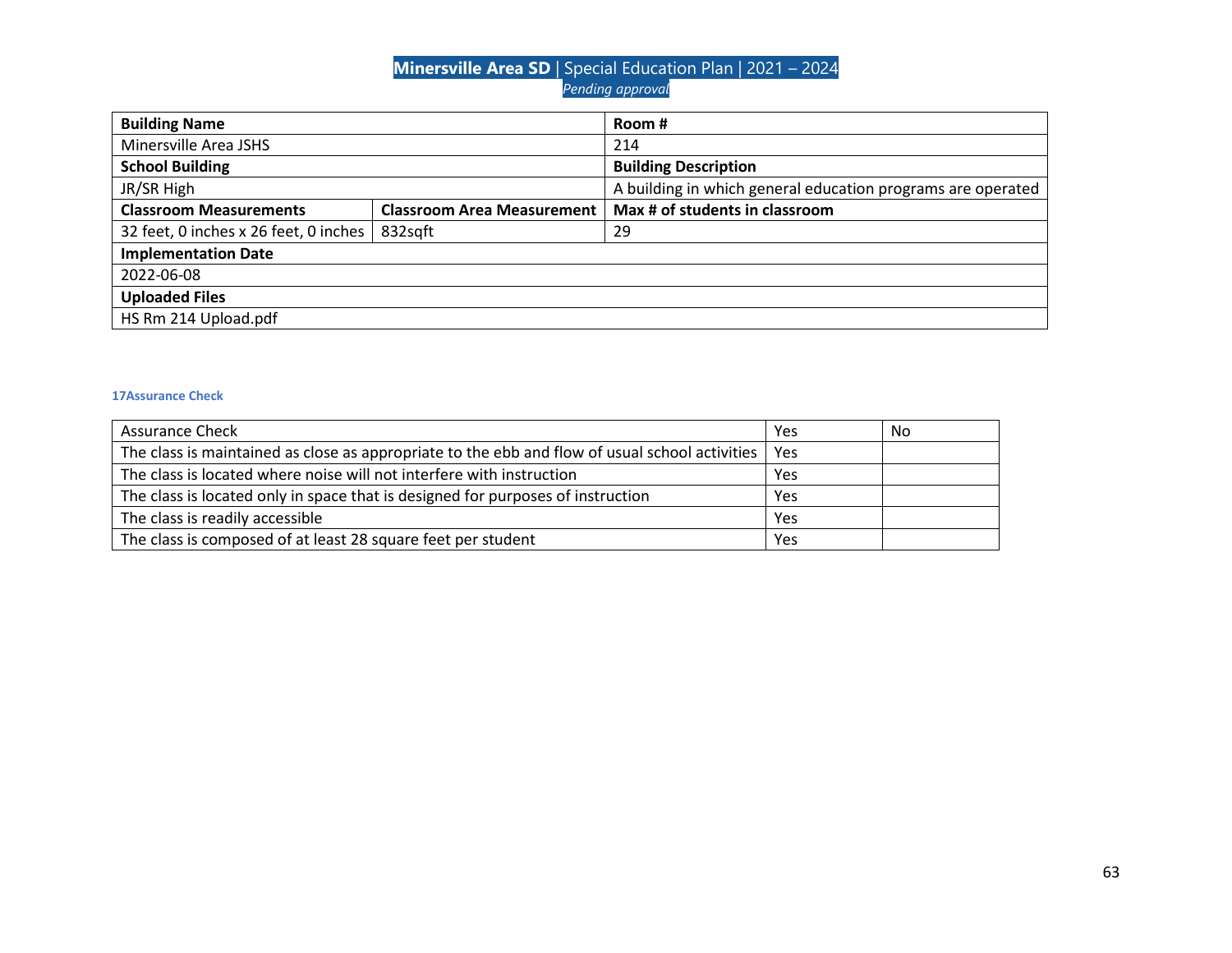| <b>Building Name</b>                  |                                   | Room #                                                      |  |
|---------------------------------------|-----------------------------------|-------------------------------------------------------------|--|
| Minersville Area JSHS                 |                                   | 214                                                         |  |
| <b>School Building</b>                |                                   | <b>Building Description</b>                                 |  |
| JR/SR High                            |                                   | A building in which general education programs are operated |  |
| <b>Classroom Measurements</b>         | <b>Classroom Area Measurement</b> | Max # of students in classroom                              |  |
| 32 feet, 0 inches x 26 feet, 0 inches | 832sqft                           | 29                                                          |  |
| <b>Implementation Date</b>            |                                   |                                                             |  |
| 2022-06-08                            |                                   |                                                             |  |
| <b>Uploaded Files</b>                 |                                   |                                                             |  |
| HS Rm 214 Upload.pdf                  |                                   |                                                             |  |

| <b>Assurance Check</b>                                                                               | Yes | No |
|------------------------------------------------------------------------------------------------------|-----|----|
| The class is maintained as close as appropriate to the ebb and flow of usual school activities   Yes |     |    |
| The class is located where noise will not interfere with instruction                                 | Yes |    |
| The class is located only in space that is designed for purposes of instruction                      | Yes |    |
| The class is readily accessible                                                                      | Yes |    |
| The class is composed of at least 28 square feet per student                                         | Yes |    |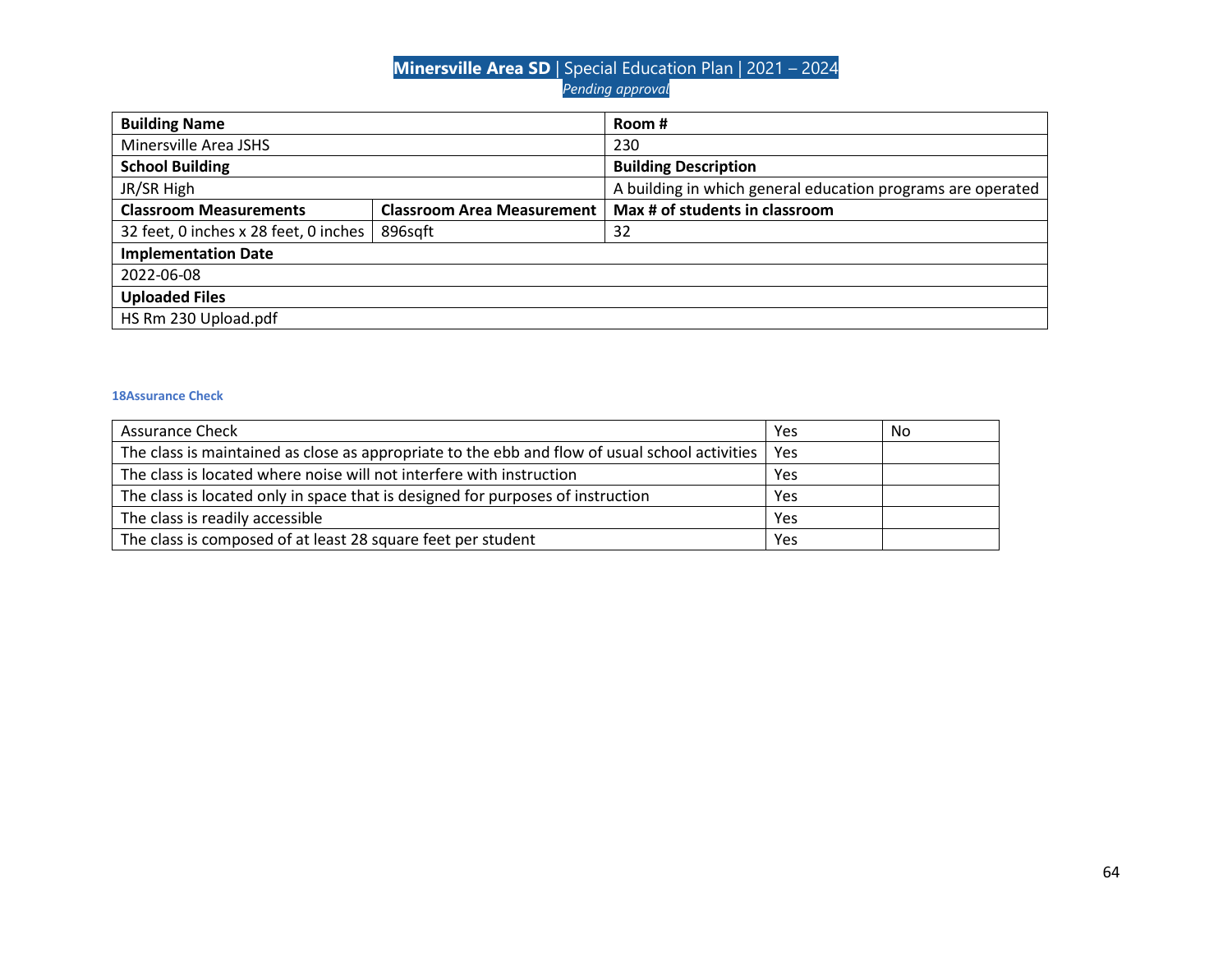| <b>Building Name</b>                  |                                   | Room #                                                      |  |
|---------------------------------------|-----------------------------------|-------------------------------------------------------------|--|
| Minersville Area JSHS                 |                                   | 230                                                         |  |
| <b>School Building</b>                |                                   | <b>Building Description</b>                                 |  |
| JR/SR High                            |                                   | A building in which general education programs are operated |  |
| <b>Classroom Measurements</b>         | <b>Classroom Area Measurement</b> | Max # of students in classroom                              |  |
| 32 feet, 0 inches x 28 feet, 0 inches | 896sqft                           | 32                                                          |  |
| <b>Implementation Date</b>            |                                   |                                                             |  |
| 2022-06-08                            |                                   |                                                             |  |
| <b>Uploaded Files</b>                 |                                   |                                                             |  |
| HS Rm 230 Upload.pdf                  |                                   |                                                             |  |

| <b>Assurance Check</b>                                                                                | Yes | No |
|-------------------------------------------------------------------------------------------------------|-----|----|
| The class is maintained as close as appropriate to the ebb and flow of usual school activities<br>Yes |     |    |
| The class is located where noise will not interfere with instruction                                  | Yes |    |
| The class is located only in space that is designed for purposes of instruction                       | Yes |    |
| The class is readily accessible                                                                       | Yes |    |
| The class is composed of at least 28 square feet per student                                          | Yes |    |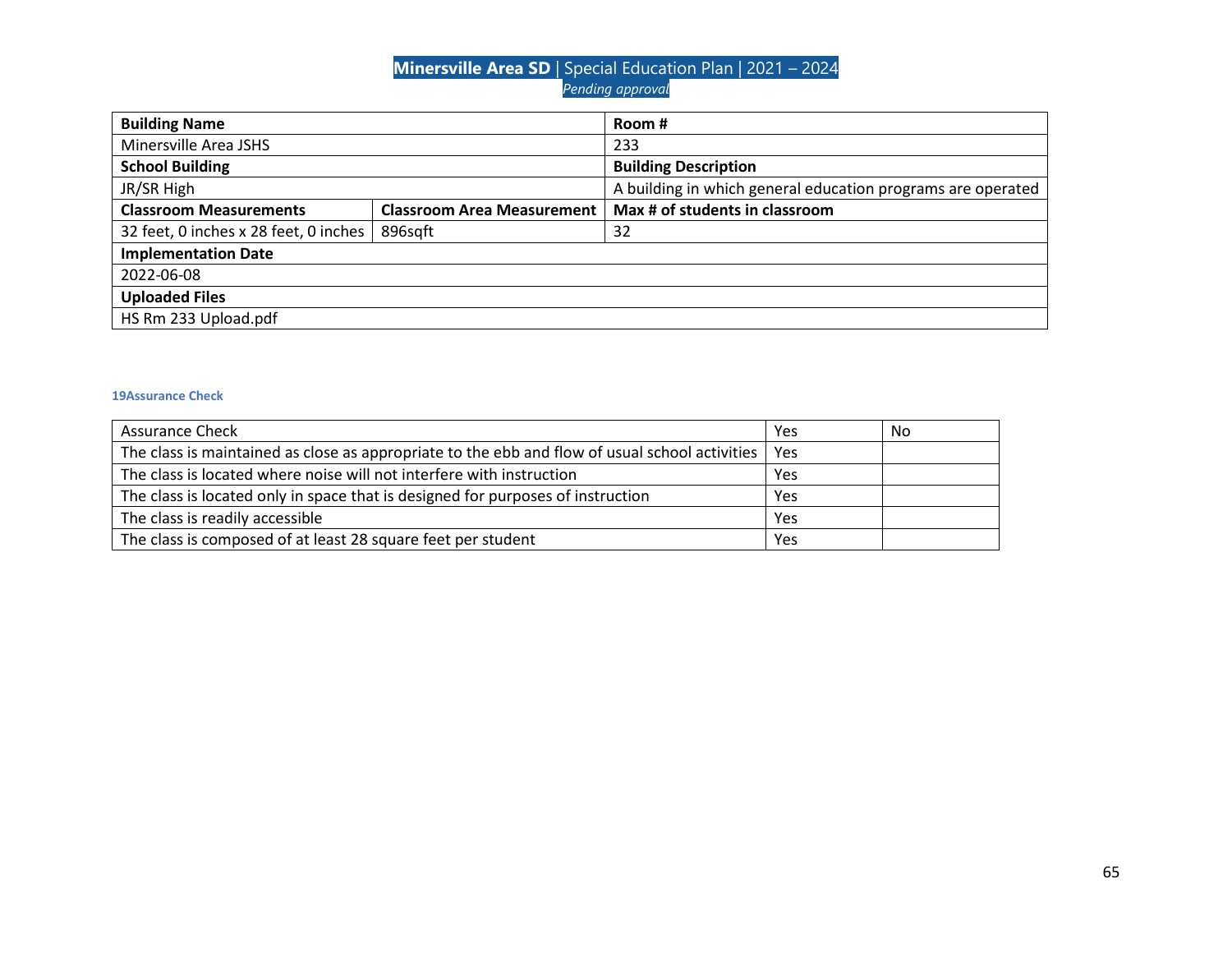| <b>Building Name</b>                  |                                   | Room#                                                       |  |
|---------------------------------------|-----------------------------------|-------------------------------------------------------------|--|
| Minersville Area JSHS                 |                                   | 233                                                         |  |
| <b>School Building</b>                |                                   | <b>Building Description</b>                                 |  |
| JR/SR High                            |                                   | A building in which general education programs are operated |  |
| <b>Classroom Measurements</b>         | <b>Classroom Area Measurement</b> | Max # of students in classroom                              |  |
| 32 feet, 0 inches x 28 feet, 0 inches | 896sqft                           | 32                                                          |  |
| <b>Implementation Date</b>            |                                   |                                                             |  |
| 2022-06-08                            |                                   |                                                             |  |
| <b>Uploaded Files</b>                 |                                   |                                                             |  |
| HS Rm 233 Upload.pdf                  |                                   |                                                             |  |

| <b>Assurance Check</b>                                                                               | Yes | No |
|------------------------------------------------------------------------------------------------------|-----|----|
| The class is maintained as close as appropriate to the ebb and flow of usual school activities   Yes |     |    |
| The class is located where noise will not interfere with instruction                                 | Yes |    |
| The class is located only in space that is designed for purposes of instruction                      | Yes |    |
| The class is readily accessible                                                                      | Yes |    |
| The class is composed of at least 28 square feet per student                                         | Yes |    |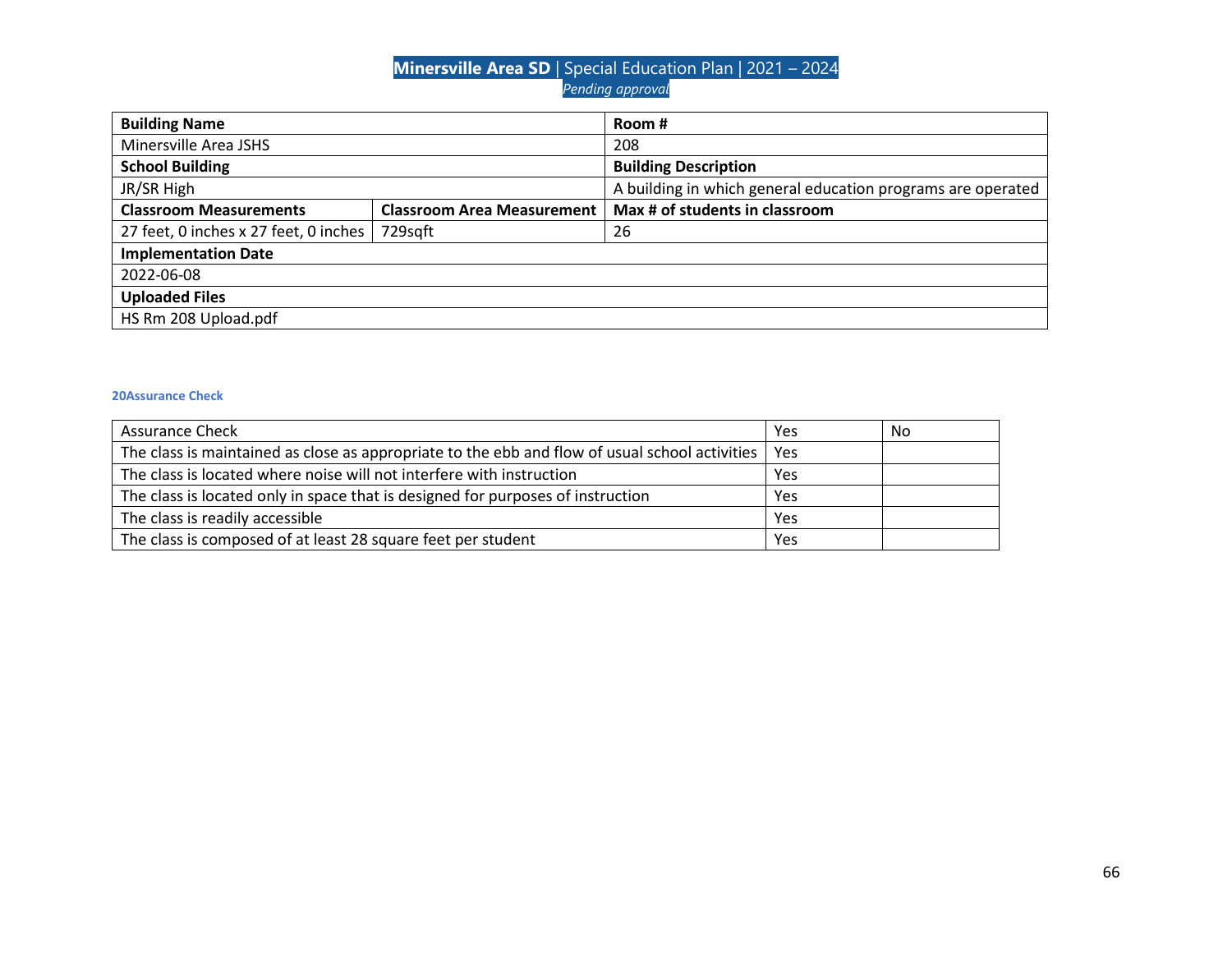| <b>Building Name</b>                  |                                   | Room #                                                      |  |
|---------------------------------------|-----------------------------------|-------------------------------------------------------------|--|
| Minersville Area JSHS                 |                                   | 208                                                         |  |
| <b>School Building</b>                |                                   | <b>Building Description</b>                                 |  |
| JR/SR High                            |                                   | A building in which general education programs are operated |  |
| <b>Classroom Measurements</b>         | <b>Classroom Area Measurement</b> | Max # of students in classroom                              |  |
| 27 feet, 0 inches x 27 feet, 0 inches | 729sqft                           | 26                                                          |  |
| <b>Implementation Date</b>            |                                   |                                                             |  |
| 2022-06-08                            |                                   |                                                             |  |
| <b>Uploaded Files</b>                 |                                   |                                                             |  |
| HS Rm 208 Upload.pdf                  |                                   |                                                             |  |

| <b>Assurance Check</b>                                                                         |     | No |
|------------------------------------------------------------------------------------------------|-----|----|
| The class is maintained as close as appropriate to the ebb and flow of usual school activities | Yes |    |
| The class is located where noise will not interfere with instruction                           |     |    |
| The class is located only in space that is designed for purposes of instruction                |     |    |
| The class is readily accessible                                                                |     |    |
| The class is composed of at least 28 square feet per student                                   |     |    |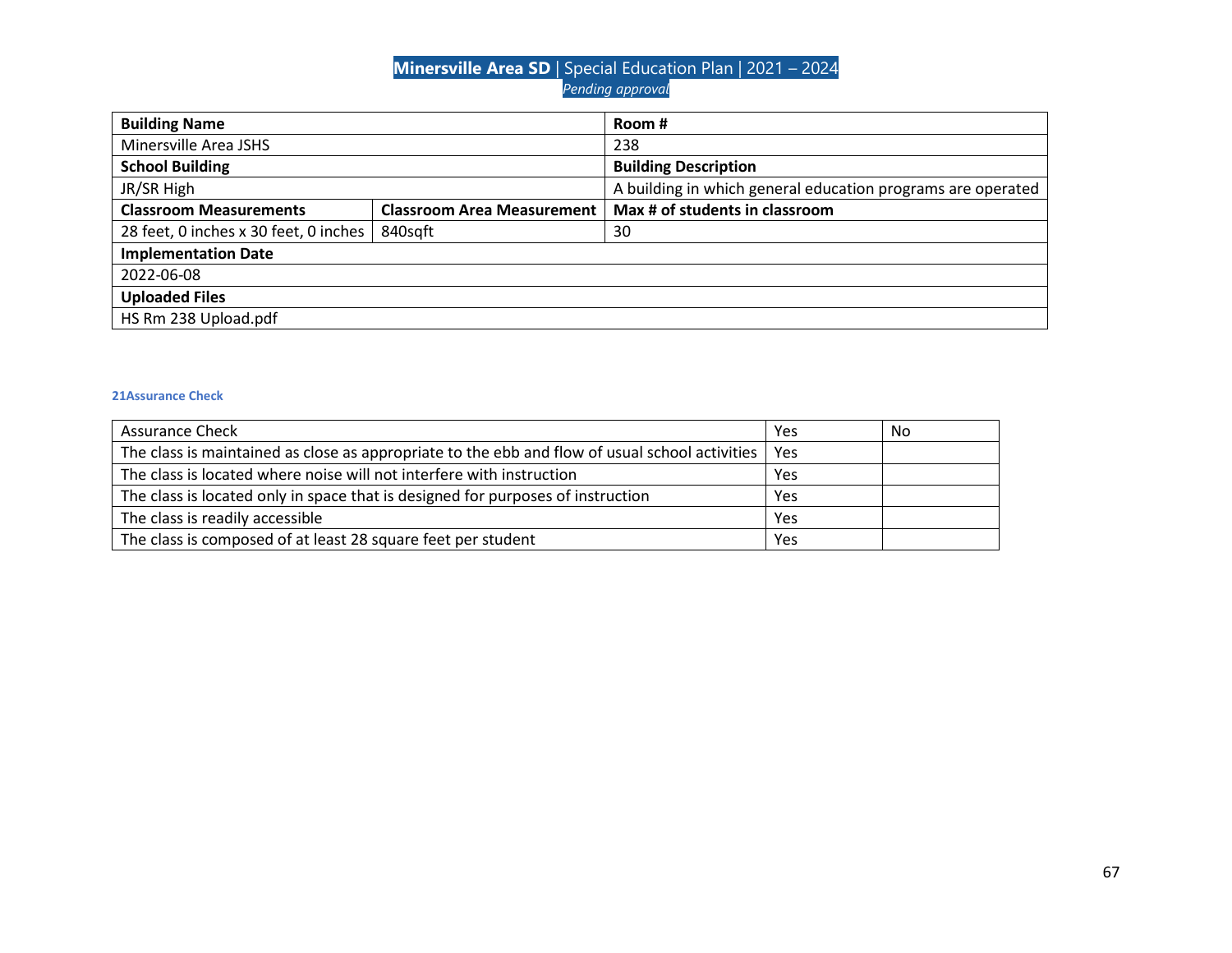| <b>Building Name</b>                  |                                   | Room #                                                      |
|---------------------------------------|-----------------------------------|-------------------------------------------------------------|
| Minersville Area JSHS                 |                                   | 238                                                         |
| <b>School Building</b>                | <b>Building Description</b>       |                                                             |
| JR/SR High                            |                                   | A building in which general education programs are operated |
| <b>Classroom Measurements</b>         | <b>Classroom Area Measurement</b> | Max # of students in classroom                              |
| 28 feet, 0 inches x 30 feet, 0 inches | 840sqft<br>30                     |                                                             |
| <b>Implementation Date</b>            |                                   |                                                             |
| 2022-06-08                            |                                   |                                                             |
| <b>Uploaded Files</b>                 |                                   |                                                             |
| HS Rm 238 Upload.pdf                  |                                   |                                                             |

| <b>Assurance Check</b>                                                                         |     | No |
|------------------------------------------------------------------------------------------------|-----|----|
| The class is maintained as close as appropriate to the ebb and flow of usual school activities | Yes |    |
| The class is located where noise will not interfere with instruction                           |     |    |
| The class is located only in space that is designed for purposes of instruction                |     |    |
| The class is readily accessible                                                                |     |    |
| The class is composed of at least 28 square feet per student                                   |     |    |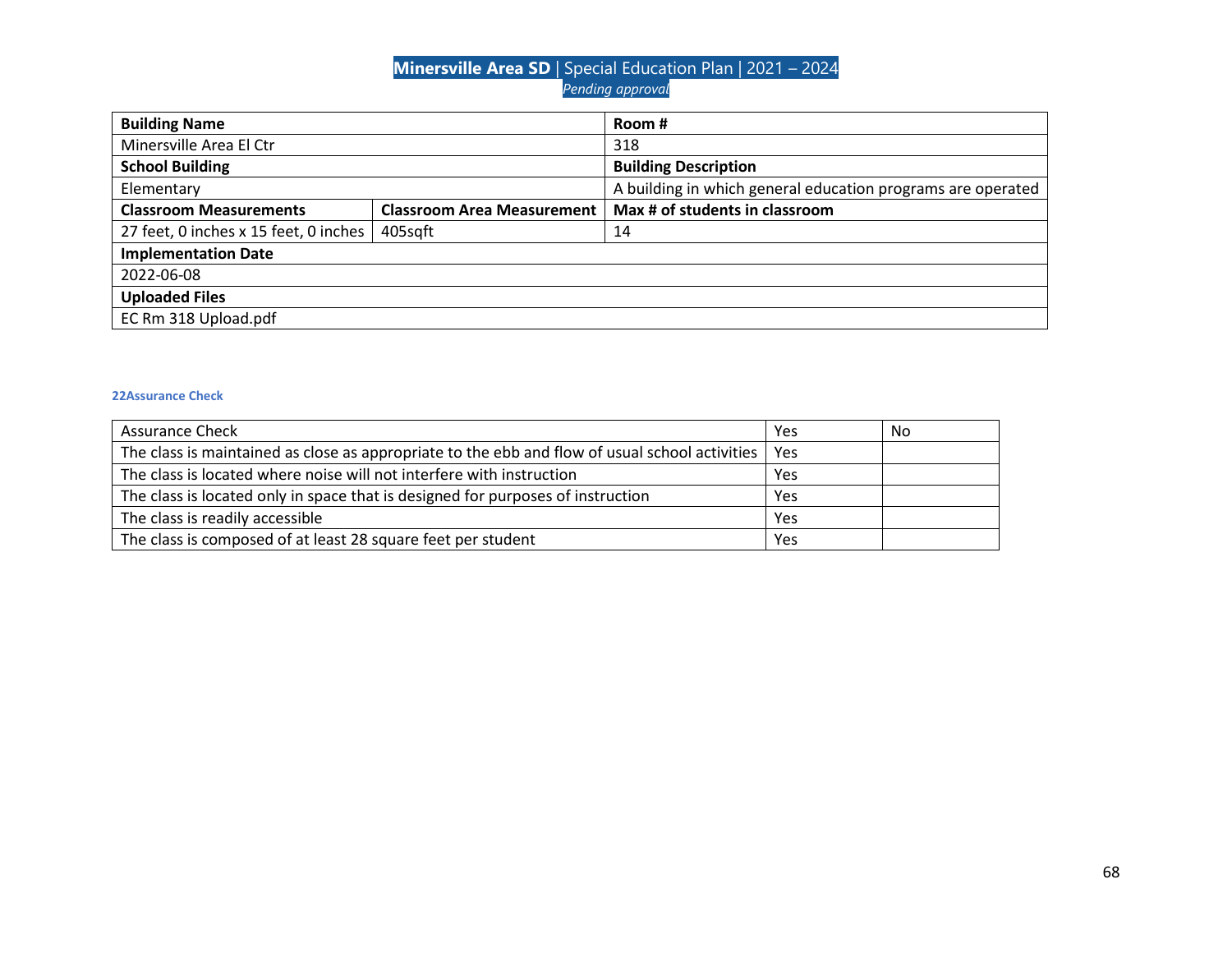| <b>Building Name</b>                  |                                                             | Room #                         |
|---------------------------------------|-------------------------------------------------------------|--------------------------------|
| Minersville Area El Ctr               |                                                             | 318                            |
| <b>School Building</b>                |                                                             | <b>Building Description</b>    |
| Elementary                            | A building in which general education programs are operated |                                |
| <b>Classroom Measurements</b>         | <b>Classroom Area Measurement</b>                           | Max # of students in classroom |
| 27 feet, 0 inches x 15 feet, 0 inches | 405sqft<br>14                                               |                                |
| <b>Implementation Date</b>            |                                                             |                                |
| 2022-06-08                            |                                                             |                                |
| <b>Uploaded Files</b>                 |                                                             |                                |
| EC Rm 318 Upload.pdf                  |                                                             |                                |

| <b>Assurance Check</b>                                                                         |     | No |
|------------------------------------------------------------------------------------------------|-----|----|
| The class is maintained as close as appropriate to the ebb and flow of usual school activities | Yes |    |
| The class is located where noise will not interfere with instruction                           |     |    |
| The class is located only in space that is designed for purposes of instruction                |     |    |
| The class is readily accessible                                                                |     |    |
| The class is composed of at least 28 square feet per student                                   |     |    |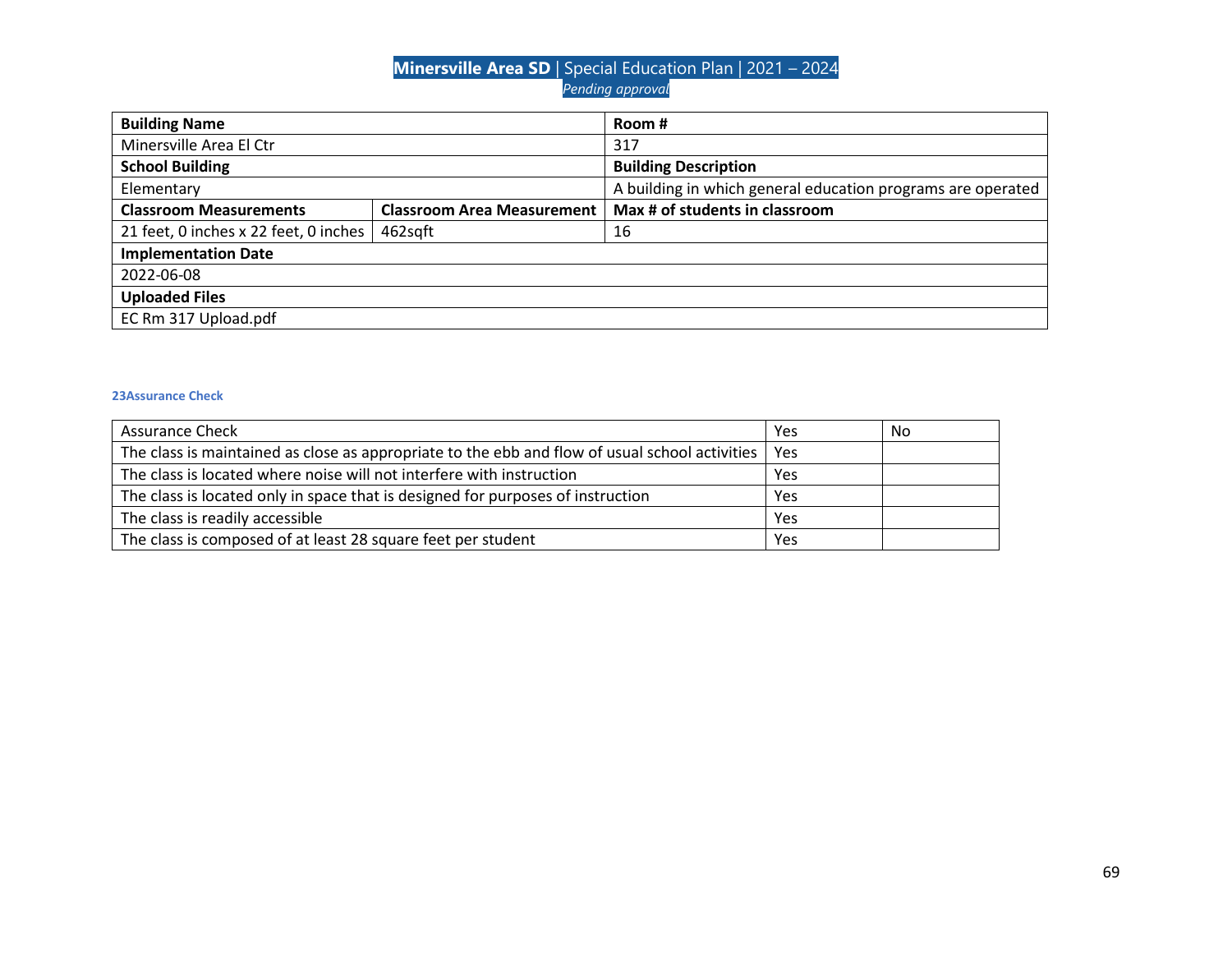| <b>Building Name</b>                  |                                                             | Room #                         |
|---------------------------------------|-------------------------------------------------------------|--------------------------------|
| Minersville Area El Ctr               |                                                             | 317                            |
| <b>School Building</b>                |                                                             | <b>Building Description</b>    |
| Elementary                            | A building in which general education programs are operated |                                |
| <b>Classroom Measurements</b>         | <b>Classroom Area Measurement</b>                           | Max # of students in classroom |
| 21 feet, 0 inches x 22 feet, 0 inches | 462sqft<br>16                                               |                                |
| <b>Implementation Date</b>            |                                                             |                                |
| 2022-06-08                            |                                                             |                                |
| <b>Uploaded Files</b>                 |                                                             |                                |
| EC Rm 317 Upload.pdf                  |                                                             |                                |

| <b>Assurance Check</b>                                                                               |  | No |
|------------------------------------------------------------------------------------------------------|--|----|
| The class is maintained as close as appropriate to the ebb and flow of usual school activities   Yes |  |    |
| The class is located where noise will not interfere with instruction                                 |  |    |
| The class is located only in space that is designed for purposes of instruction                      |  |    |
| The class is readily accessible                                                                      |  |    |
| The class is composed of at least 28 square feet per student                                         |  |    |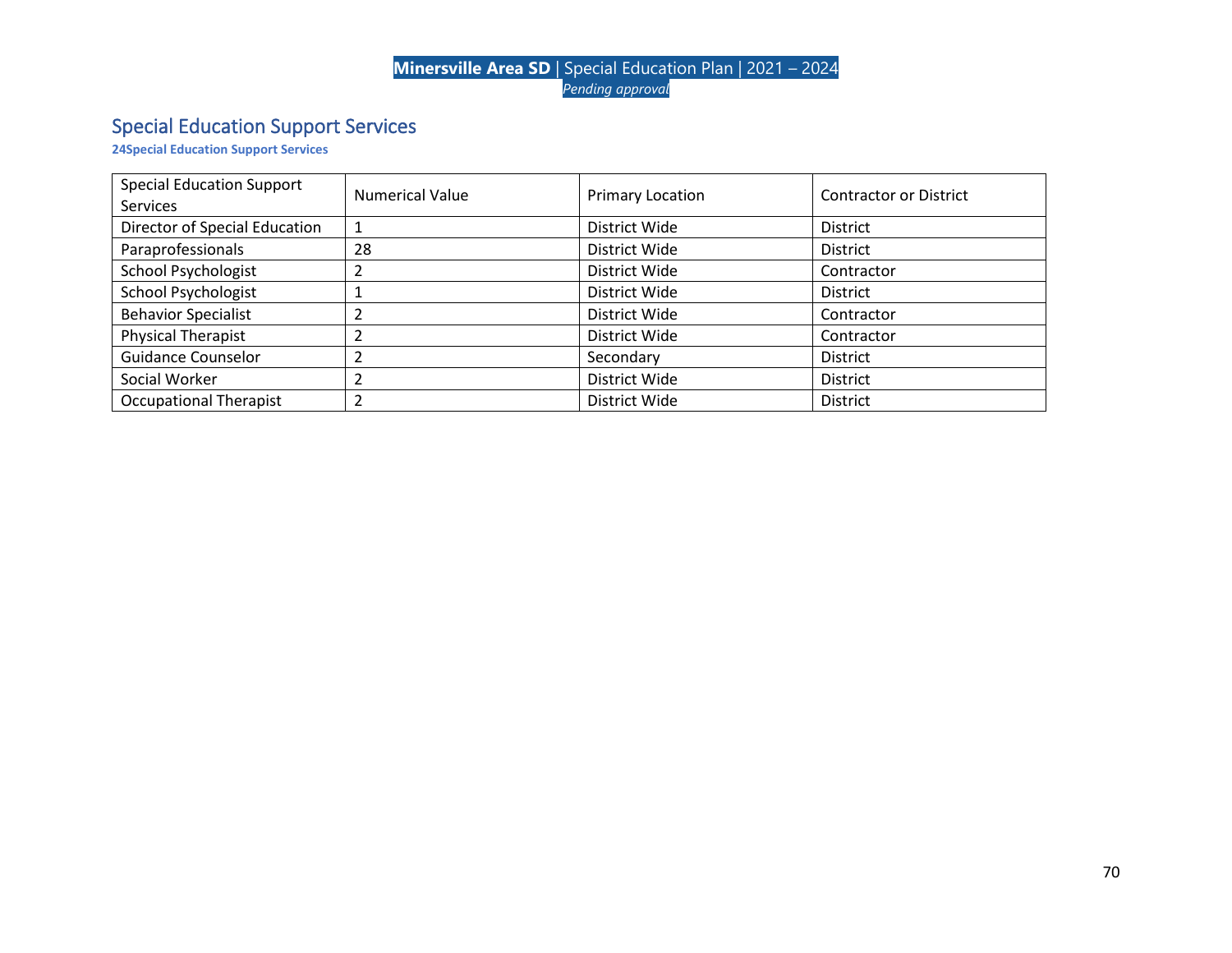# Special Education Support Services

**24Special Education Support Services**

| <b>Special Education Support</b><br><b>Services</b> | <b>Numerical Value</b> | Primary Location | <b>Contractor or District</b> |
|-----------------------------------------------------|------------------------|------------------|-------------------------------|
| Director of Special Education                       |                        | District Wide    | <b>District</b>               |
| Paraprofessionals                                   | 28                     | District Wide    | <b>District</b>               |
| <b>School Psychologist</b>                          |                        | District Wide    | Contractor                    |
| <b>School Psychologist</b>                          |                        | District Wide    | <b>District</b>               |
| <b>Behavior Specialist</b>                          |                        | District Wide    | Contractor                    |
| <b>Physical Therapist</b>                           |                        | District Wide    | Contractor                    |
| <b>Guidance Counselor</b>                           |                        | Secondary        | <b>District</b>               |
| Social Worker                                       |                        | District Wide    | <b>District</b>               |
| <b>Occupational Therapist</b>                       |                        | District Wide    | <b>District</b>               |